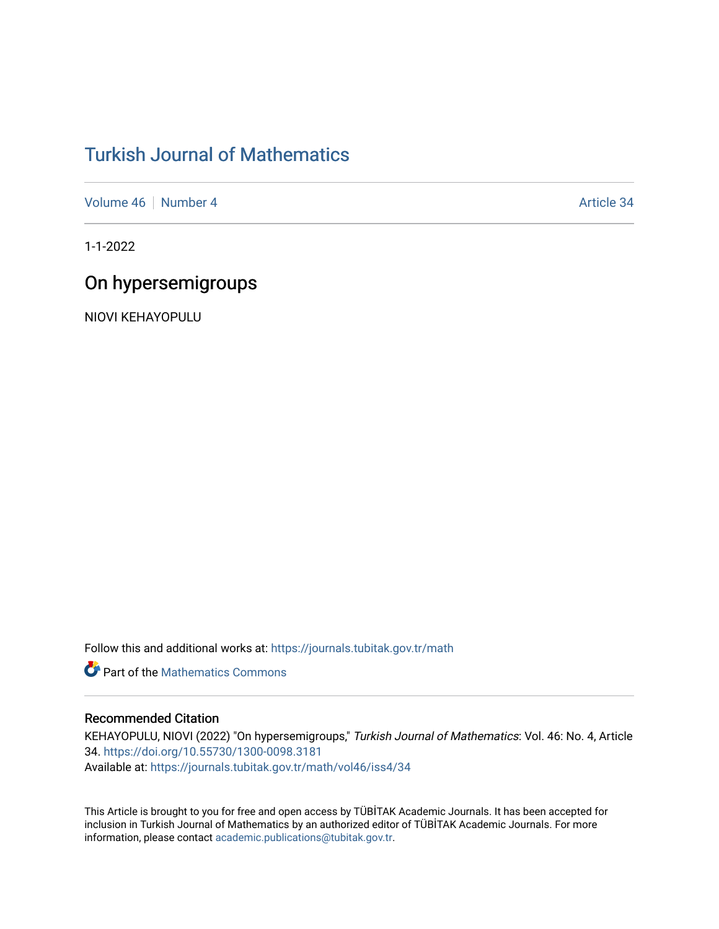# [Turkish Journal of Mathematics](https://journals.tubitak.gov.tr/math)

[Volume 46](https://journals.tubitak.gov.tr/math/vol46) | [Number 4](https://journals.tubitak.gov.tr/math/vol46/iss4) Article 34

1-1-2022

# On hypersemigroups

NIOVI KEHAYOPULU

Follow this and additional works at: [https://journals.tubitak.gov.tr/math](https://journals.tubitak.gov.tr/math?utm_source=journals.tubitak.gov.tr%2Fmath%2Fvol46%2Fiss4%2F34&utm_medium=PDF&utm_campaign=PDFCoverPages) 

**C** Part of the [Mathematics Commons](https://network.bepress.com/hgg/discipline/174?utm_source=journals.tubitak.gov.tr%2Fmath%2Fvol46%2Fiss4%2F34&utm_medium=PDF&utm_campaign=PDFCoverPages)

## Recommended Citation

KEHAYOPULU, NIOVI (2022) "On hypersemigroups," Turkish Journal of Mathematics: Vol. 46: No. 4, Article 34.<https://doi.org/10.55730/1300-0098.3181> Available at: [https://journals.tubitak.gov.tr/math/vol46/iss4/34](https://journals.tubitak.gov.tr/math/vol46/iss4/34?utm_source=journals.tubitak.gov.tr%2Fmath%2Fvol46%2Fiss4%2F34&utm_medium=PDF&utm_campaign=PDFCoverPages) 

This Article is brought to you for free and open access by TÜBİTAK Academic Journals. It has been accepted for inclusion in Turkish Journal of Mathematics by an authorized editor of TÜBİTAK Academic Journals. For more information, please contact [academic.publications@tubitak.gov.tr](mailto:academic.publications@tubitak.gov.tr).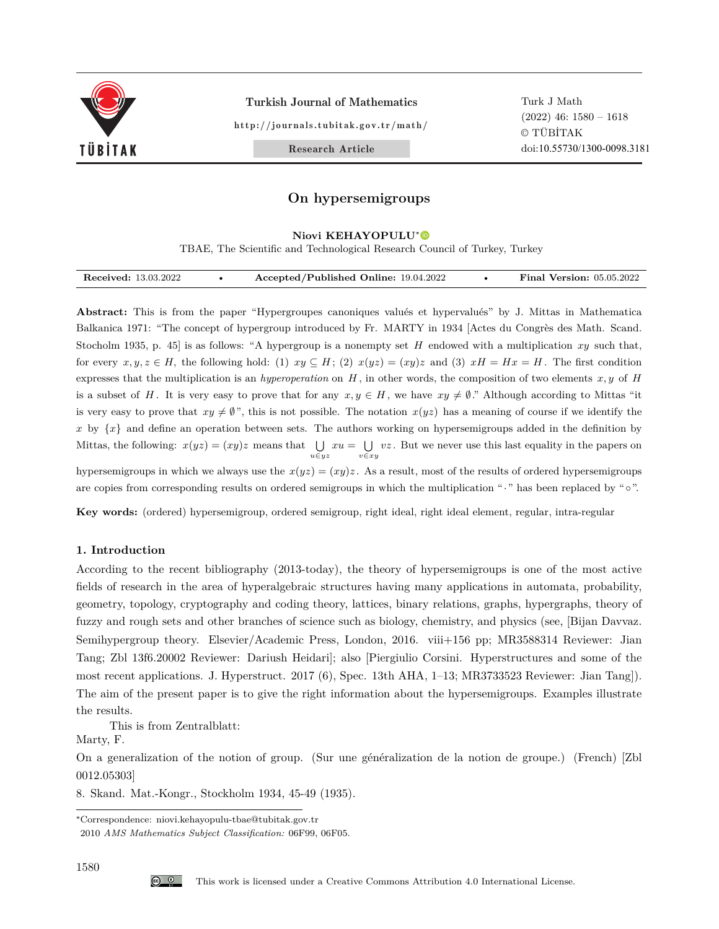

Turkish Journal of Mathematics

http://journals.tubitak.gov.tr/math/

Turk J Math (2022) 46: 1580 – 1618 © TÜBİTAK doi:10.55730/1300-0098.3181

Research Article

## **On hypersemigroups**

#### **Niovi KEHAYOPULU**<sup>∗</sup>

TBAE, The Scientific and Technological Research Council of Turkey, Turkey

| Received: 13.03.2022 | Accepted/Published Online: 19.04.2022 | <b>Final Version:</b> 05.05.2022 |
|----------------------|---------------------------------------|----------------------------------|

**Abstract:** This is from the paper "Hypergroupes canoniques valués et hypervalués" by J. Mittas in Mathematica Balkanica 1971: "The concept of hypergroup introduced by Fr. MARTY in 1934 [Actes du Congrès des Math. Scand. Stocholm 1935, p. 45] is as follows: "A hypergroup is a nonempty set *H* endowed with a multiplication *xy* such that, for every  $x, y, z \in H$ , the following hold: (1)  $xy \subseteq H$ ; (2)  $x(yz) = (xy)z$  and (3)  $xH = Hx = H$ . The first condition expresses that the multiplication is an *hyperoperation* on *H* , in other words, the composition of two elements *x, y* of *H* is a subset of *H*. It is very easy to prove that for any  $x, y \in H$ , we have  $xy \neq \emptyset$ ." Although according to Mittas "it is very easy to prove that  $xy \neq \emptyset$ ", this is not possible. The notation  $x(yz)$  has a meaning of course if we identify the *x* by  $\{x\}$  and define an operation between sets. The authors working on hypersemigroups added in the definition by Mittas, the following:  $x(yz) = (xy)z$  means that ∪ *u∈yz xu* = ∪ *v∈xy vz* . But we never use this last equality in the papers on hypersemigroups in which we always use the  $x(yz) = (xy)z$ . As a result, most of the results of ordered hypersemigroups are copies from corresponding results on ordered semigroups in which the multiplication "*·*" has been replaced by "*◦*".

**Key words:** (ordered) hypersemigroup, ordered semigroup, right ideal, right ideal element, regular, intra-regular

## **1. Introduction**

According to the recent bibliography (2013-today), the theory of hypersemigroups is one of the most active fields of research in the area of hyperalgebraic structures having many applications in automata, probability, geometry, topology, cryptography and coding theory, lattices, binary relations, graphs, hypergraphs, theory of fuzzy and rough sets and other branches of science such as biology, chemistry, and physics (see, [Bijan Davvaz. Semihypergroup theory. Elsevier/Academic Press, London, 2016. viii+156 pp; MR3588314 Reviewer: Jian Tang; Zbl 13f6.20002 Reviewer: Dariush Heidari]; also [Piergiulio Corsini. Hyperstructures and some of the most recent applications. J. Hyperstruct. 2017 (6), Spec. 13th AHA, 1–13; MR3733523 Reviewer: Jian Tang]). The aim of the present paper is to give the right information about the hypersemigroups. Examples illustrate the results.

This is from Zentralblatt:

Marty, F.

On a generalization of the notion of group. (Sur une généralization de la notion de groupe.) (French) [Zbl 0012.05303]

8. Skand. Mat.-Kongr., Stockholm 1934, 45-49 (1935).

<sup>∗</sup>Correspondence: niovi.kehayopulu-tbae@tubitak.gov.tr

<sup>2010</sup> *AMS Mathematics Subject Classification:* 06F99, 06F05.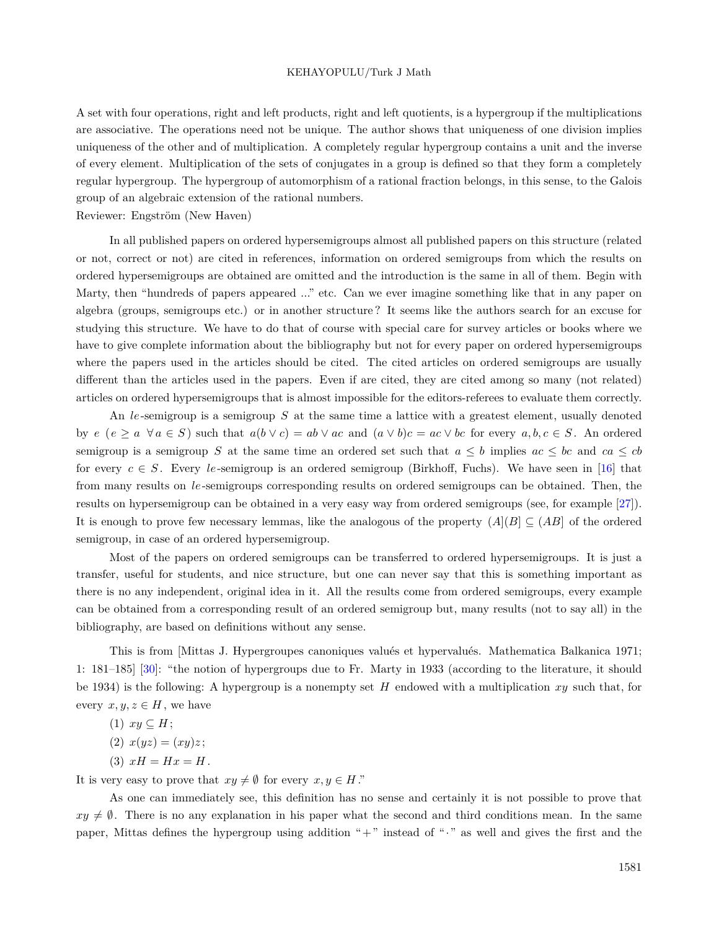A set with four operations, right and left products, right and left quotients, is a hypergroup if the multiplications are associative. The operations need not be unique. The author shows that uniqueness of one division implies uniqueness of the other and of multiplication. A completely regular hypergroup contains a unit and the inverse of every element. Multiplication of the sets of conjugates in a group is defined so that they form a completely regular hypergroup. The hypergroup of automorphism of a rational fraction belongs, in this sense, to the Galois group of an algebraic extension of the rational numbers.

Reviewer: Engström (New Haven)

In all published papers on ordered hypersemigroups almost all published papers on this structure (related or not, correct or not) are cited in references, information on ordered semigroups from which the results on ordered hypersemigroups are obtained are omitted and the introduction is the same in all of them. Begin with Marty, then "hundreds of papers appeared ..." etc. Can we ever imagine something like that in any paper on algebra (groups, semigroups etc.) or in another structure ? It seems like the authors search for an excuse for studying this structure. We have to do that of course with special care for survey articles or books where we have to give complete information about the bibliography but not for every paper on ordered hypersemigroups where the papers used in the articles should be cited. The cited articles on ordered semigroups are usually different than the articles used in the papers. Even if are cited, they are cited among so many (not related) articles on ordered hypersemigroups that is almost impossible for the editors-referees to evaluate them correctly.

An *le*-semigroup is a semigroup *S* at the same time a lattice with a greatest element, usually denoted by  $e (e \ge a \ \forall a \in S)$  such that  $a(b \vee c) = ab \vee ac$  and  $(a \vee b)c = ac \vee bc$  for every  $a, b, c \in S$ . An ordered semigroup is a semigroup *S* at the same time an ordered set such that  $a \leq b$  implies  $ac \leq bc$  and  $ca \leq cb$ for every  $c \in S$ . Every *le*-semigroup is an ordered semigroup (Birkhoff, Fuchs). We have seen in [[16\]](#page-38-0) that from many results on *le*-semigroups corresponding results on ordered semigroups can be obtained. Then, the results on hypersemigroup can be obtained in a very easy way from ordered semigroups (see, for example [\[27](#page-38-1)]). It is enough to prove few necessary lemmas, like the analogous of the property  $(A|(B) \subseteq (AB)$  of the ordered semigroup, in case of an ordered hypersemigroup.

Most of the papers on ordered semigroups can be transferred to ordered hypersemigroups. It is just a transfer, useful for students, and nice structure, but one can never say that this is something important as there is no any independent, original idea in it. All the results come from ordered semigroups, every example can be obtained from a corresponding result of an ordered semigroup but, many results (not to say all) in the bibliography, are based on definitions without any sense.

This is from [Mittas J. Hypergroupes canoniques valués et hypervalués. Mathematica Balkanica 1971; 1: 181–185] [\[30](#page-38-2)]: "the notion of hypergroups due to Fr. Marty in 1933 (according to the literature, it should be 1934) is the following: A hypergroup is a nonempty set *H* endowed with a multiplication *xy* such that, for every  $x, y, z \in H$ , we have

- $(1)$   $xy \subseteq H$ ;
- $(2)$   $x(yz) = (xy)z;$
- (3)  $xH = Hx = H$ .

It is very easy to prove that  $xy \neq \emptyset$  for every  $x, y \in H$ ."

As one can immediately see, this definition has no sense and certainly it is not possible to prove that  $xy \neq \emptyset$ . There is no any explanation in his paper what the second and third conditions mean. In the same paper, Mittas defines the hypergroup using addition "+" instead of "*·*" as well and gives the first and the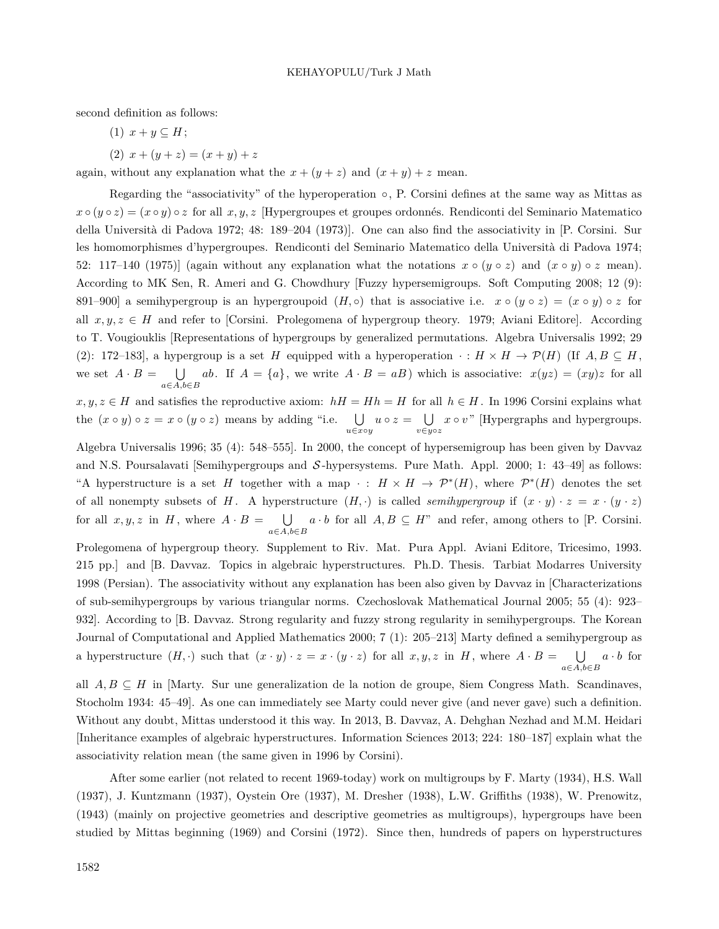second definition as follows:

- $(1)$   $x + y \subseteq H$ ;
- $(2)$   $x + (y + z) = (x + y) + z$

again, without any explanation what the  $x + (y + z)$  and  $(x + y) + z$  mean.

Regarding the "associativity" of the hyperoperation *◦*, P. Corsini defines at the same way as Mittas as  $x \circ (y \circ z) = (x \circ y) \circ z$  for all  $x, y, z$  [Hypergroupes et groupes ordonnés. Rendiconti del Seminario Matematico della Università di Padova 1972; 48: 189–204 (1973)]. One can also find the associativity in [P. Corsini. Sur les homomorphismes d'hypergroupes. Rendiconti del Seminario Matematico della Università di Padova 1974; 52: 117–140 (1975)] (again without any explanation what the notations  $x \circ (y \circ z)$  and  $(x \circ y) \circ z$  mean). According to MK Sen, R. Ameri and G. Chowdhury [Fuzzy hypersemigroups. Soft Computing 2008; 12 (9): 891–900] a semihypergroup is an hypergroupoid  $(H, \circ)$  that is associative i.e.  $x \circ (y \circ z) = (x \circ y) \circ z$  for all *x, y, z ∈ H* and refer to [Corsini. Prolegomena of hypergroup theory. 1979; Aviani Editore]. According to T. Vougiouklis [Representations of hypergroups by generalized permutations. Algebra Universalis 1992; 29 (2): 172–183], a hypergroup is a set *H* equipped with a hyperoperation  $\cdot : H \times H \to \mathcal{P}(H)$  (If  $A, B \subseteq H$ , we set  $A \cdot B = \bigcup$ *a∈A,b∈B ab*. If  $A = \{a\}$ , we write  $A \cdot B = aB$ ) which is associative:  $x(yz) = (xy)z$  for all

*x, y, z* ∈ *H* and satisfies the reproductive axiom:  $hH = Hh = H$  for all  $h \in H$ . In 1996 Corsini explains what the  $(x \circ y) \circ z = x \circ (y \circ z)$  means by adding "i.e.  $\bigcup_{u \in x \circ y} u \circ z = \bigcup_{v \in y \circ z}$ *v∈y◦z x ◦ v* " [Hypergraphs and hypergroups.

Algebra Universalis 1996; 35 (4): 548–555]. In 2000, the concept of hypersemigroup has been given by Davvaz and N.S. Poursalavati [Semihypergroups and *S* -hypersystems. Pure Math. Appl. 2000; 1: 43–49] as follows: "A hyperstructure is a set *H* together with a map  $\cdot$  :  $H \times H \to \mathcal{P}^*(H)$ , where  $\mathcal{P}^*(H)$  denotes the set of all nonempty subsets of *H*. A hyperstructure  $(H, \cdot)$  is called *semihypergroup* if  $(x \cdot y) \cdot z = x \cdot (y \cdot z)$ for all  $x, y, z$  in  $H$ , where  $A \cdot B = \bigcup$ *a∈A,b∈B*  $a \cdot b$  for all  $A, B \subseteq H$ " and refer, among others to [P. Corsini.

Prolegomena of hypergroup theory. Supplement to Riv. Mat. Pura Appl. Aviani Editore, Tricesimo, 1993. 215 pp.] and [B. Davvaz. Topics in algebraic hyperstructures. Ph.D. Thesis. Tarbiat Modarres University 1998 (Persian). The associativity without any explanation has been also given by Davvaz in [Characterizations of sub-semihypergroups by various triangular norms. Czechoslovak Mathematical Journal 2005; 55 (4): 923– 932]. According to [B. Davvaz. Strong regularity and fuzzy strong regularity in semihypergroups. The Korean Journal of Computational and Applied Mathematics 2000; 7 (1): 205–213] Marty defined a semihypergroup as a hyperstructure  $(H, \cdot)$  such that  $(x \cdot y) \cdot z = x \cdot (y \cdot z)$  for all  $x, y, z$  in  $H$ , where  $A \cdot B = \bigcup$ *a∈A,b∈B*  $a \cdot b$  for

all *A, B ⊆ H* in [Marty. Sur une generalization de la notion de groupe, 8iem Congress Math. Scandinaves, Stocholm 1934: 45–49]. As one can immediately see Marty could never give (and never gave) such a definition. Without any doubt, Mittas understood it this way. In 2013, B. Davvaz, A. Dehghan Nezhad and M.M. Heidari [Inheritance examples of algebraic hyperstructures. Information Sciences 2013; 224: 180–187] explain what the associativity relation mean (the same given in 1996 by Corsini).

After some earlier (not related to recent 1969-today) work on multigroups by F. Marty (1934), H.S. Wall (1937), J. Kuntzmann (1937), Oystein Ore (1937), M. Dresher (1938), L.W. Griffiths (1938), W. Prenowitz, (1943) (mainly on projective geometries and descriptive geometries as multigroups), hypergroups have been studied by Mittas beginning (1969) and Corsini (1972). Since then, hundreds of papers on hyperstructures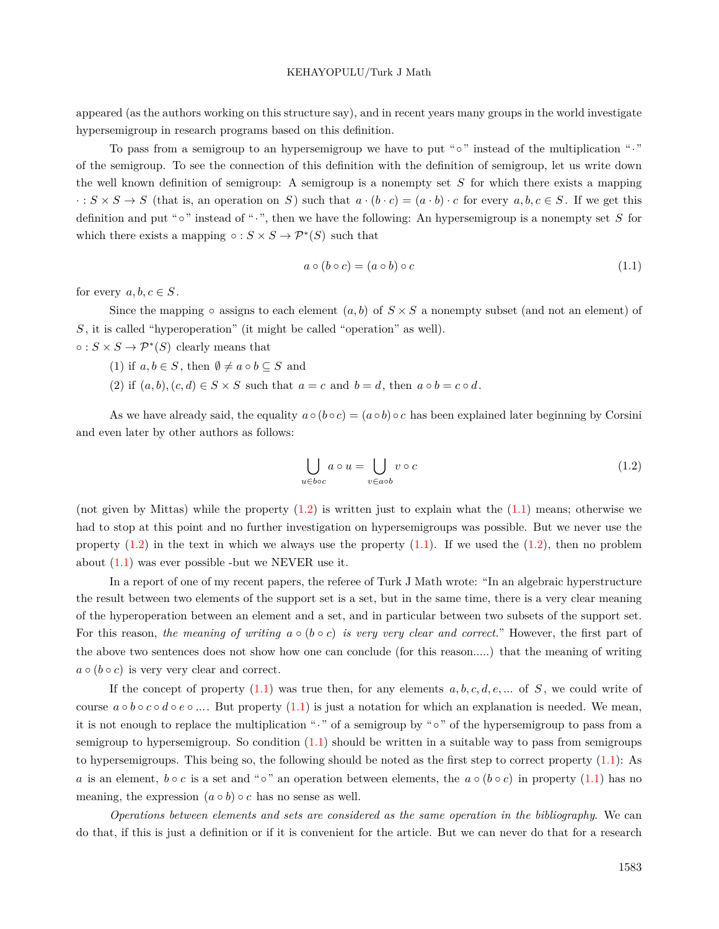appeared (as the authors working on this structure say), and in recent years many groups in the world investigate hypersemigroup in research programs based on this definition.

To pass from a semigroup to an hypersemigroup we have to put "*◦*" instead of the multiplication "*·*" of the semigroup. To see the connection of this definition with the definition of semigroup, let us write down the well known definition of semigroup: A semigroup is a nonempty set *S* for which there exists a mapping  $\cdot : S \times S \to S$  (that is, an operation on S) such that  $a \cdot (b \cdot c) = (a \cdot b) \cdot c$  for every  $a, b, c \in S$ . If we get this definition and put "*◦*" instead of "*·*", then we have the following: An hypersemigroup is a nonempty set *S* for which there exists a mapping  $\circ : S \times S \to \mathcal{P}^*(S)$  such that

$$
a \circ (b \circ c) = (a \circ b) \circ c \tag{1.1}
$$

<span id="page-4-1"></span>for every  $a, b, c \in S$ .

Since the mapping  $\circ$  assigns to each element  $(a, b)$  of  $S \times S$  a nonempty subset (and not an element) of *S* , it is called "hyperoperation" (it might be called "operation" as well).

 $\circ$  :  $S \times S \rightarrow \mathcal{P}^*(S)$  clearly means that

- (1) if  $a, b \in S$ , then  $\emptyset \neq a \circ b \subseteq S$  and
- (2) if  $(a, b), (c, d) \in S \times S$  such that  $a = c$  and  $b = d$ , then  $a \circ b = c \circ d$ .

As we have already said, the equality  $a \circ (b \circ c) = (a \circ b) \circ c$  has been explained later beginning by Corsini and even later by other authors as follows:

<span id="page-4-0"></span>
$$
\bigcup_{u \in boc} a \circ u = \bigcup_{v \in aob} v \circ c \tag{1.2}
$$

(not given by Mittas) while the property  $(1.2)$  $(1.2)$  is written just to explain what the  $(1.1)$  $(1.1)$  means; otherwise we had to stop at this point and no further investigation on hypersemigroups was possible. But we never use the property  $(1.2)$  in the text in which we always use the property  $(1.1)$  $(1.1)$ . If we used the  $(1.2)$  $(1.2)$ , then no problem about [\(1.1](#page-4-1)) was ever possible -but we NEVER use it.

In a report of one of my recent papers, the referee of Turk J Math wrote: "In an algebraic hyperstructure the result between two elements of the support set is a set, but in the same time, there is a very clear meaning of the hyperoperation between an element and a set, and in particular between two subsets of the support set. For this reason, *the meaning of writing*  $a \circ (b \circ c)$  *is very very clear and correct.*" However, the first part of the above two sentences does not show how one can conclude (for this reason.....) that the meaning of writing  $a \circ (b \circ c)$  is very very clear and correct.

If the concept of property  $(1.1)$  $(1.1)$  was true then, for any elements  $a, b, c, d, e, \ldots$  of  $S$ , we could write of course *a ◦ b ◦ c ◦ d ◦ e ◦ ...*. But property [\(1.1](#page-4-1)) is just a notation for which an explanation is needed. We mean, it is not enough to replace the multiplication "*·*" of a semigroup by "*◦*" of the hypersemigroup to pass from a semigroup to hypersemigroup. So condition  $(1.1)$  $(1.1)$  should be written in a suitable way to pass from semigroups to hypersemigroups. This being so, the following should be noted as the first step to correct property ([1.1](#page-4-1)): As *a* is an element,  $b \circ c$  is a set and " $\circ$ " an operation between elements, the  $a \circ (b \circ c)$  in property [\(1.1\)](#page-4-1) has no meaning, the expression  $(a \circ b) \circ c$  has no sense as well.

*Operations between elements and sets are considered as the same operation in the bibliography*. We can do that, if this is just a definition or if it is convenient for the article. But we can never do that for a research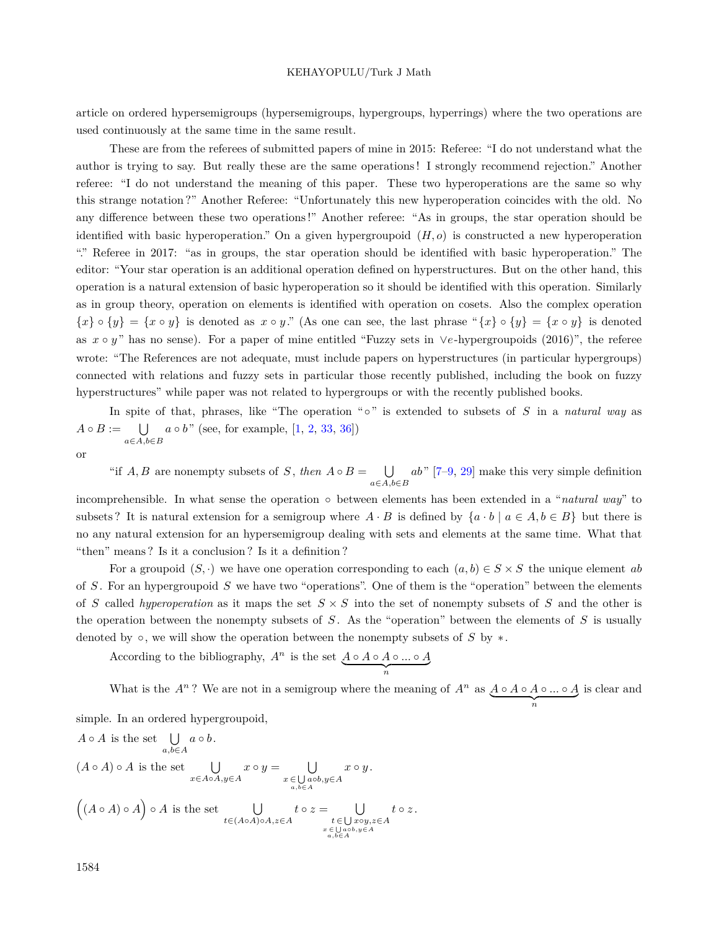article on ordered hypersemigroups (hypersemigroups, hypergroups, hyperrings) where the two operations are used continuously at the same time in the same result.

These are from the referees of submitted papers of mine in 2015: Referee: "I do not understand what the author is trying to say. But really these are the same operations ! I strongly recommend rejection." Another referee: "I do not understand the meaning of this paper. These two hyperoperations are the same so why this strange notation ?" Another Referee: "Unfortunately this new hyperoperation coincides with the old. No any difference between these two operations !" Another referee: "As in groups, the star operation should be identified with basic hyperoperation." On a given hypergroupoid  $(H, o)$  is constructed a new hyperoperation "." Referee in 2017: "as in groups, the star operation should be identified with basic hyperoperation." The editor: "Your star operation is an additional operation defined on hyperstructures. But on the other hand, this operation is a natural extension of basic hyperoperation so it should be identified with this operation. Similarly as in group theory, operation on elements is identified with operation on cosets. Also the complex operation  $\{x\} \circ \{y\} = \{x \circ y\}$  is denoted as  $x \circ y$ ." (As one can see, the last phrase " $\{x\} \circ \{y\} = \{x \circ y\}$  is denoted as *x ◦ y* " has no sense). For a paper of mine entitled "Fuzzy sets in *∨e*-hypergroupoids (2016)", the referee wrote: "The References are not adequate, must include papers on hyperstructures (in particular hypergroups) connected with relations and fuzzy sets in particular those recently published, including the book on fuzzy hyperstructures" while paper was not related to hypergroups or with the recently published books.

In spite of that, phrases, like "The operation "*◦*" is extended to subsets of *S* in a *natural way* as  $A \circ B := \bigcup \{a \circ b \}$ " (see, for example, [\[1](#page-37-0), [2](#page-37-1), [33](#page-39-0), [36](#page-39-1)]) *a∈A,b∈B* or

"if  $A, B$  are nonempty subsets of  $S$ , *then*  $A \circ B = \bigcup$ *a∈A,b∈B ab*" [\[7](#page-37-2)[–9](#page-37-3), [29](#page-38-3)] make this very simple definition

incomprehensible. In what sense the operation *◦* between elements has been extended in a "*natural way*" to subsets? It is natural extension for a semigroup where  $A \cdot B$  is defined by  $\{a \cdot b \mid a \in A, b \in B\}$  but there is no any natural extension for an hypersemigroup dealing with sets and elements at the same time. What that "then" means ? Is it a conclusion ? Is it a definition ?

For a groupoid  $(S, \cdot)$  we have one operation corresponding to each  $(a, b) \in S \times S$  the unique element *ab* of *S* . For an hypergroupoid *S* we have two "operations". One of them is the "operation" between the elements of *S* called *hyperoperation* as it maps the set  $S \times S$  into the set of nonempty subsets of *S* and the other is the operation between the nonempty subsets of *S* . As the "operation" between the elements of *S* is usually denoted by *◦*, we will show the operation between the nonempty subsets of *S* by *∗*.

According to the bibliography,  $A^n$  is the set  $\underbrace{A \circ A \circ A \circ ... \circ A}_{n}$ 

What is the  $A^n$ ? We are not in a semigroup where the meaning of  $A^n$  as  $\underbrace{A \circ A \circ A \circ \ldots \circ A}_{n}$ is clear and

*t ◦ z* .

simple. In an ordered hypergroupoid,

$$
A \circ A \text{ is the set } \bigcup_{a,b \in A} a \circ b.
$$
  
\n
$$
(A \circ A) \circ A \text{ is the set } \bigcup_{x \in A \circ A, y \in A} x \circ y = \bigcup_{\substack{x \in \bigcup a \circ b, y \in A \\ a, b \in A}} x \circ y.
$$
  
\n
$$
\left((A \circ A) \circ A\right) \circ A \text{ is the set } \bigcup_{\substack{t \in (A \circ A) \circ A, z \in A \\ t \in \bigcup a \circ b, y \in A \\ a, b \in A}} t \circ z = \bigcup_{\substack{t \in \bigcup a \circ b, y \in A \\ a, b \in A}} t \circ y.
$$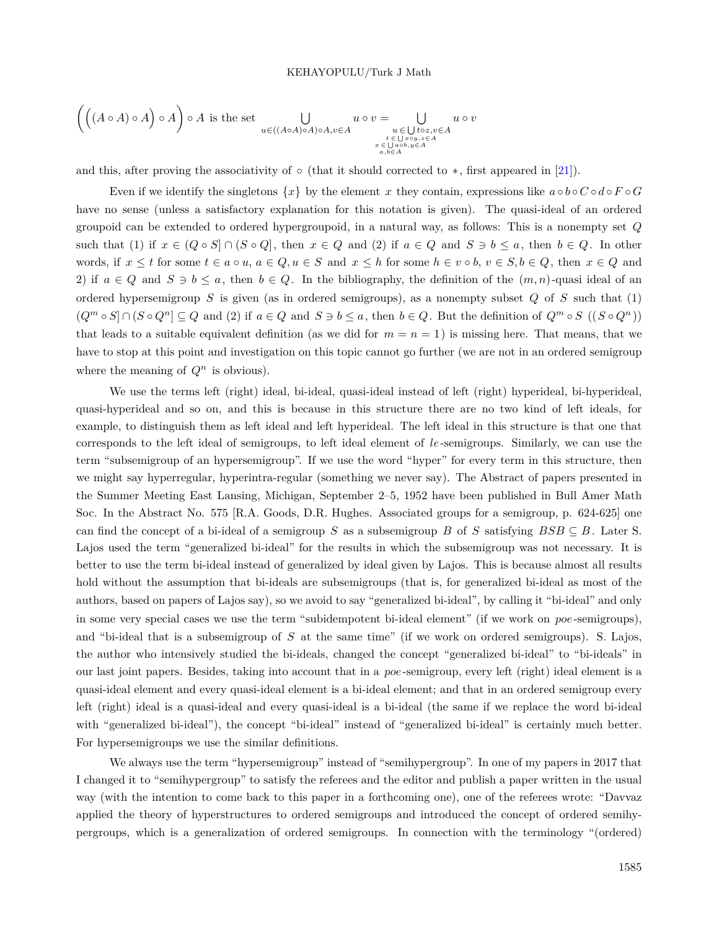$$
\left(\left((A \circ A) \circ A\right) \circ A\right) \circ A \text{ is the set } \bigcup_{\substack{u \in ((A \circ A) \circ A) \circ A, v \in A \\ u \in \bigcup_{\substack{t \in \bigcup_{a \circ b, y \in A \\ x \in \bigcup_{a,b \in A}}}} u \circ v = \bigcup_{\substack{u \in \bigcup_{b \in \mathbb{Z}, v \in A \\ x \in \bigcup_{a,b \in A}} u \circ v}{u \circ v}
$$

and this, after proving the associativity of *◦* (that it should corrected to *∗*, first appeared in [\[21](#page-38-4)]).

Even if we identify the singletons  $\{x\}$  by the element *x* they contain, expressions like  $a \circ b \circ C \circ d \circ F \circ G$ have no sense (unless a satisfactory explanation for this notation is given). The quasi-ideal of an ordered groupoid can be extended to ordered hypergroupoid, in a natural way, as follows: This is a nonempty set *Q* such that (1) if  $x \in (Q \circ S] \cap (S \circ Q)$ , then  $x \in Q$  and (2) if  $a \in Q$  and  $S \ni b \leq a$ , then  $b \in Q$ . In other words, if  $x \leq t$  for some  $t \in a \circ u$ ,  $a \in Q$ ,  $u \in S$  and  $x \leq h$  for some  $h \in v \circ b$ ,  $v \in S$ ,  $b \in Q$ , then  $x \in Q$  and 2) if  $a \in Q$  and  $S \ni b \leq a$ , then  $b \in Q$ . In the bibliography, the definition of the  $(m, n)$ -quasi ideal of an ordered hypersemigroup *S* is given (as in ordered semigroups), as a nonempty subset *Q* of *S* such that (1)  $(Q^m \circ S] \cap (S \circ Q^n] \subseteq Q$  and (2) if  $a \in Q$  and  $S \ni b \leq a$ , then  $b \in Q$ . But the definition of  $Q^m \circ S$   $((S \circ Q^n))$ that leads to a suitable equivalent definition (as we did for  $m = n = 1$ ) is missing here. That means, that we have to stop at this point and investigation on this topic cannot go further (we are not in an ordered semigroup where the meaning of  $Q^n$  is obvious).

We use the terms left (right) ideal, bi-ideal, quasi-ideal instead of left (right) hyperideal, bi-hyperideal, quasi-hyperideal and so on, and this is because in this structure there are no two kind of left ideals, for example, to distinguish them as left ideal and left hyperideal. The left ideal in this structure is that one that corresponds to the left ideal of semigroups, to left ideal element of *le*-semigroups. Similarly, we can use the term "subsemigroup of an hypersemigroup". If we use the word "hyper" for every term in this structure, then we might say hyperregular, hyperintra-regular (something we never say). The Abstract of papers presented in the Summer Meeting East Lansing, Michigan, September 2–5, 1952 have been published in Bull Amer Math Soc. In the Abstract No. 575 [R.A. Goods, D.R. Hughes. Associated groups for a semigroup, p. 624-625] one can find the concept of a bi-ideal of a semigroup *S* as a subsemigroup *B* of *S* satisfying  $BSB \subseteq B$ . Later S. Lajos used the term "generalized bi-ideal" for the results in which the subsemigroup was not necessary. It is better to use the term bi-ideal instead of generalized by ideal given by Lajos. This is because almost all results hold without the assumption that bi-ideals are subsemigroups (that is, for generalized bi-ideal as most of the authors, based on papers of Lajos say), so we avoid to say "generalized bi-ideal", by calling it "bi-ideal" and only in some very special cases we use the term "subidempotent bi-ideal element" (if we work on *poe*-semigroups), and "bi-ideal that is a subsemigroup of *S* at the same time" (if we work on ordered semigroups). S. Lajos, the author who intensively studied the bi-ideals, changed the concept "generalized bi-ideal" to "bi-ideals" in our last joint papers. Besides, taking into account that in a *poe*-semigroup, every left (right) ideal element is a quasi-ideal element and every quasi-ideal element is a bi-ideal element; and that in an ordered semigroup every left (right) ideal is a quasi-ideal and every quasi-ideal is a bi-ideal (the same if we replace the word bi-ideal with "generalized bi-ideal"), the concept "bi-ideal" instead of "generalized bi-ideal" is certainly much better. For hypersemigroups we use the similar definitions.

We always use the term "hypersemigroup" instead of "semihypergroup". In one of my papers in 2017 that I changed it to "semihypergroup" to satisfy the referees and the editor and publish a paper written in the usual way (with the intention to come back to this paper in a forthcoming one), one of the referees wrote: "Davvaz applied the theory of hyperstructures to ordered semigroups and introduced the concept of ordered semihypergroups, which is a generalization of ordered semigroups. In connection with the terminology "(ordered)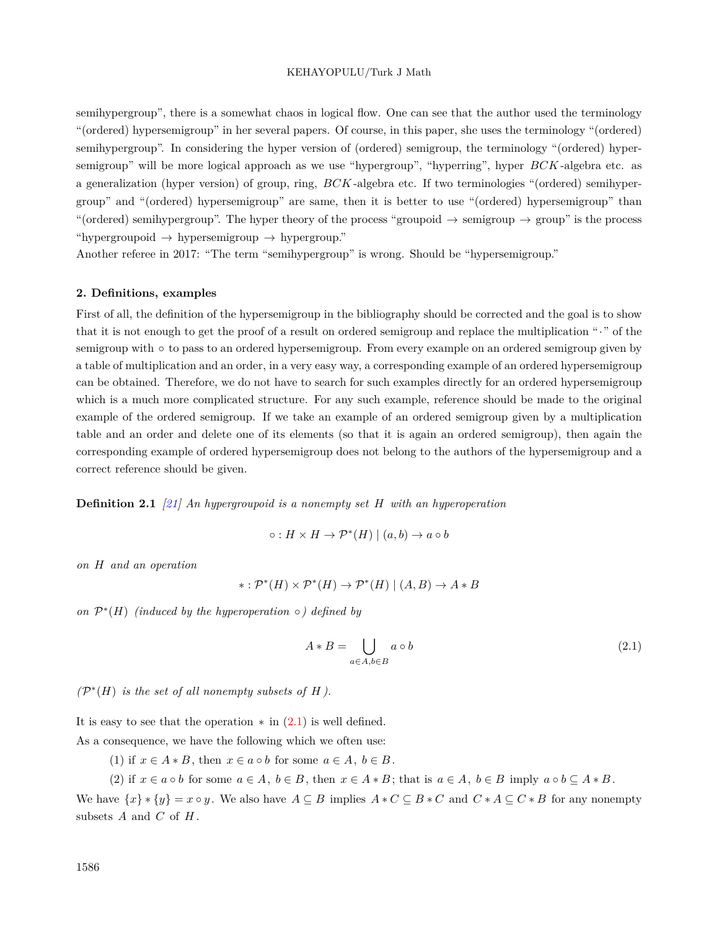semihypergroup", there is a somewhat chaos in logical flow. One can see that the author used the terminology "(ordered) hypersemigroup" in her several papers. Of course, in this paper, she uses the terminology "(ordered) semihypergroup". In considering the hyper version of (ordered) semigroup, the terminology "(ordered) hypersemigroup" will be more logical approach as we use "hypergroup", "hyperring", hyper *BCK* -algebra etc. as a generalization (hyper version) of group, ring, *BCK* -algebra etc. If two terminologies "(ordered) semihypergroup" and "(ordered) hypersemigroup" are same, then it is better to use "(ordered) hypersemigroup" than "(ordered) semihypergroup". The hyper theory of the process "groupoid *→* semigroup *→* group" is the process "hypergroupoid *→* hypersemigroup *→* hypergroup."

Another referee in 2017: "The term "semihypergroup" is wrong. Should be "hypersemigroup."

## **2. Definitions, examples**

First of all, the definition of the hypersemigroup in the bibliography should be corrected and the goal is to show that it is not enough to get the proof of a result on ordered semigroup and replace the multiplication "*·*" of the semigroup with ∘ to pass to an ordered hypersemigroup. From every example on an ordered semigroup given by a table of multiplication and an order, in a very easy way, a corresponding example of an ordered hypersemigroup can be obtained. Therefore, we do not have to search for such examples directly for an ordered hypersemigroup which is a much more complicated structure. For any such example, reference should be made to the original example of the ordered semigroup. If we take an example of an ordered semigroup given by a multiplication table and an order and delete one of its elements (so that it is again an ordered semigroup), then again the corresponding example of ordered hypersemigroup does not belong to the authors of the hypersemigroup and a correct reference should be given.

**Definition 2.1** *[\[21](#page-38-4)] An hypergroupoid is a nonempty set H with an hyperoperation*

$$
\circ: H \times H \to \mathcal{P}^*(H) \mid (a, b) \to a \circ b
$$

*on H and an operation*

$$
*:\mathcal{P}^*(H)\times\mathcal{P}^*(H)\to\mathcal{P}^*(H)\mid (A,B)\to A*B
$$

*on*  $\mathcal{P}^*(H)$  *(induced by the hyperoperation*  $\circ$ *) defined by* 

<span id="page-7-0"></span>
$$
A * B = \bigcup_{a \in A, b \in B} a \circ b \tag{2.1}
$$

 $(\mathcal{P}^*(H)$  *is the set of all nonempty subsets of H*).

It is easy to see that the operation *∗* in [\(2.1\)](#page-7-0) is well defined.

As a consequence, we have the following which we often use:

(1) if  $x \in A * B$ , then  $x \in a \circ b$  for some  $a \in A$ ,  $b \in B$ .

(2) if  $x \in a \circ b$  for some  $a \in A$ ,  $b \in B$ , then  $x \in A * B$ ; that is  $a \in A$ ,  $b \in B$  imply  $a \circ b \subseteq A * B$ .

We have  $\{x\} * \{y\} = x \circ y$ . We also have  $A \subseteq B$  implies  $A * C \subseteq B * C$  and  $C * A \subseteq C * B$  for any nonempty subsets *A* and *C* of *H* .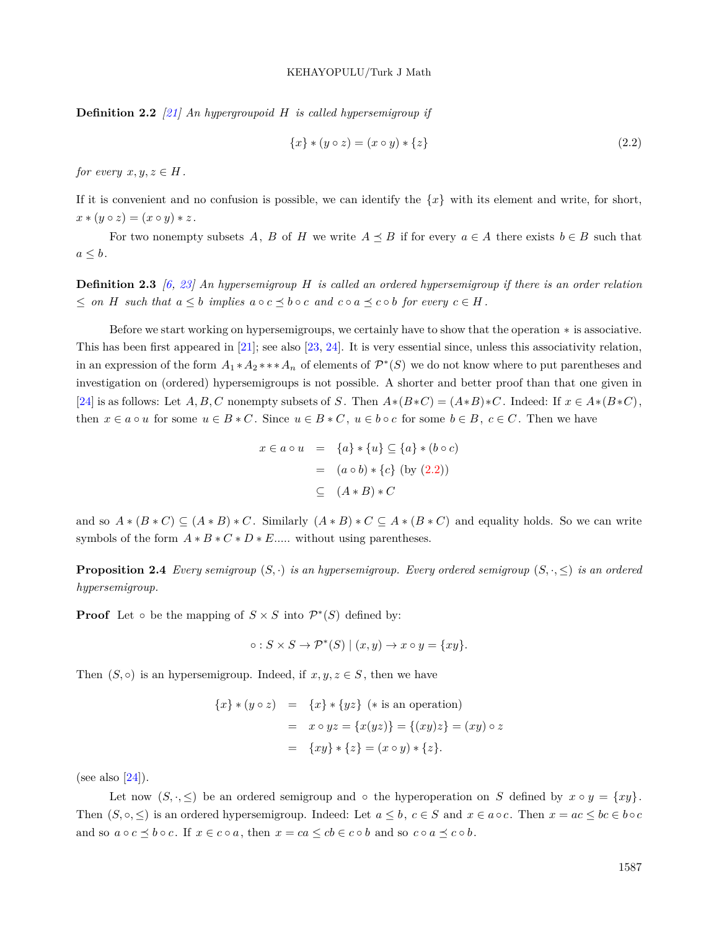**Definition 2.2** *[\[21](#page-38-4)] An hypergroupoid H is called hypersemigroup if*

<span id="page-8-0"></span>
$$
\{x\} * (y \circ z) = (x \circ y) * \{z\}
$$
\n(2.2)

*for every*  $x, y, z \in H$ .

If it is convenient and no confusion is possible, we can identify the *{x}* with its element and write, for short,  $x * (y \circ z) = (x \circ y) * z$ .

For two nonempty subsets A, B of H we write  $A \preceq B$  if for every  $a \in A$  there exists  $b \in B$  such that  $a \leq b$ .

**Definition 2.3** *[\[6](#page-37-4), [23\]](#page-38-5) An hypersemigroup H is called an ordered hypersemigroup if there is an order relation*  $\leq$  on H such that  $a \leq b$  implies  $a \circ c \preceq b \circ c$  and  $c \circ a \preceq c \circ b$  for every  $c \in H$ .

Before we start working on hypersemigroups, we certainly have to show that the operation *∗* is associative. This has been first appeared in [\[21](#page-38-4)]; see also [[23,](#page-38-5) [24\]](#page-38-6). It is very essential since, unless this associativity relation, in an expression of the form  $A_1 * A_2 * * * A_n$  of elements of  $\mathcal{P}^*(S)$  we do not know where to put parentheses and investigation on (ordered) hypersemigroups is not possible. A shorter and better proof than that one given in [[24\]](#page-38-6) is as follows: Let A, B, C nonempty subsets of S. Then  $A*(B*C) = (A*B)*C$ . Indeed: If  $x \in A*(B*C)$ , then  $x \in a \circ u$  for some  $u \in B * C$ . Since  $u \in B * C$ ,  $u \in b \circ c$  for some  $b \in B$ ,  $c \in C$ . Then we have

$$
x \in a \circ u = \{a\} * \{u\} \subseteq \{a\} * (b \circ c)
$$

$$
= (a \circ b) * \{c\} \text{ (by (2.2))}
$$

$$
\subseteq (A * B) * C
$$

and so  $A * (B * C) \subseteq (A * B) * C$ . Similarly  $(A * B) * C \subseteq A * (B * C)$  and equality holds. So we can write symbols of the form  $A * B * C * D * E$ ..... without using parentheses.

<span id="page-8-1"></span>**Proposition 2.4** *Every semigroup*  $(S, \cdot)$  *is an hypersemigroup. Every ordered semigroup*  $(S, \cdot, \leq)$  *is an ordered hypersemigroup.*

**Proof** Let  $\circ$  be the mapping of  $S \times S$  into  $\mathcal{P}^*(S)$  defined by:

$$
\circ: S \times S \to \mathcal{P}^*(S) \mid (x, y) \to x \circ y = \{xy\}.
$$

Then  $(S, \circ)$  is an hypersemigroup. Indeed, if  $x, y, z \in S$ , then we have

$$
\{x\} * (y \circ z) = \{x\} * \{yz\} (*) is an operation
$$
  
=  $x \circ yz = \{x(yz)\} = \{(xy)z\} = (xy) \circ z$   
=  $\{xy\} * \{z\} = (x \circ y) * \{z\}.$ 

(see also  $[24]$  $[24]$ ).

Let now  $(S, \cdot, \leq)$  be an ordered semigroup and  $\circ$  the hyperoperation on *S* defined by  $x \circ y = \{xy\}$ . Then  $(S, \circ, \leq)$  is an ordered hypersemigroup. Indeed: Let  $a \leq b$ ,  $c \in S$  and  $x \in a \circ c$ . Then  $x = ac \leq bc \in b \circ c$ and so  $a \circ c \preceq b \circ c$ . If  $x \in c \circ a$ , then  $x = ca \leq cb \in c \circ b$  and so  $c \circ a \preceq c \circ b$ .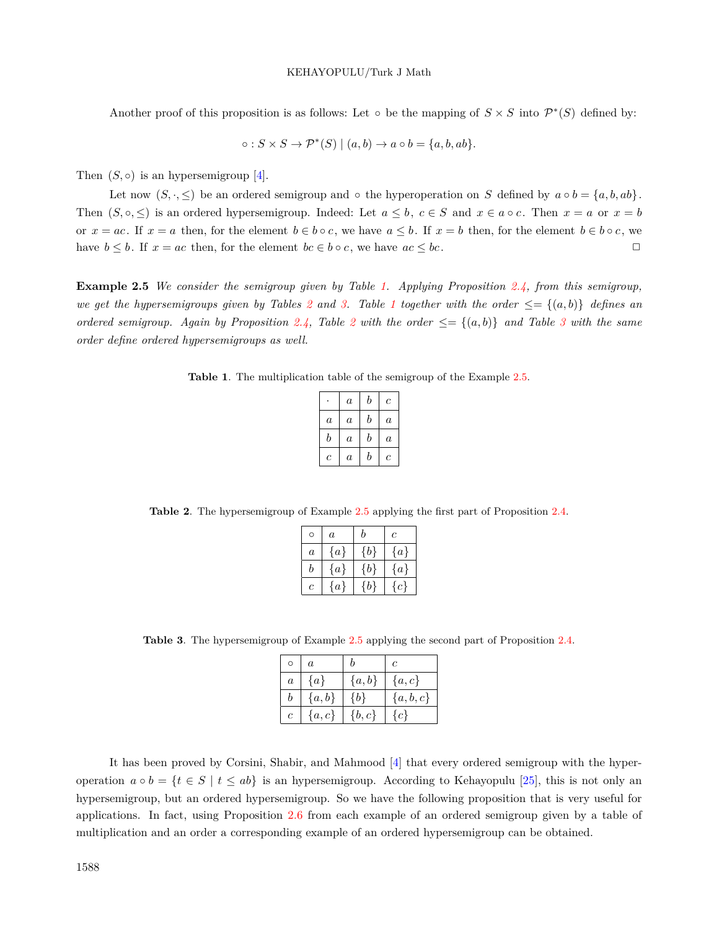Another proof of this proposition is as follows: Let  $\circ$  be the mapping of  $S \times S$  into  $\mathcal{P}^*(S)$  defined by:

$$
\circ: S \times S \to \mathcal{P}^*(S) \mid (a, b) \to a \circ b = \{a, b, ab\}.
$$

Then  $(S, \circ)$  is an hypersemigroup [\[4](#page-37-5)].

Let now  $(S, \cdot, \leq)$  be an ordered semigroup and  $\circ$  the hyperoperation on *S* defined by  $a \circ b = \{a, b, ab\}$ . Then  $(S, \circ, \leq)$  is an ordered hypersemigroup. Indeed: Let  $a \leq b$ ,  $c \in S$  and  $x \in a \circ c$ . Then  $x = a$  or  $x = b$ or  $x = ac$ . If  $x = a$  then, for the element  $b \in b \circ c$ , we have  $a \leq b$ . If  $x = b$  then, for the element  $b \in b \circ c$ , we have  $b \leq b$ . If  $x = ac$  then, for the element  $bc \in b \circ c$ , we have  $ac \leq bc$ .

<span id="page-9-3"></span>**Example 2.5** *We consider the semigroup given by Table [1.](#page-9-0) Applying Proposition [2.4](#page-8-1), from this semigroup, we get the hypersemigroups given by Tables* [2](#page-9-1) and [3.](#page-9-2) Table [1](#page-9-0) together with the order  $\leq = \{(a, b)\}\$  defines an *ordered semigroup.* Again by Proposition [2.4,](#page-8-1) Table [2](#page-9-1) with the order  $\leq = \{(a, b)\}$  and Table [3](#page-9-2) with the same *order define ordered hypersemigroups as well.*

<span id="page-9-0"></span>**Table 1**. The multiplication table of the semigroup of the Example [2.5](#page-9-3).

|                  | $\it a$          | b | с                |
|------------------|------------------|---|------------------|
| $\boldsymbol{a}$ | $\boldsymbol{a}$ | b | $\boldsymbol{a}$ |
| b                | $\it a$          | b | $\boldsymbol{a}$ |
| с                | $\it a$          | b | с                |

<span id="page-9-1"></span>**Table 2**. The hypersemigroup of Example [2.5](#page-9-3) applying the first part of Proposition [2.4.](#page-8-1)

| Ó       | $\boldsymbol{a}$ | h     | $\mathfrak c$ |
|---------|------------------|-------|---------------|
| $\it a$ | $\{a\}$          | {b}   | $\{a\}$       |
| b       | $\{a\}$          | ${b}$ | $\{a\}$       |
| Ċ       | $\{a\}$          | {b}   | $\{c\}$       |

<span id="page-9-2"></span>**Table 3**. The hypersemigroup of Example [2.5](#page-9-3) applying the second part of Proposition [2.4](#page-8-1).

| O             | $\boldsymbol{a}$ |           |           |
|---------------|------------------|-----------|-----------|
| $\it a$       | $\{a\}$          | $\{a,b\}$ | $\{a,c\}$ |
| b             | $\{a,b\}$        | $\{b\}$   | ${a,b,c}$ |
| $\mathfrak c$ | $\{a,c\}$        | $\{b,c\}$ | $\{c\}$   |

<span id="page-9-4"></span>It has been proved by Corsini, Shabir, and Mahmood [[4\]](#page-37-5) that every ordered semigroup with the hyperoperation  $a \circ b = \{t \in S \mid t \le ab\}$  is an hypersemigroup. According to Kehayopulu [\[25](#page-38-7)], this is not only an hypersemigroup, but an ordered hypersemigroup. So we have the following proposition that is very useful for applications. In fact, using Proposition [2.6](#page-9-4) from each example of an ordered semigroup given by a table of multiplication and an order a corresponding example of an ordered hypersemigroup can be obtained.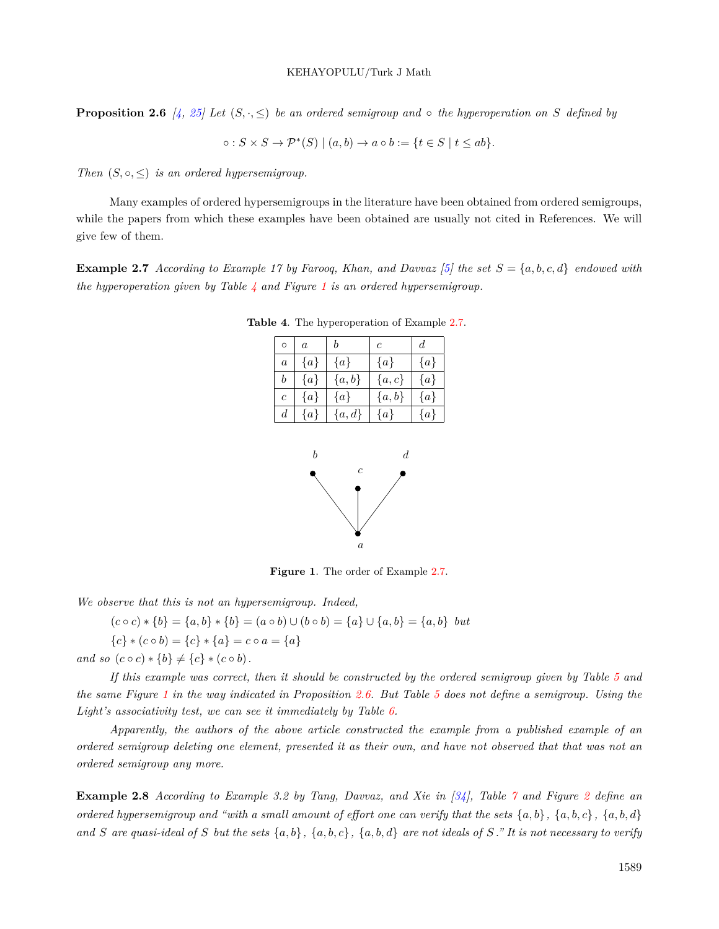**Proposition 2.6** [ $\neq$ , [25](#page-38-7)] Let  $(S, \cdot, \leq)$  be an ordered semigroup and  $\circ$  the hyperoperation on S defined by

$$
\circ: S \times S \to \mathcal{P}^*(S) \mid (a, b) \to a \circ b := \{t \in S \mid t \le ab\}.
$$

*Then*  $(S, \circ, \leq)$  *is an ordered hypersemigroup.* 

Many examples of ordered hypersemigroups in the literature have been obtained from ordered semigroups, while the papers from which these examples have been obtained are usually not cited in References. We will give few of them.

<span id="page-10-2"></span>**Example 2.7** *According to Example 17 by Farooq, Khan, and Davvaz [[5\]](#page-37-6) the set S* = *{a, b, c, d} endowed with the hyperoperation given by Table [4](#page-10-0) and Figure [1](#page-10-1) is an ordered hypersemigroup.*

<span id="page-10-0"></span>

| $\Omega$         | $\overline{a}$ |           | $\mathfrak c$ |         |
|------------------|----------------|-----------|---------------|---------|
| $\overline{a}$   | $\{a\}$        | $\{a\}$   | $\{a\}$       | $\{a\}$ |
| $\boldsymbol{b}$ | $\{a\}$        | $\{a,b\}$ | $\{a,c\}$     | $\{a\}$ |
| $\overline{c}$   | $\{a\}$        | $\{a\}$   | $\{a,b\}$     | $\{a\}$ |
| $\boldsymbol{d}$ | $\{a\}$        | $\{a,d\}$ | $\{a\}$       | $\{a\}$ |

**Table 4**. The hyperoperation of Example [2.7.](#page-10-2)



<span id="page-10-1"></span>**Figure 1**. The order of Example [2.7](#page-10-2).

*We observe that this is not an hypersemigroup. Indeed,*

 $(c \circ c) * \{b\} = \{a, b\} * \{b\} = (a \circ b) \cup (b \circ b) = \{a\} \cup \{a, b\} = \{a, b\}$  but

 ${c}$   $(c \circ b) = {c}$   $*$   ${a}$  =  ${c} \circ a = {a}$ 

*and so*  $(c \circ c) * \{b\} \neq \{c\} * (c \circ b)$ .

*If this example was correct, then it should be constructed by the ordered semigroup given by Table [5](#page-11-0) and the same Figure [1](#page-10-1) in the way indicated in Proposition [2.6.](#page-9-4) But Table [5](#page-11-0) does not define a semigroup. Using the Light's associativity test, we can see it immediately by Table [6.](#page-11-1)*

*Apparently, the authors of the above article constructed the example from a published example of an ordered semigroup deleting one element, presented it as their own, and have not observed that that was not an ordered semigroup any more.*

<span id="page-10-3"></span>**Example 2.8** *According to Example 3.2 by Tang, Davvaz, and Xie in [[34](#page-39-2)], Table [7](#page-11-2) and Figure [2](#page-11-3) define an ordered hypersemigroup and "with a small amount of effort one can verify that the sets*  $\{a, b\}$ ,  $\{a, b, c\}$ ,  $\{a, b, d\}$ and S are quasi-ideal of S but the sets  $\{a,b\}$ ,  $\{a,b,c\}$ ,  $\{a,b,d\}$  are not ideals of S." It is not necessary to verify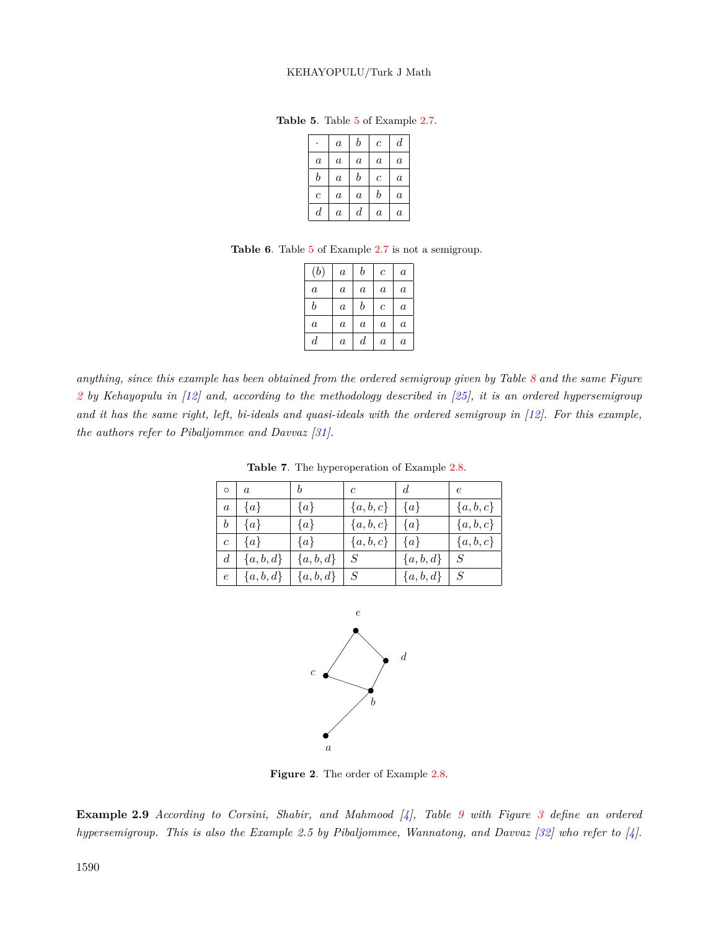**Table 5**. Table [5](#page-11-0) of Example [2.7.](#page-10-2)

<span id="page-11-0"></span>

|                  | $\alpha$       | b                | $\mathcal C$   | d        |
|------------------|----------------|------------------|----------------|----------|
| $\overline{a}$   | $\alpha$       | $\boldsymbol{a}$ | $\alpha$       | $\alpha$ |
| b                | $\alpha$       | b                | $\overline{c}$ | $\alpha$ |
| $\boldsymbol{c}$ | $\alpha$       | $\alpha$         | b              | $\alpha$ |
| $\scriptstyle d$ | $\overline{a}$ | $_{d}$           | $\alpha$       | $\alpha$ |

**Table 6**. Table [5](#page-11-0) of Example [2.7](#page-10-2) is not a semigroup.

<span id="page-11-1"></span>

| (b)              | $\boldsymbol{a}$ | b        | $\boldsymbol{c}$ | $\alpha$ |
|------------------|------------------|----------|------------------|----------|
| $\boldsymbol{a}$ | $\alpha$         | $\alpha$ | $\alpha$         | $\alpha$ |
| b                | $\alpha$         | b        | $\overline{c}$   | $\alpha$ |
| $\boldsymbol{a}$ | $\alpha$         | $\alpha$ | $\alpha$         | $\alpha$ |
| $\scriptstyle d$ | $\boldsymbol{a}$ | $_{d}$   | $\alpha$         | $\alpha$ |

*anything, since this example has been obtained from the ordered semigroup given by Table [8](#page-12-0) and the same Figure [2](#page-11-3) by Kehayopulu in [[12\]](#page-38-8) and, according to the methodology described in [\[25\]](#page-38-7), it is an ordered hypersemigroup and it has the same right, left, bi-ideals and quasi-ideals with the ordered semigroup in [[12\]](#page-38-8). For this example, the authors refer to Pibaljommee and Davvaz [\[31](#page-38-9)].*

| $\circ$        |               |            | $\mathfrak{c}$         | $\overline{d}$ | $\epsilon$    |
|----------------|---------------|------------|------------------------|----------------|---------------|
| $\overline{a}$ | $\{a\}$       | $\{a\}$    | $\{a, b, c\}$          | $\{a\}$        | $\{a, b, c\}$ |
| h              | $\{a\}$       | $\{a\}$    | ${a,b,c}$              | $\{a\}$        | ${a,b,c}$     |
| $\overline{c}$ | $\{a\}$       | $\{a\}$    | $\left\{a,b,c\right\}$ | $\{a\}$        | ${a,b,c}$     |
| $\overline{d}$ | $\{a, b, d\}$ | ${a,b,d}$  | $S_{\cdot}$            | ${a,b,d}$      | S             |
| $\epsilon$     | ${a,b,d\}$    | ${a,b,d\}$ | $\, S \,$              | ${a,b,d}$      |               |

<span id="page-11-2"></span>**Table 7**. The hyperoperation of Example [2.8.](#page-10-3)



<span id="page-11-3"></span>**Figure 2**. The order of Example [2.8](#page-10-3).

<span id="page-11-4"></span>**Example 2.9** *According to Corsini, Shabir, and Mahmood [\[4\]](#page-37-5), Table [9](#page-12-1) with Figure [3](#page-12-2) define an ordered hypersemigroup. This is also the Example 2.5 by Pibaljommee, Wannatong, and Davvaz [[32\]](#page-38-10) who refer to [[4\]](#page-37-5).*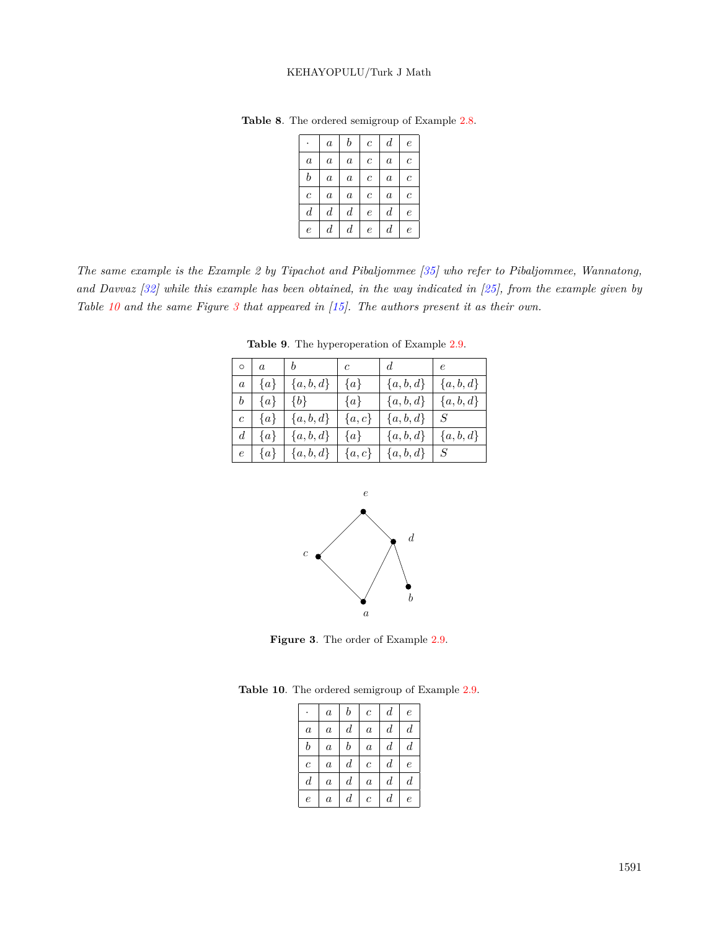<span id="page-12-0"></span>

|                  | $\boldsymbol{a}$ | $\boldsymbol{b}$ | $\boldsymbol{c}$ | $\boldsymbol{d}$ | $\epsilon$     |
|------------------|------------------|------------------|------------------|------------------|----------------|
| $\boldsymbol{a}$ | $\boldsymbol{a}$ | $\boldsymbol{a}$ | $\boldsymbol{c}$ | $\boldsymbol{a}$ | $\overline{c}$ |
| $\boldsymbol{b}$ | $\boldsymbol{a}$ | $\boldsymbol{a}$ | $\overline{c}$   | $\boldsymbol{a}$ | $\overline{c}$ |
| $\overline{c}$   | $\boldsymbol{a}$ | $\boldsymbol{a}$ | $\boldsymbol{c}$ | $\alpha$         | $\overline{c}$ |
| $\boldsymbol{d}$ | $\boldsymbol{d}$ | $\boldsymbol{d}$ | $\epsilon$       | $\boldsymbol{d}$ | $\epsilon$     |
| $\overline{e}$   | $\boldsymbol{d}$ | $\boldsymbol{d}$ | $\epsilon$       | $\boldsymbol{d}$ | $\overline{e}$ |

**Table 8**. The ordered semigroup of Example [2.8](#page-10-3).

*The same example is the Example 2 by Tipachot and Pibaljommee [\[35\]](#page-39-3) who refer to Pibaljommee, Wannatong, and Davvaz [\[32](#page-38-10)] while this example has been obtained, in the way indicated in [\[25](#page-38-7)], from the example given by Table [10](#page-12-3) and the same Figure [3](#page-12-2) that appeared in [[15\]](#page-38-11). The authors present it as their own.*

| $^{\circ}$ o $^{\circ}$ | $\overline{a}$ | $\boldsymbol{b}$ | $\overline{c}$ | $d_{-}$     | $\epsilon$  |
|-------------------------|----------------|------------------|----------------|-------------|-------------|
| $\overline{a}$          | $\{a\}$        | $\{a, b, d\}$    | $\{a\}$        | ${a,b,d}$   | ${a, b, d}$ |
| $\boldsymbol{b}$        | $\{a\}$        | $\{b\}$          | $\{a\}$        | ${a,b,d}$   | ${a, b, d}$ |
| $\overline{c}$          | $\{a\}$        | $\{a, b, d\}$    | $\{a,c\}$      | ${a, b, d}$ | $S^-$       |
| d                       | $\{a\}$        | ${a,b,d}$        | $\{a\}$        | ${a,b,d}$   | ${a, b, d}$ |
| $\epsilon$              | $\{a\}$        | $\{a,b,d\}$      | $\{a,c\}$      | ${a, b, d}$ | $S_{-}$     |

<span id="page-12-1"></span>**Table 9**. The hyperoperation of Example [2.9.](#page-11-4)



<span id="page-12-2"></span>**Figure 3**. The order of Example [2.9](#page-11-4).

<span id="page-12-4"></span>**Table 10**. The ordered semigroup of Example [2.9](#page-11-4).

<span id="page-12-3"></span>

|                  | $\boldsymbol{a}$ | b                | $\boldsymbol{c}$ | $\boldsymbol{d}$ | $\epsilon$       |
|------------------|------------------|------------------|------------------|------------------|------------------|
| $\boldsymbol{a}$ | $\boldsymbol{a}$ | $\boldsymbol{d}$ | $\alpha$         | $_{d}$           | $\boldsymbol{d}$ |
| $\boldsymbol{b}$ | $\boldsymbol{a}$ | b                | $\alpha$         | $\boldsymbol{d}$ | $_{d}$           |
| $\overline{c}$   | $\boldsymbol{a}$ | $\boldsymbol{d}$ | $\overline{c}$   | $\boldsymbol{d}$ | e                |
| $\boldsymbol{d}$ | $\boldsymbol{a}$ | $\boldsymbol{d}$ | $\boldsymbol{a}$ | $_{d}$           | $_{d}$           |
| $\epsilon$       | $\boldsymbol{a}$ | d                | $\overline{c}$   | d                | e                |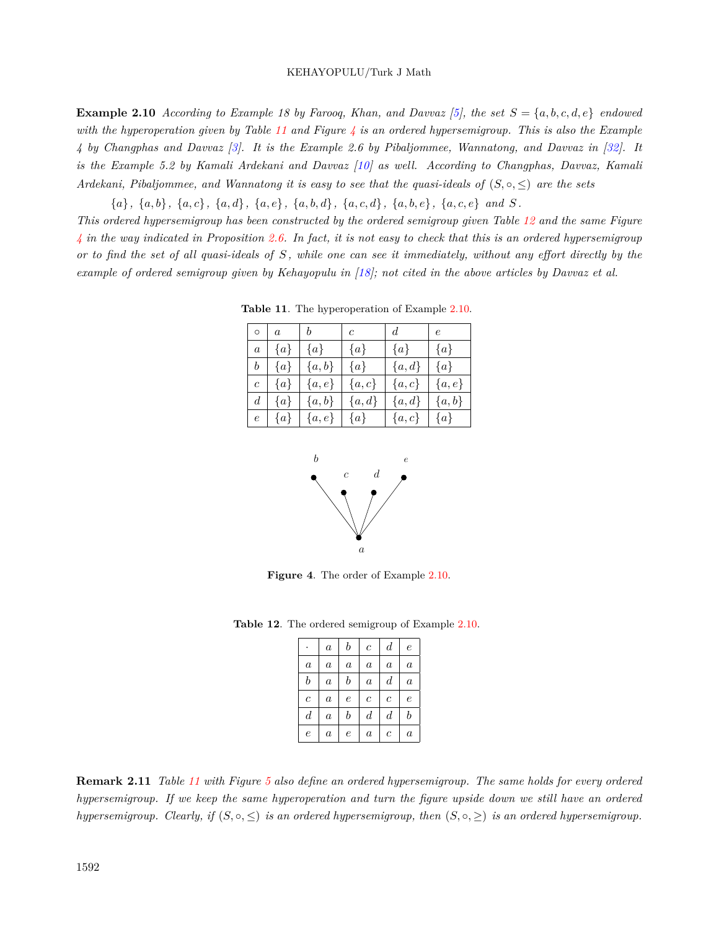**Example 2.10** *According to Example 18 by Farooq, Khan, and Davvaz [[5\]](#page-37-6), the set*  $S = \{a, b, c, d, e\}$  *endowed with the hyperoperation given by Table [11](#page-13-0) and Figure [4](#page-13-1) is an ordered hypersemigroup. This is also the Example 4 by Changphas and Davvaz [\[3](#page-37-7)]. It is the Example 2.6 by Pibaljommee, Wannatong, and Davvaz in [[32\]](#page-38-10). It is the Example 5.2 by Kamali Ardekani and Davvaz [\[10](#page-38-12)] as well. According to Changphas, Davvaz, Kamali Ardekani, Pibaljommee, and Wannatong it is easy to see that the quasi-ideals of*  $(S, \circ, \leq)$  *are the sets* 

 ${a}, {a}, {b}, {a}, {c}, {a}, {d}, {a}, {e}, {a}, {b}, {d}, {a}, {c}, {d}, {a}, {b}, {e}, {a}, {c}, {e}$  and S.

*This ordered hypersemigroup has been constructed by the ordered semigroup given Table [12](#page-13-2) and the same Figure [4](#page-13-1) in the way indicated in Proposition [2.6](#page-9-4). In fact, it is not easy to check that this is an ordered hypersemigroup or to find the set of all quasi-ideals of S , while one can see it immediately, without any effort directly by the example of ordered semigroup given by Kehayopulu in [\[18](#page-38-13)]; not cited in the above articles by Davvaz et al.*

| $\circ$        | $\alpha$ | b         | $\mathfrak{c}$ | $\overline{d}$ | $\epsilon$ |
|----------------|----------|-----------|----------------|----------------|------------|
| $\alpha$       | $\{a\}$  | $\{a\}$   | $\{a\}$        | $\{a\}$        | $\{a\}$    |
| h              | $\{a\}$  | $\{a,b\}$ | $\{a\}$        | ${a,d}$        | $\{a\}$    |
| $\overline{c}$ | $\{a\}$  | $\{a,e\}$ | $\{a,c\}$      | $\{a,c\}$      | $\{a,e\}$  |
| d.             | $\{a\}$  | $\{a,b\}$ | $\{a,d\}$      | $\{a,d\}$      | $\{a,b\}$  |
| $\epsilon$     | $\{a\}$  | $\{a,e\}$ | $\{a\}$        | $\{a,c\}$      | $\{a\}$    |

<span id="page-13-0"></span>**Table 11**. The hyperoperation of Example [2.10.](#page-12-4)



<span id="page-13-1"></span>**Figure 4**. The order of Example [2.10](#page-12-4).

<span id="page-13-2"></span>

|                  | $\boldsymbol{a}$ | $\boldsymbol{b}$ | $\boldsymbol{c}$ | $\boldsymbol{d}$ | $\epsilon$       |
|------------------|------------------|------------------|------------------|------------------|------------------|
| $\alpha$         | $\alpha$         | $\alpha$         | $\boldsymbol{a}$ | $\boldsymbol{a}$ | $\boldsymbol{a}$ |
| $\boldsymbol{b}$ | $\alpha$         | $\boldsymbol{b}$ | $\boldsymbol{a}$ | $\boldsymbol{d}$ | $\alpha$         |
| $\boldsymbol{c}$ | $\alpha$         | $\boldsymbol{e}$ | $\boldsymbol{c}$ | $\boldsymbol{c}$ | $\boldsymbol{e}$ |
| $\boldsymbol{d}$ | $\alpha$         | $\boldsymbol{b}$ | $\overline{d}$   | $\boldsymbol{d}$ | $\boldsymbol{b}$ |
| $\epsilon$       | $\it a$          | $\epsilon$       | $\alpha$         | $\overline{c}$   | $\alpha$         |

**Table 12**. The ordered semigroup of Example [2.10](#page-12-4).

<span id="page-13-4"></span><span id="page-13-3"></span>**Remark 2.11** *Table [11](#page-13-0) with Figure [5](#page-14-0) also define an ordered hypersemigroup. The same holds for every ordered hypersemigroup. If we keep the same hyperoperation and turn the figure upside down we still have an ordered hypersemigroup. Clearly, if*  $(S, \circ, \leq)$  *is an ordered hypersemigroup, then*  $(S, \circ, \geq)$  *is an ordered hypersemigroup.*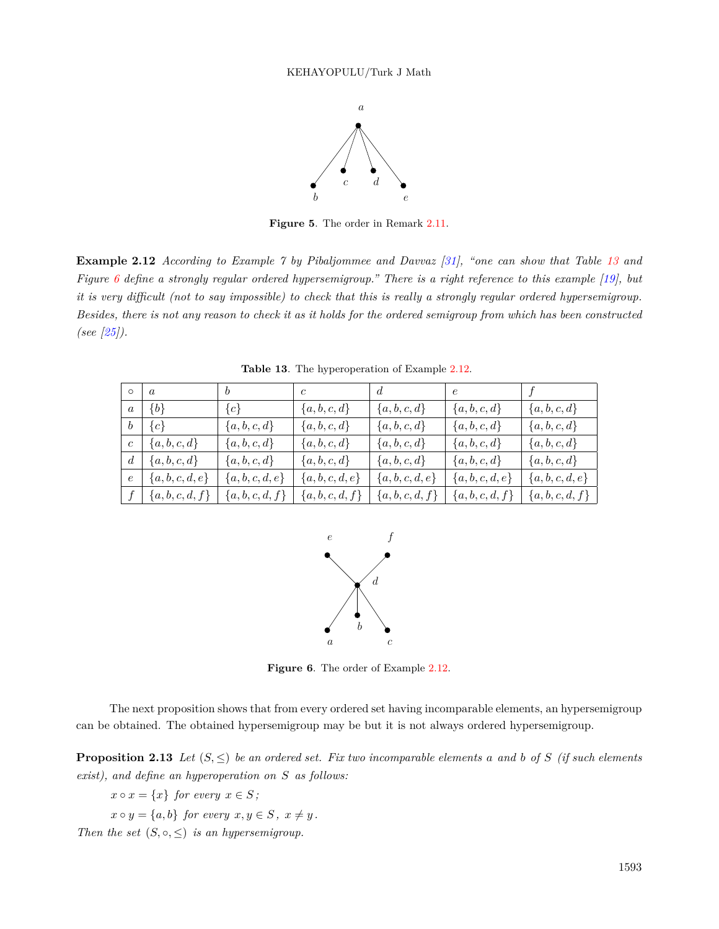

<span id="page-14-0"></span>**Figure 5**. The order in Remark [2.11.](#page-13-3)

**Example 2.12** *According to Example 7 by Pibaljommee and Davvaz [\[31\]](#page-38-9), "one can show that Table [13](#page-14-1) and Figure [6](#page-14-2) define a strongly regular ordered hypersemigroup." There is a right reference to this example [[19\]](#page-38-14), but it is very difficult (not to say impossible) to check that this is really a strongly regular ordered hypersemigroup. Besides, there is not any reason to check it as it holds for the ordered semigroup from which has been constructed (see [\[25\]](#page-38-7)).*

| $\circ$          | $\overline{a}$  | $\begin{array}{cc} & b \end{array}$ | $\overline{c}$  | d             | e               |                  |
|------------------|-----------------|-------------------------------------|-----------------|---------------|-----------------|------------------|
| a                | $\{b\}$         | ${c}$                               | ${a,b,c,d}$     | $\{a,b,c,d\}$ | $\{a,b,c,d\}$   | $\{a, b, c, d\}$ |
| $\boldsymbol{b}$ | ${c}$           | ${a,b,c,d}$                         | ${a,b,c,d}$     | $\{a,b,c,d\}$ | $\{a,b,c,d\}$   | $\{a,b,c,d\}$    |
| $\overline{c}$   | ${a,b,c,d}$     | ${a,b,c,d}$                         | ${a,b,c,d}$     | $\{a,b,c,d\}$ | $\{a,b,c,d\}$   | $\{a,b,c,d\}$    |
| $\overline{d}$   | $\{a,b,c,d\}$   | $\{a,b,c,d\}$                       | ${a,b,c,d}$     | $\{a,b,c,d\}$ | $\{a,b,c,d\}$   | $\{a,b,c,d\}$    |
| $\epsilon$       | $\{a,b,c,d,e\}$ | ${a,b,c,d,e}$                       | $\{a,b,c,d,e\}$ | ${a,b,c,d,e}$ | $\{a,b,c,d,e\}$ | $\{a,b,c,d,e\}$  |
|                  | $\{a,b,c,d,f\}$ | $\{a,b,c,d,f\}$                     | ${a,b,c,d,f}$   | ${a,b,c,d,f}$ | ${a,b,c,d,f}$   | ${a,b,c,d,f}$    |

<span id="page-14-1"></span>**Table 13**. The hyperoperation of Example [2.12.](#page-13-4)



<span id="page-14-2"></span>**Figure 6**. The order of Example [2.12](#page-13-4).

The next proposition shows that from every ordered set having incomparable elements, an hypersemigroup can be obtained. The obtained hypersemigroup may be but it is not always ordered hypersemigroup.

<span id="page-14-3"></span>**Proposition 2.13** Let  $(S, \leq)$  be an ordered set. Fix two incomparable elements a and b of *S* (if such elements *exist), and define an hyperoperation on S as follows:*

 $x \circ x = \{x\}$  *for every*  $x \in S$ ;  $x \circ y = \{a, b\}$  *for every*  $x, y \in S$ ,  $x \neq y$ . *Then the set*  $(S, \circ, \leq)$  *is an hypersemigroup.*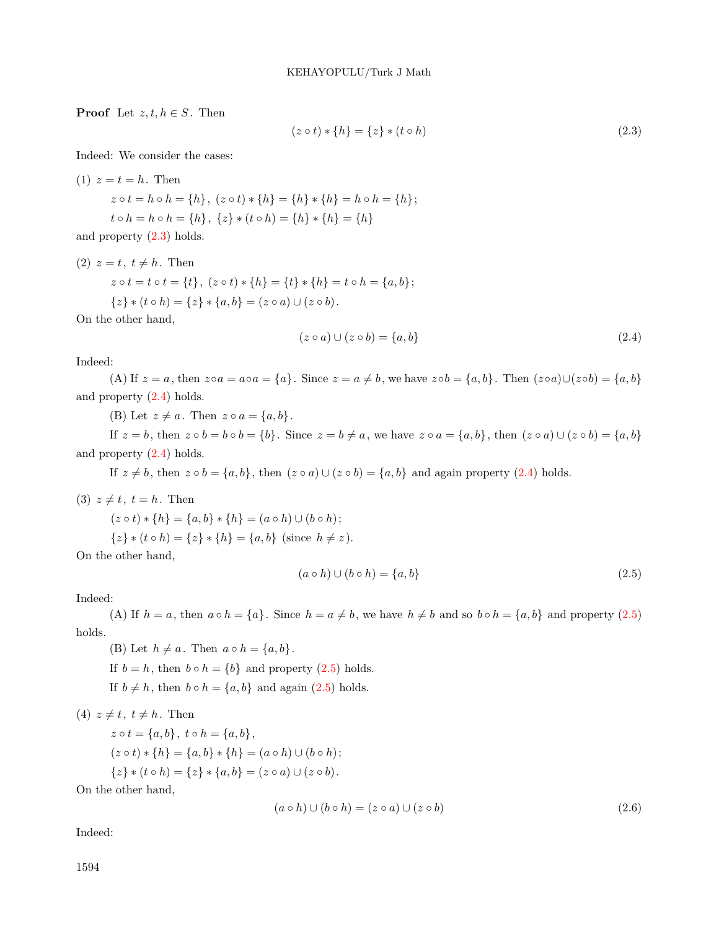**Proof** Let  $z, t, h \in S$ . Then

<span id="page-15-0"></span>
$$
(z \circ t) * \{h\} = \{z\} * (t \circ h)
$$
\n<sup>(2.3)</sup>

Indeed: We consider the cases:

(1) 
$$
z = t = h
$$
. Then  
\n $z \circ t = h \circ h = \{h\}, (z \circ t) * \{h\} = \{h\} * \{h\} = h \circ h = \{h\};$   
\n $t \circ h = h \circ h = \{h\}, \{z\} * (t \circ h) = \{h\} * \{h\} = \{h\}$ 

and property ([2.3\)](#page-15-0) holds.

(2) 
$$
z = t, t \neq h
$$
. Then  
\n $z \circ t = t \circ t = \{t\}, (z \circ t) * \{h\} = \{t\} * \{h\} = t \circ h = \{a, b\};$   
\n $\{z\} * (t \circ h) = \{z\} * \{a, b\} = (z \circ a) \cup (z \circ b).$ 

<span id="page-15-1"></span>On the other hand,

$$
(z \circ a) \cup (z \circ b) = \{a, b\} \tag{2.4}
$$

Indeed:

(A) If  $z = a$ , then  $z \circ a = a \circ a = \{a\}$ . Since  $z = a \neq b$ , we have  $z \circ b = \{a, b\}$ . Then  $(z \circ a) \cup (z \circ b) = \{a, b\}$ and property ([2.4\)](#page-15-1) holds.

(B) Let  $z \neq a$ . Then  $z \circ a = \{a, b\}$ .

If  $z = b$ , then  $z \circ b = b \circ b = \{b\}$ . Since  $z = b \neq a$ , we have  $z \circ a = \{a, b\}$ , then  $(z \circ a) \cup (z \circ b) = \{a, b\}$ and property ([2.4\)](#page-15-1) holds.

If  $z \neq b$ , then  $z \circ b = \{a, b\}$ , then  $(z \circ a) \cup (z \circ b) = \{a, b\}$  and again property ([2.4](#page-15-1)) holds.

(3) 
$$
z \neq t
$$
,  $t = h$ . Then

<span id="page-15-2"></span>
$$
(z \circ t) * \{h\} = \{a, b\} * \{h\} = (a \circ h) \cup (b \circ h);
$$
  

$$
\{z\} * (t \circ h) = \{z\} * \{h\} = \{a, b\} \text{ (since } h \neq z).
$$

On the other hand,

$$
(a \circ h) \cup (b \circ h) = \{a, b\}
$$
\n
$$
(2.5)
$$

## Indeed:

(A) If  $h = a$ , then  $a \circ h = \{a\}$ . Since  $h = a \neq b$ , we have  $h \neq b$  and so  $b \circ h = \{a, b\}$  and property [\(2.5\)](#page-15-2) holds.

(B) Let  $h \neq a$ . Then  $a \circ h = \{a, b\}$ . If  $b = h$ , then  $b \circ h = \{b\}$  and property ([2.5](#page-15-2)) holds. If  $b \neq h$ , then  $b \circ h = \{a, b\}$  and again [\(2.5\)](#page-15-2) holds.

 $(4)$   $z \neq t$ ,  $t \neq h$ . Then

<span id="page-15-3"></span> $z \circ t = \{a, b\}, t \circ h = \{a, b\},$  $(z \circ t) * \{h\} = \{a, b\} * \{h\} = (a \circ h) \cup (b \circ h);$ *{z***}**  $*$  (*t*  $\circ$  *h*) = {*z***}**  $*$  {*a, b*} = (*z*  $\circ$  *a*) ∪ (*z* $\circ$  *b*).

On the other hand,

$$
(a \circ h) \cup (b \circ h) = (z \circ a) \cup (z \circ b)
$$
\n
$$
(2.6)
$$

Indeed: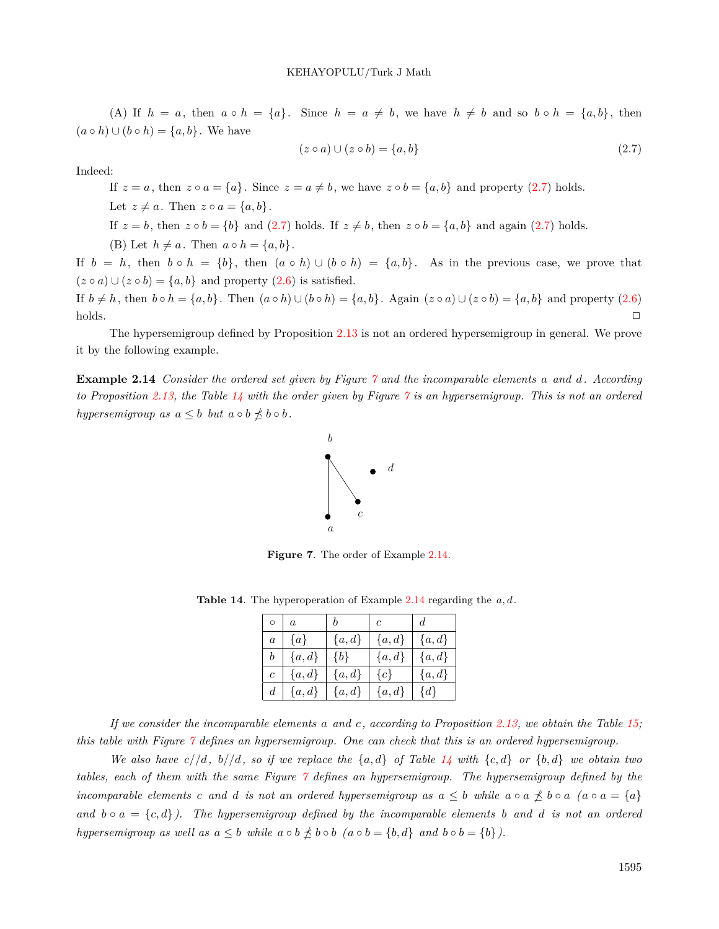(A) If  $h = a$ , then  $a \circ h = \{a\}$ . Since  $h = a \neq b$ , we have  $h \neq b$  and so  $b \circ h = \{a, b\}$ , then  $(a \circ h) \cup (b \circ h) = \{a, b\}$ . We have

<span id="page-16-0"></span>
$$
(z \circ a) \cup (z \circ b) = \{a, b\} \tag{2.7}
$$

Indeed:

If  $z = a$ , then  $z \circ a = \{a\}$ . Since  $z = a \neq b$ , we have  $z \circ b = \{a, b\}$  and property [\(2.7\)](#page-16-0) holds. Let  $z \neq a$ . Then  $z \circ a = \{a, b\}$ . If  $z = b$ , then  $z \circ b = \{b\}$  and  $(2.7)$  $(2.7)$  holds. If  $z \neq b$ , then  $z \circ b = \{a, b\}$  and again  $(2.7)$  $(2.7)$  holds. (B) Let  $h \neq a$ . Then  $a \circ h = \{a, b\}$ .

If  $b = h$ , then  $b \circ h = \{b\}$ , then  $(a \circ h) \cup (b \circ h) = \{a, b\}$ . As in the previous case, we prove that  $(z \circ a) \cup (z \circ b) = \{a, b\}$  and property  $(2.6)$  $(2.6)$  $(2.6)$  is satisfied.

If  $b \neq h$ , then  $b \circ h = \{a, b\}$ . Then  $(a \circ h) \cup (b \circ h) = \{a, b\}$ . Again  $(z \circ a) \cup (z \circ b) = \{a, b\}$  and property [\(2.6\)](#page-15-3) holds. *✷*

The hypersemigroup defined by Proposition [2.13](#page-14-3) is not an ordered hypersemigroup in general. We prove it by the following example.

<span id="page-16-3"></span>**Example 2.14** *Consider the ordered set given by Figure [7](#page-16-1) and the incomparable elements a and d. According to Proposition [2.13,](#page-14-3) the Table [14](#page-16-2) with the order given by Figure [7](#page-16-1) is an hypersemigroup. This is not an ordered hypersemigroup as*  $a \leq b$  *but*  $a \circ b \nleq b \circ b$ .



<span id="page-16-1"></span>**Figure 7**. The order of Example [2.14](#page-16-3).

<span id="page-16-2"></span>

| $\circ$        | $\overline{a}$ |           | $\overline{c}$ |           |
|----------------|----------------|-----------|----------------|-----------|
| $\overline{a}$ | $\{a\}$        | ${a,d}$   | ${a,d}$        | ${a,d}$   |
| h              | ${a,d}$        | $\{b\}$   | ${a,d}$        | ${a,d}$   |
| $\overline{c}$ | ${a,d}$        | $\{a,d\}$ | ${c}$          | $\{a,d\}$ |
|                | ${a,d}$        | $\{a,d\}$ | ${a,d}$        | $\{d\}$   |

**Table 14**. The hyperoperation of Example [2.14](#page-16-3) regarding the *a, d*.

*If we consider the incomparable elements a and c, according to Proposition [2.13,](#page-14-3) we obtain the Table [15;](#page-17-0) this table with Figure [7](#page-16-1) defines an hypersemigroup. One can check that this is an ordered hypersemigroup.*

We also have  $c/d$ ,  $b/d$ , so if we replace the  $\{a,d\}$  of Table [14](#page-16-2) with  $\{c,d\}$  or  $\{b,d\}$  we obtain two *tables, each of them with the same Figure [7](#page-16-1) defines an hypersemigroup. The hypersemigroup defined by the* incomparable elements c and d is not an ordered hypersemigroup as  $a \leq b$  while  $a \circ a \npreceq b \circ a$  ( $a \circ a = \{a\}$ ) and  $b \circ a = \{c, d\}$ . The hypersemigroup defined by the incomparable elements *b* and *d* is not an ordered hypersemigroup as well as  $a \leq b$  while  $a \circ b \nleq b \circ b$   $(a \circ b = \{b, d\}$  and  $b \circ b = \{b\}$ .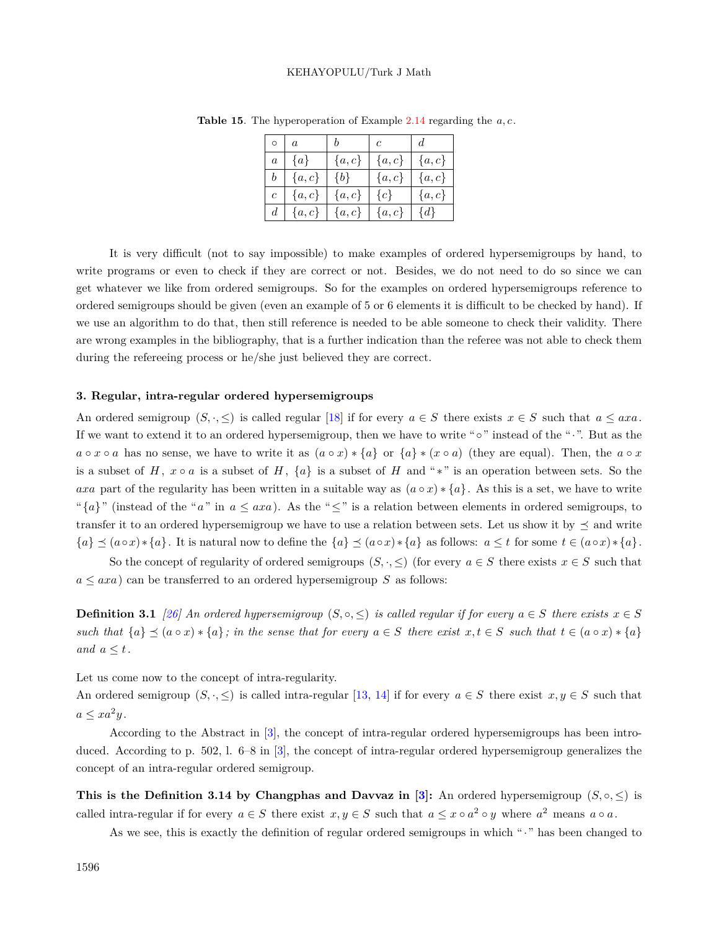<span id="page-17-0"></span>

|                  |           |           | $\mathfrak c$ |           |
|------------------|-----------|-----------|---------------|-----------|
| $\overline{a}$   | $\{a\}$   | $\{a,c\}$ | $\{a,c\}$     | $\{a,c\}$ |
|                  | ${a, c}$  | ${b}$     | $\{a,c\}$     | $\{a,c\}$ |
| $\epsilon$       | $\{a,c\}$ | ${a, c}$  | $\{c\}$       | $\{a,c\}$ |
| $\boldsymbol{d}$ | a, c      | $\{a,c\}$ | $\{a,c\}$     | $\{d\}$   |

**Table 15**. The hyperoperation of Example [2.14](#page-16-3) regarding the *a, c* .

It is very difficult (not to say impossible) to make examples of ordered hypersemigroups by hand, to write programs or even to check if they are correct or not. Besides, we do not need to do so since we can get whatever we like from ordered semigroups. So for the examples on ordered hypersemigroups reference to ordered semigroups should be given (even an example of 5 or 6 elements it is difficult to be checked by hand). If we use an algorithm to do that, then still reference is needed to be able someone to check their validity. There are wrong examples in the bibliography, that is a further indication than the referee was not able to check them during the refereeing process or he/she just believed they are correct.

#### **3. Regular, intra-regular ordered hypersemigroups**

An ordered semigroup  $(S, \cdot, \leq)$  is called regular [[18\]](#page-38-13) if for every  $a \in S$  there exists  $x \in S$  such that  $a \leq axa$ . If we want to extend it to an ordered hypersemigroup, then we have to write "*◦*" instead of the "*·*". But as the  $a \circ x \circ a$  has no sense, we have to write it as  $(a \circ x) * \{a\}$  or  $\{a\} * (x \circ a)$  (they are equal). Then, the  $a \circ x$ is a subset of *H*,  $x \circ a$  is a subset of *H*,  $\{a\}$  is a subset of *H* and "\*" is an operation between sets. So the *axa* part of the regularity has been written in a suitable way as  $(a \circ x) * \{a\}$ . As this is a set, we have to write " ${a}$ " (instead of the "*a*" in  $a \leq axa$ ). As the " $\leq$ " is a relation between elements in ordered semigroups, to transfer it to an ordered hypersemigroup we have to use a relation between sets. Let us show it by  $\preceq$  and write  ${a} \leq (a \circ x) * \{a\}$ . It is natural now to define the  ${a} \leq (a \circ x) * \{a\}$  as follows:  $a \leq t$  for some  $t \in (a \circ x) * \{a\}$ .

So the concept of regularity of ordered semigroups  $(S, \cdot, \leq)$  (for every  $a \in S$  there exists  $x \in S$  such that  $a \leq axa$ ) can be transferred to an ordered hypersemigroup *S* as follows:

**Definition 3.1** [\[26](#page-38-15)] An ordered hypersemigroup  $(S, \circ, \leq)$  is called regular if for every  $a \in S$  there exists  $x \in S$ such that  $\{a\} \preceq (a \circ x) * \{a\}$ ; in the sense that for every  $a \in S$  there exist  $x, t \in S$  such that  $t \in (a \circ x) * \{a\}$ *and*  $a \leq t$ .

Let us come now to the concept of intra-regularity.

An ordered semigroup  $(S, \cdot, \leq)$  is called intra-regular [\[13](#page-38-16), [14](#page-38-17)] if for every  $a \in S$  there exist  $x, y \in S$  such that  $a \leq xa^2y$ .

According to the Abstract in [[3\]](#page-37-7), the concept of intra-regular ordered hypersemigroups has been intro-duced. According to p. 502, l. 6–8 in [\[3](#page-37-7)], the concept of intra-regular ordered hypersemigroup generalizes the concept of an intra-regular ordered semigroup.

**This is the Definition 3.14 by Changphas and Davvaz in [\[3](#page-37-7)]: An ordered hypersemigroup**  $(S, \circ, \leq)$  **is** called intra-regular if for every  $a \in S$  there exist  $x, y \in S$  such that  $a \leq x \circ a^2 \circ y$  where  $a^2$  means  $a \circ a$ .

As we see, this is exactly the definition of regular ordered semigroups in which "*·*" has been changed to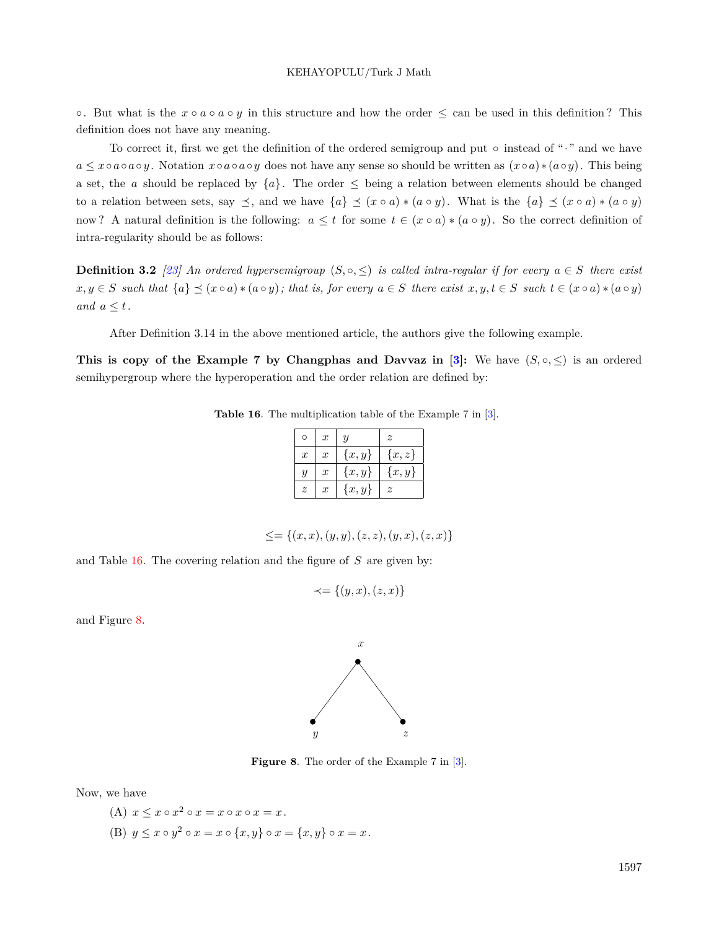*◦*. But what is the *x ◦ a ◦ a ◦ y* in this structure and how the order *≤* can be used in this definition ? This definition does not have any meaning.

To correct it, first we get the definition of the ordered semigroup and put *◦* instead of "*·*" and we have  $a \leq x \circ a \circ a \circ y$ . Notation  $x \circ a \circ a \circ y$  does not have any sense so should be written as  $(x \circ a) * (a \circ y)$ . This being a set, the *a* should be replaced by  ${a}$ . The order  $\leq$  being a relation between elements should be changed to a relation between sets, say  $\preceq$ , and we have  $\{a\} \preceq (x \circ a) * (a \circ y)$ . What is the  $\{a\} \preceq (x \circ a) * (a \circ y)$ now? A natural definition is the following:  $a \leq t$  for some  $t \in (x \circ a) * (a \circ y)$ . So the correct definition of intra-regularity should be as follows:

**Definition 3.2** [\[23](#page-38-5)] An ordered hypersemigroup  $(S, \circ, \leq)$  is called intra-regular if for every  $a \in S$  there exist  $x, y \in S$  such that  $\{a\} \preceq (x \circ a) * (a \circ y)$ ; that is, for every  $a \in S$  there exist  $x, y, t \in S$  such  $t \in (x \circ a) * (a \circ y)$ *and*  $a \leq t$ .

After Definition 3.14 in the above mentioned article, the authors give the following example.

**This is copy of the Example 7 by Changphas and Davvaz in [[3\]](#page-37-7):** We have  $(S, \circ, \leq)$  is an ordered semihypergroup where the hyperoperation and the order relation are defined by:

| <b>Table 16.</b> The multiplication table of the Example 7 in $[3]$ . |  |
|-----------------------------------------------------------------------|--|
|-----------------------------------------------------------------------|--|

<span id="page-18-0"></span>

|                  | $\boldsymbol{x}$ | $\boldsymbol{y}$ | z         |
|------------------|------------------|------------------|-----------|
| $\boldsymbol{x}$ | $\boldsymbol{x}$ | ${x, y}$         | $\{x,z\}$ |
| Ų                | $\boldsymbol{x}$ | $\{x,y\}$        | $\{x,y\}$ |
| z                | $\boldsymbol{x}$ | $\{x,y\}$        | z.        |

$$
\leq = \{(x, x), (y, y), (z, z), (y, x), (z, x)\}
$$

and Table [16.](#page-18-0) The covering relation and the figure of *S* are given by:

$$
\prec = \{(y, x), (z, x)\}
$$

and Figure [8.](#page-18-1)



<span id="page-18-1"></span>**Figure 8**. The order of the Example 7 in [\[3\]](#page-37-7).

Now, we have

(A)  $x \leq x \circ x^2 \circ x = x \circ x \circ x = x$ . (B)  $y \leq x \circ y^2 \circ x = x \circ \{x, y\} \circ x = \{x, y\} \circ x = x$ .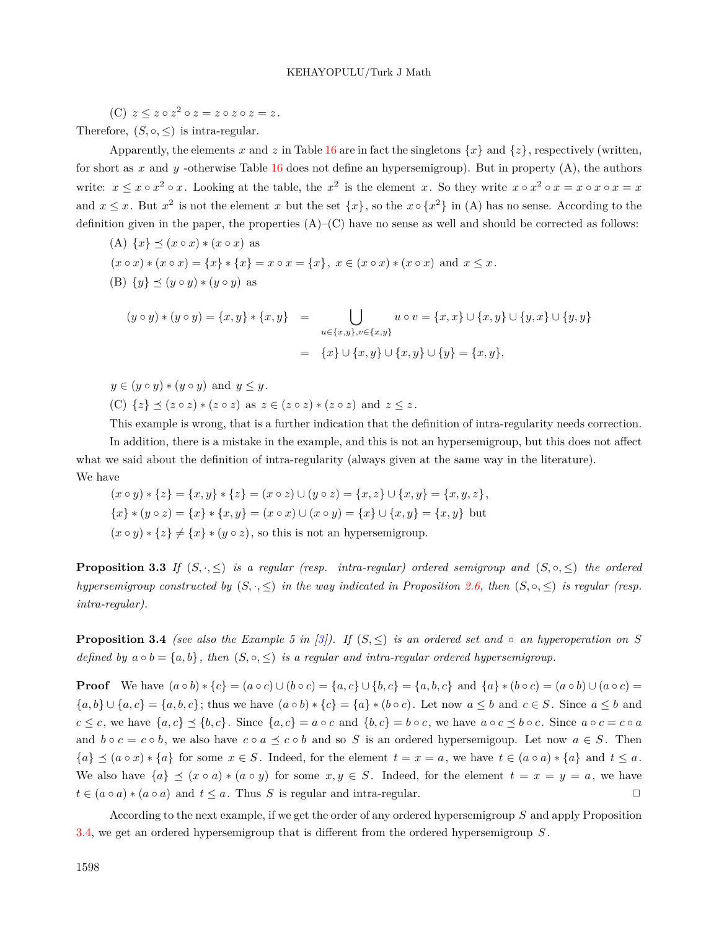$(C)$   $z \leq z \circ z^2 \circ z = z \circ z \circ z \circ z = z$ .

Therefore,  $(S, \circ, \leq)$  is intra-regular.

Apparently, the elements *x* and *z* in Table [16](#page-18-0) are in fact the singletons  $\{x\}$  and  $\{z\}$ , respectively (written, for short as  $x$  and  $y$  -otherwise Table [16](#page-18-0) does not define an hypersemigroup). But in property  $(A)$ , the authors write:  $x \le x \circ x^2 \circ x$ . Looking at the table, the  $x^2$  is the element x. So they write  $x \circ x^2 \circ x = x \circ x \circ x = x$ and  $x \leq x$ . But  $x^2$  is not the element *x* but the set  $\{x\}$ , so the  $x \circ \{x^2\}$  in (A) has no sense. According to the definition given in the paper, the properties  $(A)$ – $(C)$  have no sense as well and should be corrected as follows:

(A) 
$$
\{x\} \preceq (x \circ x) * (x \circ x)
$$
 as  
\n $(x \circ x) * (x \circ x) = \{x\} * \{x\} = x \circ x = \{x\}, x \in (x \circ x) * (x \circ x)$  and  $x \le x$ .  
\n(B)  $\{y\} \preceq (y \circ y) * (y \circ y)$  as

$$
(y \circ y) * (y \circ y) = \{x, y\} * \{x, y\} = \bigcup_{u \in \{x, y\}, v \in \{x, y\}} u \circ v = \{x, x\} \cup \{x, y\} \cup \{y, x\} \cup \{y, y\}
$$

$$
= \{x\} \cup \{x, y\} \cup \{y, y\} \cup \{y\} = \{x, y\},
$$

 $y \in (y \circ y) * (y \circ y)$  and  $y \leq y$ . (C)  $\{z\} \preceq (z \circ z) * (z \circ z)$  as  $z \in (z \circ z) * (z \circ z)$  and  $z \leq z$ .

This example is wrong, that is a further indication that the definition of intra-regularity needs correction.

In addition, there is a mistake in the example, and this is not an hypersemigroup, but this does not affect what we said about the definition of intra-regularity (always given at the same way in the literature). We have

$$
(x \circ y) * \{z\} = \{x, y\} * \{z\} = (x \circ z) \cup (y \circ z) = \{x, z\} \cup \{x, y\} = \{x, y, z\},\
$$
  

$$
\{x\} * (y \circ z) = \{x\} * \{x, y\} = (x \circ x) \cup (x \circ y) = \{x\} \cup \{x, y\} = \{x, y\}
$$
 but  

$$
(x \circ y) * \{z\} \neq \{x\} * (y \circ z),
$$
 so this is not an hypersemigroup.

**Proposition 3.3** *If*  $(S, \cdot, \leq)$  *is a regular (resp. intra-regular) ordered semigroup and*  $(S, \circ, \leq)$  *the ordered hypersemigroup constructed by*  $(S, \cdot, \leq)$  *in the way indicated in Proposition* [2.6,](#page-9-4) *then*  $(S, \circ, \leq)$  *is regular (resp. intra-regular).*

<span id="page-19-0"></span>**Proposition 3.4** *(see also the Example 5 in [[3\]](#page-37-7)).* If  $(S, \leq)$  *is an ordered set and*  $\circ$  *an hyperoperation on S defined by*  $a \circ b = \{a, b\}$ , then  $(S, \circ, \leq)$  *is a regular and intra-regular ordered hypersemigroup.* 

**Proof** We have  $(a \circ b) * \{c\} = (a \circ c) \cup (b \circ c) = \{a, c\} \cup \{b, c\} = \{a, b, c\}$  and  $\{a\} * (b \circ c) = (a \circ b) \cup (a \circ c) =$  $\{a,b\}\cup\{a,c\}=\{a,b,c\}$ ; thus we have  $(a\circ b)*\{c\}=\{a\}*(b\circ c)$ . Let now  $a\leq b$  and  $c\in S$ . Since  $a\leq b$  and  $c \leq c$ , we have  $\{a,c\} \leq \{b,c\}$ . Since  $\{a,c\} = a \circ c$  and  $\{b,c\} = b \circ c$ , we have  $a \circ c \leq b \circ c$ . Since  $a \circ c = c \circ a$ and  $b \circ c = c \circ b$ , we also have  $c \circ a \preceq c \circ b$  and so *S* is an ordered hypersemigoup. Let now  $a \in S$ . Then  ${a} \leq (a \circ x) * \{a\}$  for some  $x \in S$ . Indeed, for the element  $t = x = a$ , we have  $t \in (a \circ a) * \{a\}$  and  $t \leq a$ . We also have  $\{a\} \preceq (x \circ a) * (a \circ y)$  for some  $x, y \in S$ . Indeed, for the element  $t = x = y = a$ , we have  $t \in (a \circ a) * (a \circ a)$  and  $t \leq a$ . Thus *S* is regular and intra-regular.  $\Box$ 

<span id="page-19-1"></span>According to the next example, if we get the order of any ordered hypersemigroup *S* and apply Proposition [3.4,](#page-19-0) we get an ordered hypersemigroup that is different from the ordered hypersemigroup *S* .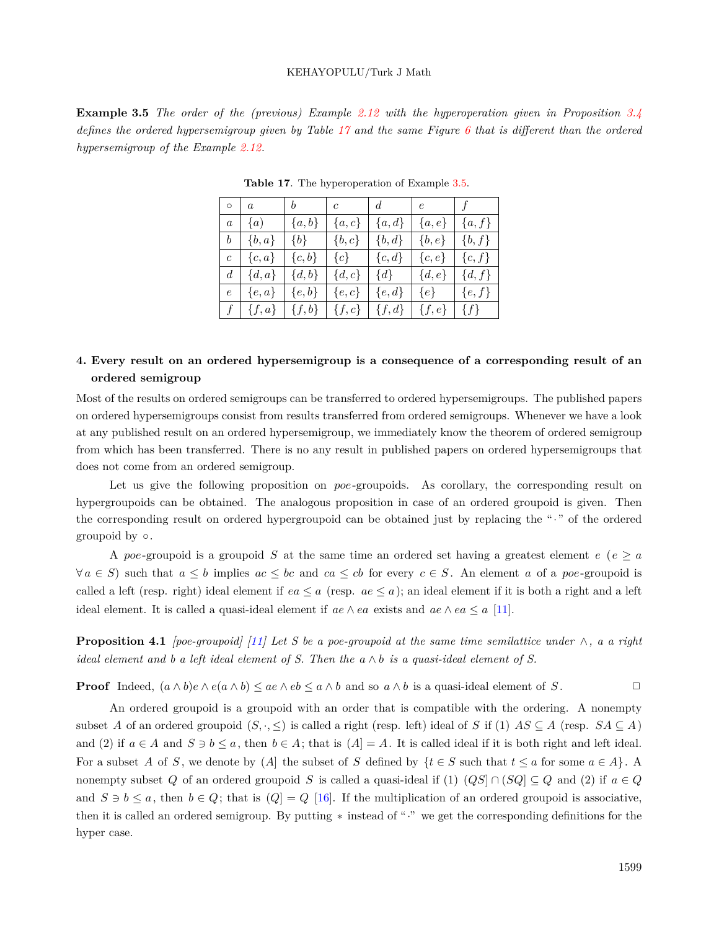**Example 3.5** *The order of the (previous) Example [2.12](#page-13-4) with the hyperoperation given in Proposition [3.4](#page-19-0) defines the ordered hypersemigroup given by Table [17](#page-20-0) and the same Figure [6](#page-14-2) that is different than the ordered hypersemigroup of the Example [2.12](#page-13-4).*

|                | $\circ$   $a$                        | $\begin{array}{ c c } \hline b \end{array}$ | $\frac{1}{c}$ | d          | e          | $\tau$     |
|----------------|--------------------------------------|---------------------------------------------|---------------|------------|------------|------------|
|                | $a \mid \{a\}$                       | $\{a,b\}$                                   | $\{a,c\}$     | ${a,d}$    | $\{a,e\}$  | ${a, f}$   |
| b <sub>1</sub> | $\{b,a\}$                            | $\{b\}$                                     | $\{b,c\}$     | $\{b, d\}$ | $\{b,e\}$  | $\{b,f\}$  |
| $\overline{c}$ | $\{c,a\}$                            | $\{c, b\}$                                  | $\{c\}$       | $\{c,d\}$  | $\{c, e\}$ | $\{c,f\}$  |
| $d_{-}$        | $\left[ \left\{ d,a\right\} \right]$ | $\{d,b\}$                                   | $\{d,c\}$     | $\{d\}$    | $\{d,e\}$  | $\{d, f\}$ |
| $\epsilon$     | $\{e,a\}$                            | $\{e,b\}$                                   | $\{e,c\}$     | $\{e,d\}$  | $\{e\}$    | $\{e,f\}$  |
|                | $f \mid \{f,a\}$                     | $\{f,b\}$                                   | $\{f,c\}$     | $\{f,d\}$  | $\{f,e\}$  | $\{f\}$    |

<span id="page-20-0"></span>**Table 17**. The hyperoperation of Example [3.5](#page-19-1).

## **4. Every result on an ordered hypersemigroup is a consequence of a corresponding result of an ordered semigroup**

Most of the results on ordered semigroups can be transferred to ordered hypersemigroups. The published papers on ordered hypersemigroups consist from results transferred from ordered semigroups. Whenever we have a look at any published result on an ordered hypersemigroup, we immediately know the theorem of ordered semigroup from which has been transferred. There is no any result in published papers on ordered hypersemigroups that does not come from an ordered semigroup.

Let us give the following proposition on *poe*-groupoids. As corollary, the corresponding result on hypergroupoids can be obtained. The analogous proposition in case of an ordered groupoid is given. Then the corresponding result on ordered hypergroupoid can be obtained just by replacing the "*·*" of the ordered groupoid by *◦*.

A *poe*-groupoid is a groupoid *S* at the same time an ordered set having a greatest element  $e \ (e \ge a)$  $\forall a \in S$  such that  $a \leq b$  implies  $ac \leq bc$  and  $ca \leq cb$  for every  $c \in S$ . An element a of a poe-groupoid is called a left (resp. right) ideal element if  $ea \leq a$  (resp.  $ae \leq a$ ); an ideal element if it is both a right and a left ideal element. It is called a quasi-ideal element if  $ae \wedge ea$  exists and  $ae \wedge ea \leq a$  [[11\]](#page-38-18).

<span id="page-20-1"></span>**Proposition 4.1** *[poe-groupoid]* [\[11\]](#page-38-18) Let S be a poe-groupoid at the same time semilattice under  $\wedge$ , a a right *ideal element and b a left ideal element of S. Then the a ∧ b is a quasi-ideal element of S.*

**Proof** Indeed,  $(a \wedge b)e \wedge e(a \wedge b) \leq ae \wedge eb \leq a \wedge b$  and so  $a \wedge b$  is a quasi-ideal element of S.

An ordered groupoid is a groupoid with an order that is compatible with the ordering. A nonempty subset *A* of an ordered groupoid  $(S, \cdot, \leq)$  is called a right (resp. left) ideal of *S* if (1)  $AS \subseteq A$  (resp.  $SA \subseteq A$ ) and (2) if  $a \in A$  and  $S \ni b \leq a$ , then  $b \in A$ ; that is  $(A) = A$ . It is called ideal if it is both right and left ideal. For a subset *A* of *S*, we denote by  $(A)$  the subset of *S* defined by  $\{t \in S \text{ such that } t \leq a \text{ for some } a \in A\}$ . A nonempty subset *Q* of an ordered groupoid *S* is called a quasi-ideal if (1)  $(QS \cap (SQ) \subseteq Q$  and (2) if  $a \in Q$ and  $S \ni b \leq a$ , then  $b \in Q$ ; that is  $(Q] = Q$  [[16](#page-38-0)]. If the multiplication of an ordered groupoid is associative, then it is called an ordered semigroup. By putting *∗* instead of "*·*" we get the corresponding definitions for the hyper case.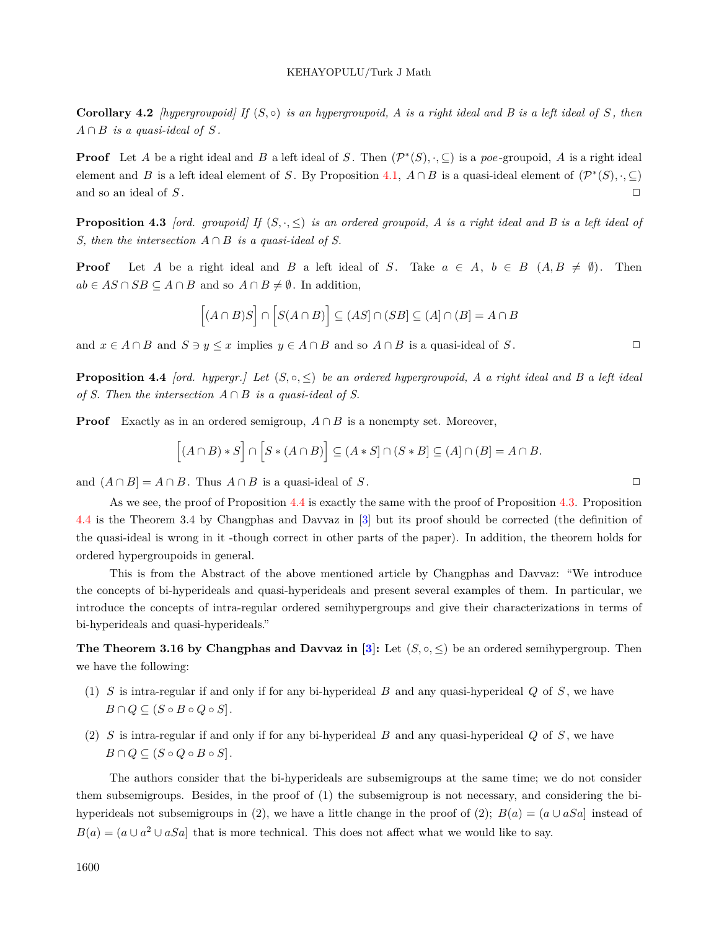**Corollary 4.2** *[hypergroupoid]* If  $(S, \circ)$  *is an hypergroupoid, A is a right ideal and B is a left ideal of*  $S$ , *then*  $A \cap B$  *is a quasi-ideal of*  $S$ .

**Proof** Let *A* be a right ideal and *B* a left ideal of *S*. Then  $(\mathcal{P}^*(S), \cdot, \subseteq)$  is a *poe*-groupoid, *A* is a right ideal element and *B* is a left ideal element of *S*. By Proposition [4.1,](#page-20-1)  $A \cap B$  is a quasi-ideal element of  $(\mathcal{P}^*(S), \cdot, \subseteq)$ and so an ideal of  $S$ .  $\Box$ 

<span id="page-21-1"></span>**Proposition 4.3** *[ord. groupoid] If* (*S, ·, ≤*) *is an ordered groupoid, A is a right ideal and B is a left ideal of S, then the intersection*  $A \cap B$  *is a quasi-ideal of S.* 

**Proof** Let *A* be a right ideal and *B* a left ideal of *S*. Take  $a \in A$ ,  $b \in B$   $(A, B \neq \emptyset)$ . Then  $ab \in AS \cap SB \subseteq A \cap B$  and so  $A \cap B \neq \emptyset$ . In addition,

$$
[(A \cap B)S] \cap [S(A \cap B)] \subseteq (AS] \cap (SB] \subseteq (A] \cap (B] = A \cap B
$$

<span id="page-21-0"></span>and  $x \in A \cap B$  and  $S \ni y \leq x$  implies  $y \in A \cap B$  and so  $A \cap B$  is a quasi-ideal of *S*.

**Proposition 4.4** *[ord. hypergr.]* Let  $(S, \circ, \leq)$  be an ordered hypergroupoid, A a right ideal and B a left ideal *of S. Then the intersection*  $A \cap B$  *is a quasi-ideal of S.* 

**Proof** Exactly as in an ordered semigroup,  $A \cap B$  is a nonempty set. Moreover,

$$
[(A \cap B) * S] \cap [S * (A \cap B)] \subseteq (A * S] \cap (S * B] \subseteq (A] \cap (B) = A \cap B.
$$

and  $(A \cap B] = A \cap B$ . Thus  $A \cap B$  is a quasi-ideal of *S*.

As we see, the proof of Proposition [4.4](#page-21-0) is exactly the same with the proof of Proposition [4.3](#page-21-1). Proposition [4.4](#page-21-0) is the Theorem 3.4 by Changphas and Davvaz in [\[3](#page-37-7)] but its proof should be corrected (the definition of the quasi-ideal is wrong in it -though correct in other parts of the paper). In addition, the theorem holds for ordered hypergroupoids in general.

This is from the Abstract of the above mentioned article by Changphas and Davvaz: "We introduce the concepts of bi-hyperideals and quasi-hyperideals and present several examples of them. In particular, we introduce the concepts of intra-regular ordered semihypergroups and give their characterizations in terms of bi-hyperideals and quasi-hyperideals."

**The Theorem 3.16 by Changphas and Davvaz in**  $[3]$  $[3]$ **:** Let  $(S, \circ, \leq)$  be an ordered semihypergroup. Then we have the following:

- (1) *S* is intra-regular if and only if for any bi-hyperideal *B* and any quasi-hyperideal *Q* of *S* , we have  $B \cap Q \subseteq (S \circ B \circ Q \circ S).$
- (2) *S* is intra-regular if and only if for any bi-hyperideal *B* and any quasi-hyperideal *Q* of *S* , we have  $B \cap Q \subseteq (S \circ Q \circ B \circ S].$

The authors consider that the bi-hyperideals are subsemigroups at the same time; we do not consider them subsemigroups. Besides, in the proof of (1) the subsemigroup is not necessary, and considering the bihyperideals not subsemigroups in (2), we have a little change in the proof of (2);  $B(a) = (a \cup aSa)$  instead of  $B(a) = (a \cup a^2 \cup aSa]$  that is more technical. This does not affect what we would like to say.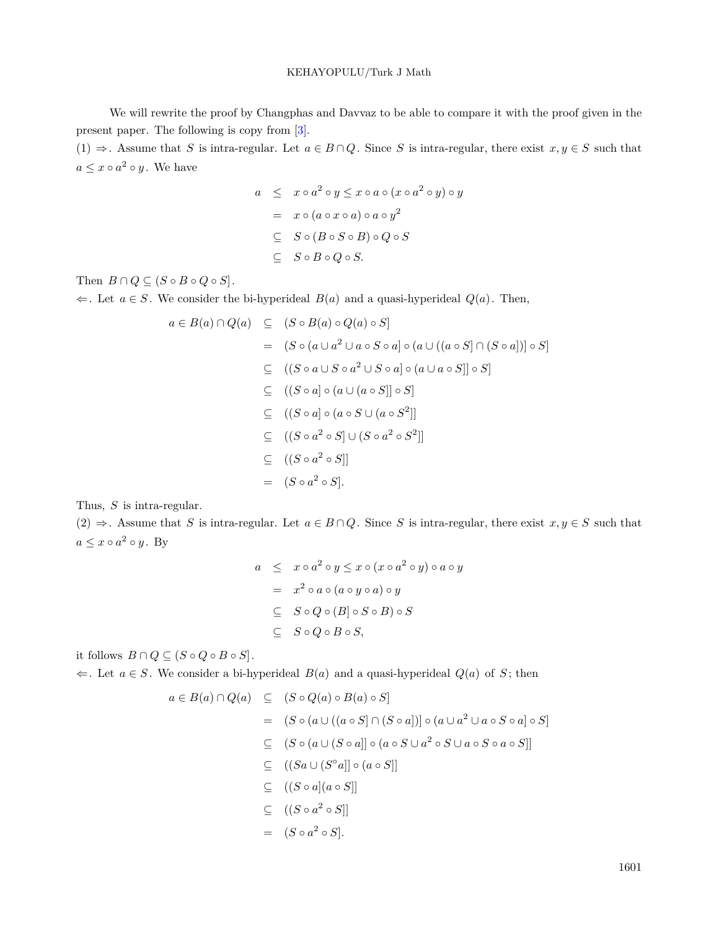We will rewrite the proof by Changphas and Davvaz to be able to compare it with the proof given in the present paper. The following is copy from [[3\]](#page-37-7).

(1)  $\Rightarrow$  Assume that *S* is intra-regular. Let *a* ∈ *B* ∩ *Q*. Since *S* is intra-regular, there exist *x*, *y* ∈ *S* such that  $a \leq x \circ a^2 \circ y$ . We have

$$
a \leq x \circ a^2 \circ y \leq x \circ a \circ (x \circ a^2 \circ y) \circ y
$$
  
=  $x \circ (a \circ x \circ a) \circ a \circ y^2$   
 $\subseteq S \circ (B \circ S \circ B) \circ Q \circ S$   
 $\subseteq S \circ B \circ Q \circ S.$ 

Then  $B \cap Q \subseteq (S \circ B \circ Q \circ S)$ .

*⇐*. Let *a ∈ S* . We consider the bi-hyperideal *B*(*a*) and a quasi-hyperideal *Q*(*a*). Then,

$$
a \in B(a) \cap Q(a) \subseteq (S \circ B(a) \circ Q(a) \circ S]
$$
  
\n
$$
= (S \circ (a \cup a^2 \cup a \circ S \circ a) \circ (a \cup ((a \circ S) \cap (S \circ a))) \circ S]
$$
  
\n
$$
\subseteq ((S \circ a \cup S \circ a^2 \cup S \circ a) \circ (a \cup a \circ S)] \circ S]
$$
  
\n
$$
\subseteq ((S \circ a) \circ (a \cup (a \circ S)] \circ S]
$$
  
\n
$$
\subseteq ((S \circ a) \circ (a \circ S \cup (a \circ S^2))
$$
  
\n
$$
\subseteq ((S \circ a^2 \circ S) \cup (S \circ a^2 \circ S^2))
$$
  
\n
$$
= (S \circ a^2 \circ S].
$$

Thus, *S* is intra-regular.

(2)  $\Rightarrow$  Assume that *S* is intra-regular. Let *a* ∈ *B* ∩ *Q*. Since *S* is intra-regular, there exist *x*, *y* ∈ *S* such that  $a \leq x \circ a^2 \circ y$ . By

$$
a \leq x \circ a^2 \circ y \leq x \circ (x \circ a^2 \circ y) \circ a \circ y
$$
  
=  $x^2 \circ a \circ (a \circ y \circ a) \circ y$   
 $\subseteq S \circ Q \circ (B] \circ S \circ B) \circ S$   
 $\subseteq S \circ Q \circ B \circ S$ ,

it follows  $B \cap Q \subseteq (S \circ Q \circ B \circ S)$ .

*⇐*. Let *a ∈ S* . We consider a bi-hyperideal *B*(*a*) and a quasi-hyperideal *Q*(*a*) of *S* ; then

$$
a \in B(a) \cap Q(a) \subseteq (S \circ Q(a) \circ B(a) \circ S]
$$
  
=  $(S \circ (a \cup ((a \circ S) \cap (S \circ a))) \circ (a \cup a^2 \cup a \circ S \circ a) \circ S)$   
 $\subseteq (S \circ (a \cup (S \circ a)) \circ (a \circ S \cup a^2 \circ S \cup a \circ S \circ a \circ S)]$   
 $\subseteq ((Sa \cup (S \circ a)] \circ (a \circ S)]$   
 $\subseteq ((S \circ a)(a \circ S)]$   
 $\subseteq ((S \circ a^2 \circ S)]$   
=  $(S \circ a^2 \circ S).$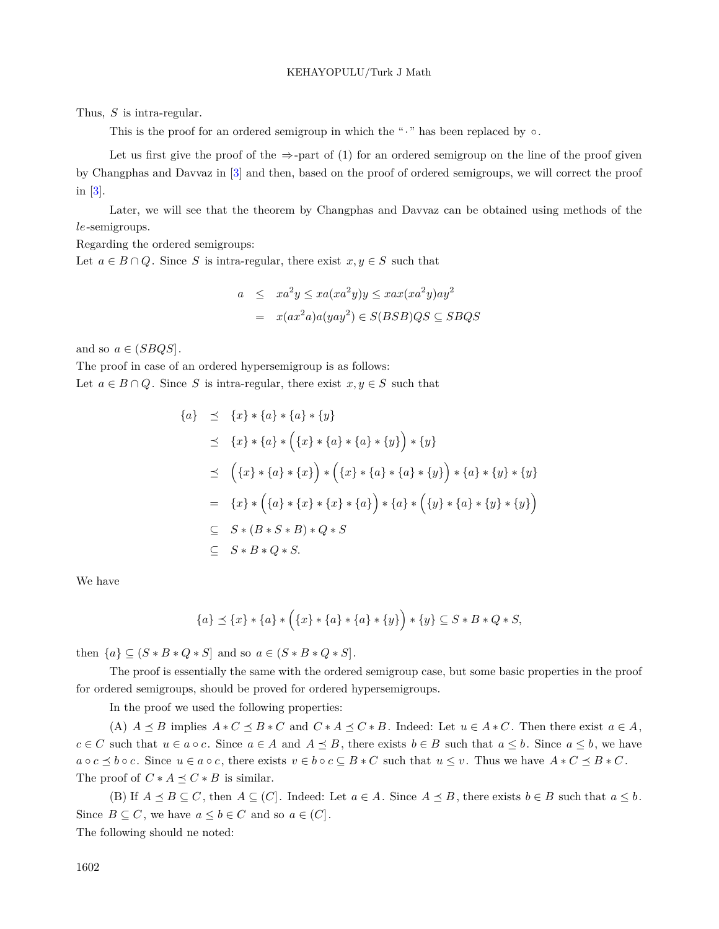Thus, *S* is intra-regular.

This is the proof for an ordered semigroup in which the "*·*" has been replaced by *◦*.

Let us first give the proof of the  $\Rightarrow$ -part of (1) for an ordered semigroup on the line of the proof given by Changphas and Davvaz in [[3\]](#page-37-7) and then, based on the proof of ordered semigroups, we will correct the proof in [\[3](#page-37-7)].

Later, we will see that the theorem by Changphas and Davvaz can be obtained using methods of the *le*-semigroups.

Regarding the ordered semigroups:

Let  $a \in B \cap Q$ . Since *S* is intra-regular, there exist  $x, y \in S$  such that

$$
a \leq xa^2y \leq xa(xa^2y)y \leq xax(xa^2y)ay^2
$$

$$
= x(ax^2a)a(yay^2) \in S(BSB)QS \subseteq SBQS
$$

and so  $a \in (SBQS]$ .

The proof in case of an ordered hypersemigroup is as follows: Let  $a \in B \cap Q$ . Since *S* is intra-regular, there exist  $x, y \in S$  such that

$$
\{a\} \preceq \{x\} * \{a\} * \{a\} * \{y\}
$$
  
\n
$$
\preceq \{x\} * \{a\} * \left(\{x\} * \{a\} * \{y\}\right) * \{y\}
$$
  
\n
$$
\preceq \left(\{x\} * \{a\} * \{x\}\right) * \left(\{x\} * \{a\} * \{a\} * \{y\}\right) * \{a\} * \{y\} * \{y\}
$$
  
\n
$$
\preceq \left(\{x\} * \{a\} * \{x\}\right) * \left(\{x\} * \{a\} * \{a\} * \{y\}\right) * \{a\} * \{y\} * \{y\}
$$
  
\n
$$
= \{x\} * \left(\{a\} * \{x\} * \{a\}\right) * \{a\} * \left(\{y\} * \{a\} * \{y\} * \{y\}\right)
$$
  
\n
$$
\subseteq S * (B * S * B) * Q * S
$$
  
\n
$$
\subseteq S * B * Q * S.
$$

We have

$$
\{a\} \preceq \{x\} * \{a\} * \Big(\{x\} * \{a\} * \{y\}\Big) * \{y\} \subseteq S * B * Q * S,
$$

then  $\{a\} \subseteq (S * B * Q * S]$  and so  $a \in (S * B * Q * S]$ .

The proof is essentially the same with the ordered semigroup case, but some basic properties in the proof for ordered semigroups, should be proved for ordered hypersemigroups.

In the proof we used the following properties:

(A)  $A \preceq B$  implies  $A * C \preceq B * C$  and  $C * A \preceq C * B$ . Indeed: Let  $u \in A * C$ . Then there exist  $a \in A$ ,  $c \in C$  such that  $u \in a \circ c$ . Since  $a \in A$  and  $A \preceq B$ , there exists  $b \in B$  such that  $a \leq b$ . Since  $a \leq b$ , we have  $a \circ c \preceq b \circ c$ . Since  $u \in a \circ c$ , there exists  $v \in b \circ c \subseteq B * C$  such that  $u \leq v$ . Thus we have  $A * C \preceq B * C$ . The proof of  $C * A \preceq C * B$  is similar.

(B) If  $A \preceq B \subseteq C$ , then  $A \subseteq (C]$ . Indeed: Let  $a \in A$ . Since  $A \preceq B$ , there exists  $b \in B$  such that  $a \leq b$ . Since  $B \subseteq C$ , we have  $a \leq b \in C$  and so  $a \in (C]$ .

The following should ne noted: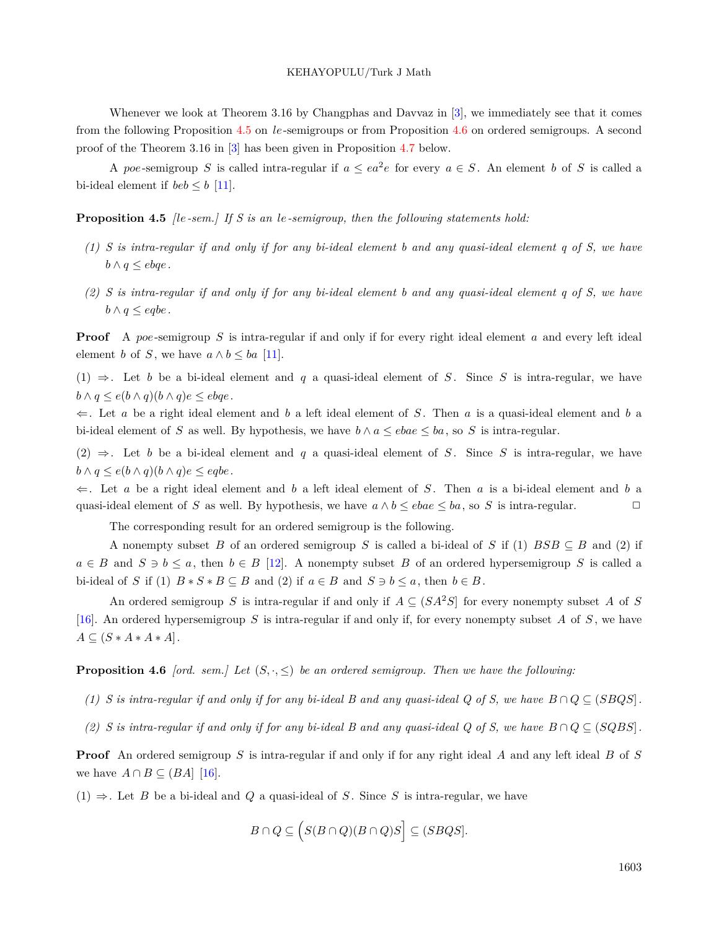Whenever we look at Theorem 3.16 by Changphas and Davvaz in [\[3](#page-37-7)], we immediately see that it comes from the following Proposition [4.5](#page-24-0) on *le*-semigroups or from Proposition [4.6](#page-24-1) on ordered semigroups. A second proof of the Theorem 3.16 in [[3\]](#page-37-7) has been given in Proposition [4.7](#page-25-0) below.

<span id="page-24-0"></span>A *poe*-semigroup *S* is called intra-regular if  $a \leq ea^2e$  for every  $a \in S$ . An element *b* of *S* is called a bi-ideal element if  $beb \leq b$  [\[11](#page-38-18)].

**Proposition 4.5** *[le-sem.] If S is an le-semigroup, then the following statements hold:*

- *(1) S is intra-regular if and only if for any bi-ideal element b and any quasi-ideal element q of S, we have*  $b \wedge q \leq e b q e$ .
- *(2) S is intra-regular if and only if for any bi-ideal element b and any quasi-ideal element q of S, we have b*  $∧$  *q*  $≤$  *eqbe.*

**Proof** A *poe*-semigroup *S* is intra-regular if and only if for every right ideal element *a* and every left ideal element *b* of *S*, we have  $a \wedge b \leq ba$  [[11](#page-38-18)].

(1) *⇒*. Let *b* be a bi-ideal element and *q* a quasi-ideal element of *S* . Since *S* is intra-regular, we have *b*  $\land$  *q*  $\leq$  *e*(*b*  $\land$  *q*)(*b*  $\land$  *q*)*e*  $\leq$  *ebqe*.

*⇐*. Let *a* be a right ideal element and *b* a left ideal element of *S* . Then *a* is a quasi-ideal element and *b* a bi-ideal element of *S* as well. By hypothesis, we have  $b \wedge a \leq ebae \leq ba$ , so *S* is intra-regular.

(2)  $\Rightarrow$ . Let *b* be a bi-ideal element and *q* a quasi-ideal element of *S*. Since *S* is intra-regular, we have  $b \wedge q \leq e(b \wedge q)(b \wedge q)e \leq eqbe.$ 

*⇐*. Let *a* be a right ideal element and *b* a left ideal element of *S* . Then *a* is a bi-ideal element and *b* a quasi-ideal element of *S* as well. By hypothesis, we have  $a \wedge b \leq eba \leq ba$ , so *S* is intra-regular.

The corresponding result for an ordered semigroup is the following.

A nonempty subset *B* of an ordered semigroup *S* is called a bi-ideal of *S* if (1)  $BSB \subseteq B$  and (2) if  $a \in B$  and  $S \ni b \leq a$ , then  $b \in B$  [\[12](#page-38-8)]. A nonempty subset *B* of an ordered hypersemigroup *S* is called a bi-ideal of *S* if (1)  $B * S * B \subseteq B$  and (2) if  $a \in B$  and  $S \ni b \le a$ , then  $b \in B$ .

An ordered semigroup *S* is intra-regular if and only if  $A \subseteq (SA^2S)$  for every nonempty subset A of *S* [[16\]](#page-38-0). An ordered hypersemigroup *S* is intra-regular if and only if, for every nonempty subset *A* of *S* , we have  $A \subseteq (S * A * A * A).$ 

<span id="page-24-1"></span>**Proposition 4.6** *[ord. sem.]* Let  $(S, \cdot, \leq)$  be an ordered semigroup. Then we have the following:

- *(1) S* is intra-regular if and only if for any bi-ideal B and any quasi-ideal Q of S, we have  $B ∩ Q ⊆ (SBQS)$ .
- *(2) S* is intra-regular if and only if for any bi-ideal B and any quasi-ideal Q of S, we have  $B \cap Q \subseteq (SQBS)$ .

**Proof** An ordered semigroup *S* is intra-regular if and only if for any right ideal *A* and any left ideal *B* of *S* we have  $A \cap B \subseteq (BA]$  [[16\]](#page-38-0).

 $(1)$   $\Rightarrow$ . Let *B* be a bi-ideal and *Q* a quasi-ideal of *S*. Since *S* is intra-regular, we have

$$
B \cap Q \subseteq \Big( S(B \cap Q)(B \cap Q)S \Big] \subseteq (S B Q S].
$$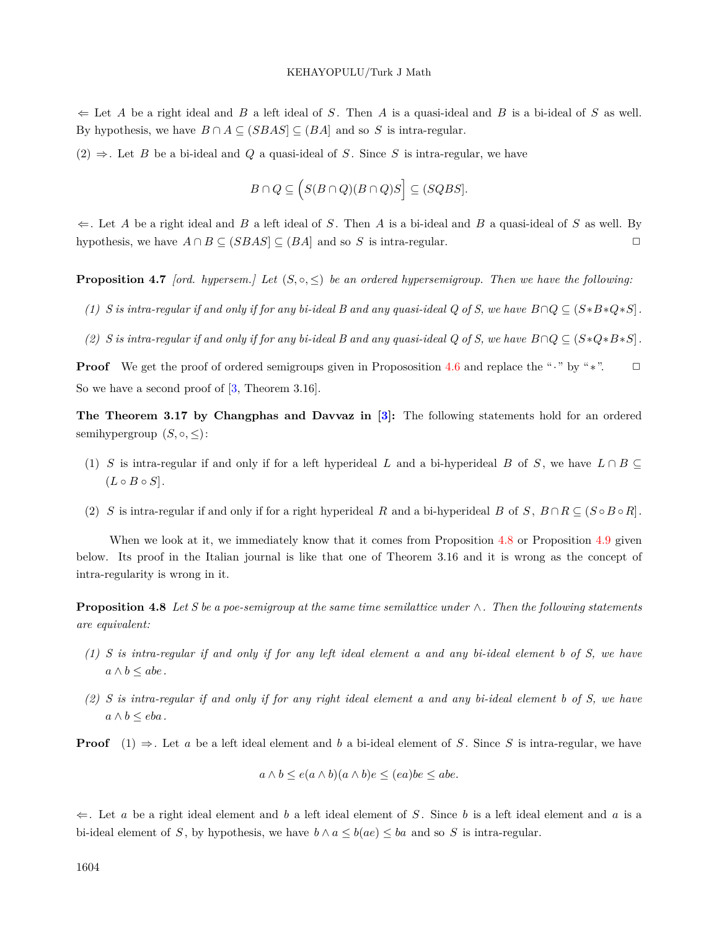*⇐* Let *A* be a right ideal and *B* a left ideal of *S* . Then *A* is a quasi-ideal and *B* is a bi-ideal of *S* as well. By hypothesis, we have  $B \cap A \subseteq (SBAS] \subseteq (BA)$  and so *S* is intra-regular.

 $(2)$   $\Rightarrow$ . Let *B* be a bi-ideal and *Q* a quasi-ideal of *S*. Since *S* is intra-regular, we have

$$
B\cap Q\subseteq \Big(S(B\cap Q)(B\cap Q)S\Big]\subseteq (SQBS].
$$

*⇐*. Let *A* be a right ideal and *B* a left ideal of *S* . Then *A* is a bi-ideal and *B* a quasi-ideal of *S* as well. By hypothesis, we have  $A \cap B \subseteq (SBAS] \subseteq (BA)$  and so *S* is intra-regular.  $\Box$ 

<span id="page-25-0"></span>**Proposition 4.7** *[ord. hypersem.]* Let  $(S, \circ, \leq)$  be an ordered hypersemigroup. Then we have the following:

- *(1) S* is intra-regular if and only if for any bi-ideal B and any quasi-ideal Q of S, we have  $B \cap Q \subseteq (S*B*Q*S)$ .
- *(2) S* is intra-regular if and only if for any bi-ideal B and any quasi-ideal Q of S, we have  $B \cap Q \subseteq (S \ast Q \ast B \ast S)$ .

**Proof** We get the proof of ordered semigroups given in Propososition [4.6](#page-24-1) and replace the "*·*" by "∗". □ Sowe have a second proof of  $[3,$  $[3,$  Theorem 3.16].

**The Theorem 3.17 by Changphas and Davvaz in [[3\]](#page-37-7):** The following statements hold for an ordered semihypergroup  $(S, \circ, \leq)$ :

- (1) *S* is intra-regular if and only if for a left hyperideal *L* and a bi-hyperideal *B* of *S*, we have  $L \cap B \subseteq$  $(L \circ B \circ S].$
- (2) *S* is intra-regular if and only if for a right hyperideal *R* and a bi-hyperideal *B* of *S*,  $B \cap R \subseteq (S \circ B \circ R)$ .

When we look at it, we immediately know that it comes from Proposition [4.8](#page-25-1) or Proposition [4.9](#page-26-0) given below. Its proof in the Italian journal is like that one of Theorem 3.16 and it is wrong as the concept of intra-regularity is wrong in it.

<span id="page-25-1"></span>**Proposition 4.8** *Let S be a poe-semigroup at the same time semilattice under ∧. Then the following statements are equivalent:*

- *(1) S is intra-regular if and only if for any left ideal element a and any bi-ideal element b of S, we have*  $a \wedge b \leq abc$ .
- *(2) S is intra-regular if and only if for any right ideal element a and any bi-ideal element b of S, we have*  $a ∧ b ≤ eba$ .

**Proof**  $(1) \Rightarrow$ . Let *a* be a left ideal element and *b* a bi-ideal element of *S*. Since *S* is intra-regular, we have

$$
a \wedge b \le e(a \wedge b)(a \wedge b)e \le (ea)be \le abe.
$$

*⇐*. Let *a* be a right ideal element and *b* a left ideal element of *S* . Since *b* is a left ideal element and *a* is a bi-ideal element of *S*, by hypothesis, we have  $b \wedge a \leq b(ae) \leq ba$  and so *S* is intra-regular.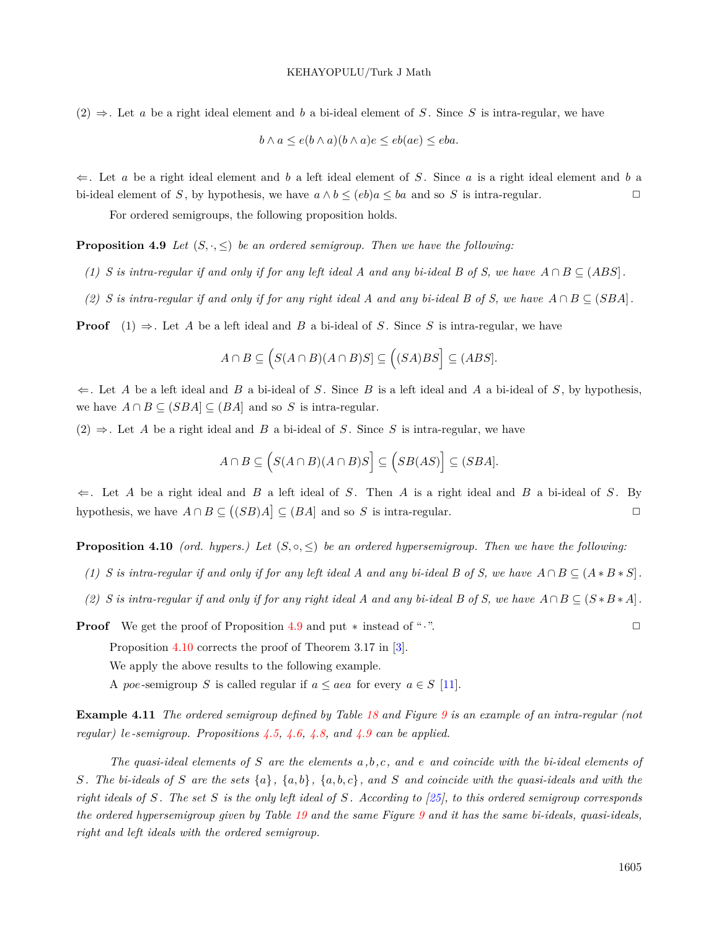$(2)$   $\Rightarrow$ . Let *a* be a right ideal element and *b* a bi-ideal element of *S*. Since *S* is intra-regular, we have

$$
b \wedge a \le e(b \wedge a)(b \wedge a)e \le eb(ae) \le eba.
$$

*⇐*. Let *a* be a right ideal element and *b* a left ideal element of *S* . Since *a* is a right ideal element and *b* a bi-ideal element of *S*, by hypothesis, we have  $a \wedge b \leq (eb)a \leq ba$  and so *S* is intra-regular.

For ordered semigroups, the following proposition holds.

<span id="page-26-0"></span>**Proposition 4.9** *Let*  $(S, \cdot, \leq)$  *be an ordered semigroup. Then we have the following:* 

- *(1) S* is intra-regular if and only if for any left ideal A and any bi-ideal B of S, we have  $A \cap B \subseteq (ABS)$ .
- *(2) S* is intra-regular if and only if for any right ideal A and any bi-ideal B of S, we have  $A ∩ B ⊆ (SBA)$ .

**Proof**  $(1) \Rightarrow$ . Let *A* be a left ideal and *B* a bi-ideal of *S*. Since *S* is intra-regular, we have

$$
A \cap B \subseteq \Big( S(A \cap B)(A \cap B)S ] \subseteq \Big( (SA)BS \Big] \subseteq (ABS].
$$

*⇐*. Let *A* be a left ideal and *B* a bi-ideal of *S* . Since *B* is a left ideal and *A* a bi-ideal of *S* , by hypothesis, we have  $A \cap B \subseteq (SBA] \subseteq (BA]$  and so *S* is intra-regular.

 $(2)$   $\Rightarrow$ . Let *A* be a right ideal and *B* a bi-ideal of *S*. Since *S* is intra-regular, we have

<span id="page-26-2"></span>
$$
A \cap B \subseteq \Big( S(A \cap B)(A \cap B)S \Big] \subseteq \Big( SB(AS) \Big] \subseteq (SBA].
$$

*⇐*. Let *A* be a right ideal and *B* a left ideal of *S* . Then *A* is a right ideal and *B* a bi-ideal of *S* . By hypothesis, we have  $A \cap B \subseteq ((SB)A] \subseteq (BA]$  and so *S* is intra-regular.  $\Box$ 

<span id="page-26-1"></span>**Proposition 4.10** *(ord. hypers.)* Let  $(S, \circ, \leq)$  be an ordered hypersemigroup. Then we have the following:

- *(1) S* is intra-regular if and only if for any left ideal A and any bi-ideal B of S, we have  $A ∩ B ⊆ (A * B * S)$ .
- *(2) S* is intra-regular if and only if for any right ideal A and any bi-ideal B of S, we have  $A \cap B \subseteq (S * B * A]$ .

**Proof** We get the proof of Proposition [4.9](#page-26-0) and put  $*$  instead of "*·*". □

Proposition [4.10](#page-26-1) corrects the proof of Theorem 3.17 in [\[3](#page-37-7)].

We apply the above results to the following example.

A *poe*-semigroup *S* is called regular if  $a \leq aea$  for every  $a \in S$  [[11](#page-38-18)].

**Example 4.11** *The ordered semigroup defined by Table [18](#page-27-0) and Figure [9](#page-27-1) is an example of an intra-regular (not regular) le-semigroup. Propositions [4.5](#page-24-0), [4.6](#page-24-1), [4.8,](#page-25-1) and [4.9](#page-26-0) can be applied.*

*The quasi-ideal elements of S are the elements a,b,c, and e and coincide with the bi-ideal elements of* S. The bi-ideals of S are the sets  $\{a\}$ ,  $\{a,b\}$ ,  $\{a,b,c\}$ , and S and coincide with the quasi-ideals and with the *right ideals of S . The set S is the only left ideal of S . According to [\[25\]](#page-38-7), to this ordered semigroup corresponds the ordered hypersemigroup given by Table [19](#page-27-2) and the same Figure [9](#page-27-1) and it has the same bi-ideals, quasi-ideals, right and left ideals with the ordered semigroup.*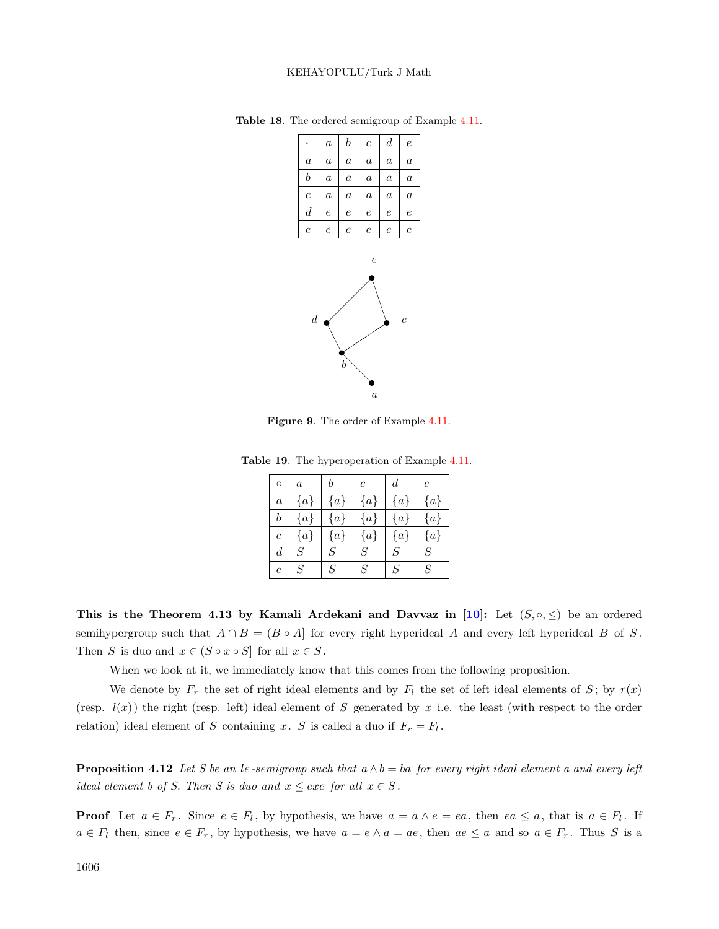<span id="page-27-0"></span>

|                       | $\boldsymbol{a}$ | b                | $\overline{c}$   | $\boldsymbol{d}$ | $\epsilon$       |
|-----------------------|------------------|------------------|------------------|------------------|------------------|
| $\alpha$              | $\boldsymbol{a}$ | $\alpha$         | $\boldsymbol{a}$ | $\alpha$         | $\boldsymbol{a}$ |
| b                     | $\boldsymbol{a}$ | $\boldsymbol{a}$ | $\boldsymbol{a}$ | $\boldsymbol{a}$ | $\boldsymbol{a}$ |
| $\mathcal{C}_{0}^{2}$ | $\boldsymbol{a}$ | $\boldsymbol{a}$ | $\boldsymbol{a}$ | $\alpha$         | $\boldsymbol{a}$ |
| $\boldsymbol{d}$      | $\epsilon$       | $\epsilon$       | $\epsilon$       | $\epsilon$       | $\epsilon$       |
| $\epsilon$            | $\epsilon$       | $\epsilon$       | $\epsilon$       | $\epsilon$       | $\epsilon$       |
|                       |                  |                  |                  |                  |                  |
|                       |                  |                  | $\mathcal{L}$    |                  |                  |

**Table 18**. The ordered semigroup of Example [4.11](#page-26-2).



<span id="page-27-1"></span>**Figure 9**. The order of Example [4.11](#page-26-2).

**Table 19**. The hyperoperation of Example [4.11.](#page-26-2)

<span id="page-27-2"></span>

| $\circ$          | $\alpha$         | b                | $\mathfrak{c}$ | $\boldsymbol{d}$ | $\epsilon$ |
|------------------|------------------|------------------|----------------|------------------|------------|
| $\boldsymbol{a}$ | ${a}$            | ${a}$            | ${a}$          | ${a}$            | ${a}$      |
| $\boldsymbol{b}$ | ${a}$            | ${a}$            | ${a}$          | ${a}$            | ${a}$      |
| $\overline{c}$   | $\{a\}$          | ${a}$            | ${a}$          | ${a}$            | ${a}$      |
| d                | $\boldsymbol{S}$ | $\boldsymbol{S}$ | $\, S \,$      | $\cal S$         | $\cal S$   |
| $\overline{e}$   | $\cal S$         | $\cal S$         | $\cal S$       | $\cal S$         | $\cal S$   |

**This is the Theorem 4.13 by Kamali Ardekani and Davvaz in [\[10\]](#page-38-12):** Let  $(S, \circ, \leq)$  be an ordered semihypergroup such that  $A \cap B = (B \circ A)$  for every right hyperideal *A* and every left hyperideal *B* of *S*. Then *S* is duo and  $x \in (S \circ x \circ S]$  for all  $x \in S$ .

When we look at it, we immediately know that this comes from the following proposition.

We denote by  $F_r$  the set of right ideal elements and by  $F_l$  the set of left ideal elements of  $S$ ; by  $r(x)$ (resp.  $l(x)$ ) the right (resp. left) ideal element of *S* generated by *x* i.e. the least (with respect to the order relation) ideal element of *S* containing *x*. *S* is called a duo if  $F_r = F_l$ .

<span id="page-27-3"></span>**Proposition 4.12** Let S be an le-semigroup such that  $a \wedge b = ba$  for every right ideal element a and every left *ideal element b of S. Then S is duo and*  $x \leq e$ *xe for all*  $x \in S$ .

**Proof** Let  $a \in F_r$ . Since  $e \in F_l$ , by hypothesis, we have  $a = a \land e = ea$ , then  $ea \leq a$ , that is  $a \in F_l$ . If  $a \in F_l$  then, since  $e \in F_r$ , by hypothesis, we have  $a = e \wedge a = ae$ , then  $ae \le a$  and so  $a \in F_r$ . Thus S is a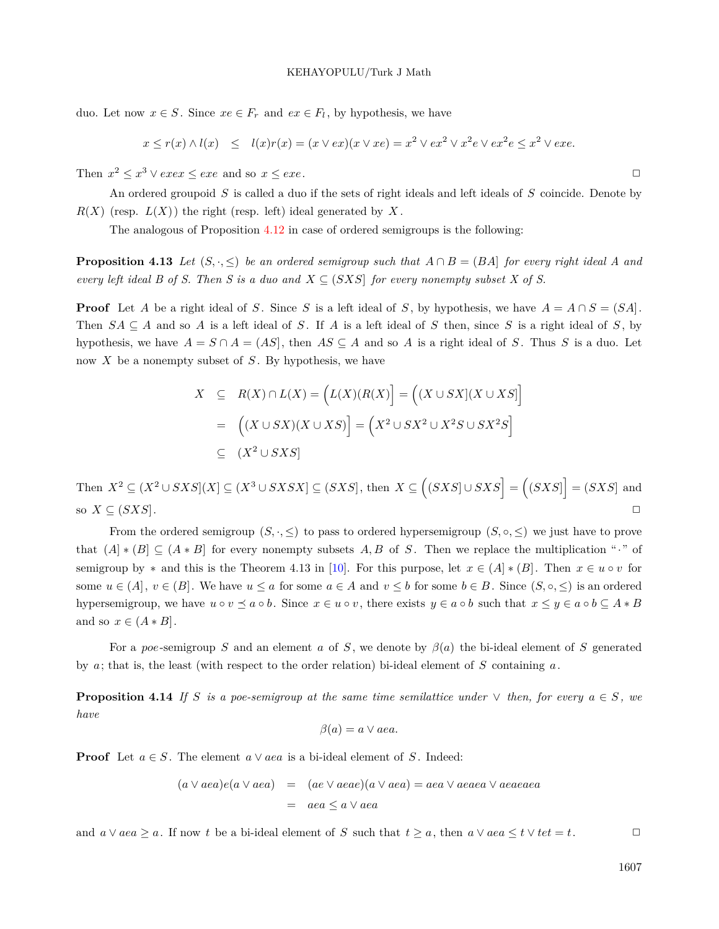duo. Let now  $x \in S$ . Since  $xe \in F_r$  and  $ex \in F_l$ , by hypothesis, we have

$$
x \leq r(x) \wedge l(x) \leq l(x)r(x) = (x \vee ex)(x \vee xe) = x^2 \vee ex^2 \vee x^2e \vee ex^2e \leq x^2 \vee exe.
$$

Then  $x^2 \le x^3 \vee e x e x \le e x e$  and so  $x \le e x e$ .

An ordered groupoid *S* is called a duo if the sets of right ideals and left ideals of *S* coincide. Denote by  $R(X)$  (resp.  $L(X)$ ) the right (resp. left) ideal generated by X.

The analogous of Proposition [4.12](#page-27-3) in case of ordered semigroups is the following:

**Proposition 4.13** Let  $(S, \cdot, \leq)$  be an ordered semigroup such that  $A \cap B = (BA)$  for every right ideal A and *every left ideal B of S. Then S is a duo and*  $X \subseteq (SXS)$  *for every nonempty subset X of S.* 

**Proof** Let *A* be a right ideal of *S*. Since *S* is a left ideal of *S*, by hypothesis, we have  $A = A \cap S = (SA)$ . Then  $SA \subseteq A$  and so A is a left ideal of S. If A is a left ideal of S then, since S is a right ideal of S, by hypothesis, we have  $A = S \cap A = (AS)$ , then  $AS \subseteq A$  and so A is a right ideal of *S*. Thus *S* is a duo. Let now *X* be a nonempty subset of *S* . By hypothesis, we have

$$
X \subseteq R(X) \cap L(X) = (L(X)(R(X)) = ((X \cup SX)(X \cup XS))
$$
  
= ((X \cup SX)(X \cup XS)) = (X<sup>2</sup> \cup SX<sup>2</sup> \cup X<sup>2</sup>S \cup SX<sup>2</sup>S)  

$$
\subseteq (X2 \cup SXS)
$$

Then  $X^2 \subseteq (X^2 \cup SXS](X) \subseteq (X^3 \cup SXSX) \subseteq (SXS]$ , then  $X \subseteq ((SXS] \cup SXS] = ((SXS]) = (SXS)$  and so  $X \subseteq (SXS]$ .

From the ordered semigroup  $(S, \cdot, \leq)$  to pass to ordered hypersemigroup  $(S, \circ, \leq)$  we just have to prove that  $(A \mid * (B) \subseteq (A * B]$  for every nonempty subsets A, B of *S*. Then we replace the multiplication "*·*" of semigroup by  $*$  and this is the Theorem 4.13 in [[10\]](#page-38-12). For this purpose, let  $x \in (A] * (B]$ . Then  $x \in u \circ v$  for some  $u \in (A], v \in (B]$ . We have  $u \le a$  for some  $a \in A$  and  $v \le b$  for some  $b \in B$ . Since  $(S, \circ, \le)$  is an ordered hypersemigroup, we have  $u \circ v \preceq a \circ b$ . Since  $x \in u \circ v$ , there exists  $y \in a \circ b$  such that  $x \leq y \in a \circ b \subseteq A * B$ and so  $x \in (A * B]$ .

For a *poe*-semigroup *S* and an element *a* of *S* , we denote by *β*(*a*) the bi-ideal element of *S* generated by *a*; that is, the least (with respect to the order relation) bi-ideal element of *S* containing *a*.

**Proposition 4.14** *If S* is a poe-semigroup at the same time semilattice under  $\vee$  *then, for every*  $a \in S$ *, we have*

$$
\beta(a) = a \vee aea.
$$

**Proof** Let  $a \in S$ . The element  $a \vee a$  is a bi-ideal element of *S*. Indeed:

$$
(a \lor aea)e(a \lor aea) = (ae \lor aeae)(a \lor aea) = aea \lor aeaea \lor aeaea
$$

$$
= aea \le a \lor aea
$$

and  $a \vee aea \geq a$ . If now t be a bi-ideal element of S such that  $t \geq a$ , then  $a \vee aea \leq t \vee tet = t$ .

1607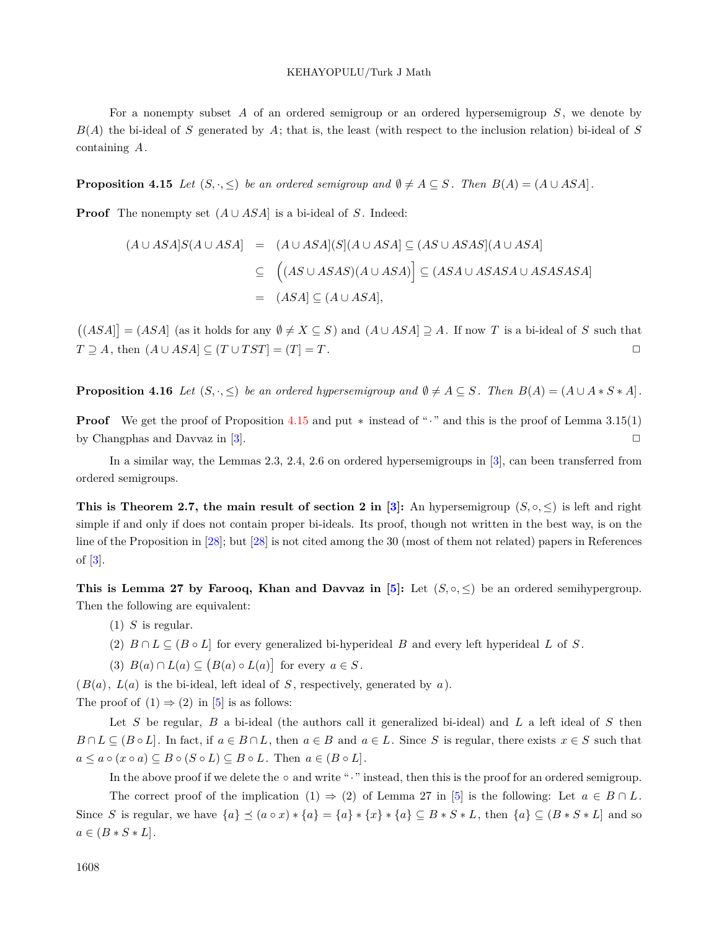For a nonempty subset *A* of an ordered semigroup or an ordered hypersemigroup *S* , we denote by  $B(A)$  the bi-ideal of *S* generated by  $A$ ; that is, the least (with respect to the inclusion relation) bi-ideal of  $S$ containing *A*.

<span id="page-29-0"></span>**Proposition 4.15** *Let*  $(S, \cdot, \leq)$  *be an ordered semigroup and*  $\emptyset \neq A \subseteq S$ *. Then*  $B(A) = (A \cup ASA)$ *.* 

**Proof** The nonempty set  $(A \cup ASA)$  is a bi-ideal of *S*. Indeed:

$$
(A \cup ASA]S(A \cup ASA) = (A \cup ASA)(S](A \cup ASA) \subseteq (AS \cup ASAS)(A \cup ASA)
$$
  

$$
\subseteq ((AS \cup ASAS)(A \cup ASA)) \subseteq (ASA \cup ASASA \cup ASASASA)
$$
  

$$
= (ASA) \subseteq (A \cup ASA),
$$

 $((ASA] = (ASA \text{ and } (as \text{ it holds for any } \emptyset \neq X \subseteq S) \text{ and } (A \cupASA] \supseteq A$ . If now *T* is a bi-ideal of *S* such that *T*  $\supseteq$  *A*, then  $(A \cup ASA) \subseteq (T \cup TST) = (T) = T$ .  $□$ 

**Proposition 4.16** Let  $(S, \cdot, \leq)$  be an ordered hypersemigroup and  $\emptyset \neq A \subseteq S$ . Then  $B(A) = (A \cup A * S * A)$ .

**Proof** We get the proof of Proposition [4.15](#page-29-0) and put *∗* instead of "*·*" and this is the proof of Lemma 3.15(1) by Changphas and Davvaz in  $[3]$ .  $\Box$ 

In a similar way, the Lemmas 2.3, 2.4, 2.6 on ordered hypersemigroups in [\[3](#page-37-7)], can been transferred from ordered semigroups.

**This is Theorem 2.7, the main result of section 2 in [\[3](#page-37-7)]:** An hypersemigroup  $(S, \circ, \leq)$  is left and right simple if and only if does not contain proper bi-ideals. Its proof, though not written in the best way, is on the line of the Proposition in [\[28](#page-38-19)]; but [[28\]](#page-38-19) is not cited among the 30 (most of them not related) papers in References of [\[3](#page-37-7)].

**This is Lemma 27 by Farooq, Khan and Davvaz in [\[5](#page-37-6)]:** Let  $(S, \circ, \leq)$  be an ordered semihypergroup. Then the following are equivalent:

- (1) *S* is regular.
- (2)  $B \cap L \subseteq (B \circ L]$  for every generalized bi-hyperideal *B* and every left hyperideal *L* of *S*.
- (3)  $B(a) \cap L(a) \subseteq (B(a) \circ L(a)]$  for every  $a \in S$ .

 $(B(a), L(a)$  is the bi-ideal, left ideal of *S*, respectively, generated by *a*).

The proof of  $(1) \Rightarrow (2)$  in [\[5](#page-37-6)] is as follows:

Let *S* be regular, *B* a bi-ideal (the authors call it generalized bi-ideal) and *L* a left ideal of *S* then  $B \cap L \subseteq (B \circ L]$ . In fact, if  $a \in B \cap L$ , then  $a \in B$  and  $a \in L$ . Since S is regular, there exists  $x \in S$  such that  $a \leq a \circ (x \circ a) \subseteq B \circ (S \circ L) \subseteq B \circ L$ . Then  $a \in (B \circ L]$ .

In the above proof if we delete the *◦* and write "*·*" instead, then this is the proof for an ordered semigroup.

The correct proof of the implication  $(1) \Rightarrow (2)$  of Lemma 27 in [\[5](#page-37-6)] is the following: Let  $a \in B \cap L$ . Since S is regular, we have  $\{a\} \preceq (a \circ x) * \{a\} = \{a\} * \{x\} * \{a\} \subseteq B * S * L$ , then  $\{a\} \subseteq (B * S * L]$  and so  $a \in (B * S * L].$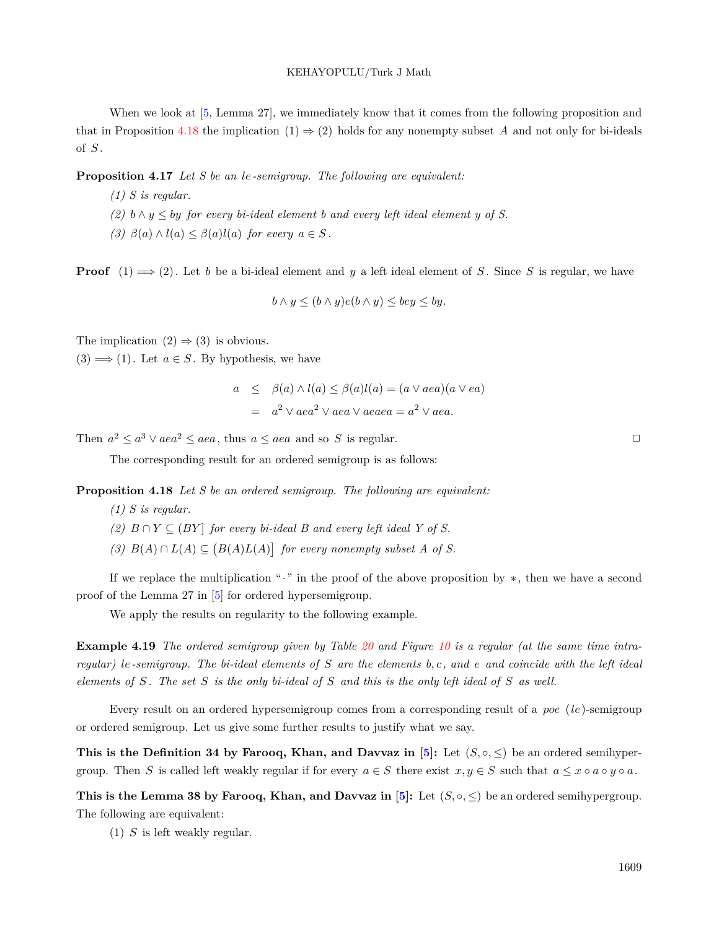When we look at [\[5](#page-37-6), Lemma 27], we immediately know that it comes from the following proposition and that in Proposition [4.18](#page-30-0) the implication  $(1) \Rightarrow (2)$  holds for any nonempty subset *A* and not only for bi-ideals of *S* .

**Proposition 4.17** *Let S be an le-semigroup. The following are equivalent:*

*(1) S is regular.*

- $(2)$  *b*  $\land$  *y*  $\leq$  *by for every bi-ideal element b and every left ideal element y of S.*
- *(3)*  $\beta(a) \land l(a) \leq \beta(a)l(a)$  *for every*  $a \in S$ .

**Proof**  $(1) \implies (2)$ . Let *b* be a bi-ideal element and *y* a left ideal element of *S*. Since *S* is regular, we have

$$
b \wedge y \le (b \wedge y)e(b \wedge y) \le bey \le by.
$$

The implication  $(2) \Rightarrow (3)$  is obvious.

 $(3) \Longrightarrow (1)$ . Let  $a \in S$ . By hypothesis, we have

$$
a \leq \beta(a) \wedge l(a) \leq \beta(a)l(a) = (a \vee a \vee a)(a \vee e a)
$$
  
= 
$$
a^2 \vee a e a^2 \vee a e a \vee a e a a = a^2 \vee a e a.
$$

Then  $a^2 \le a^3 \vee aea^2 \le aea$ , thus  $a \le aea$  and so *S* is regular.  $\Box$ 

The corresponding result for an ordered semigroup is as follows:

<span id="page-30-0"></span>**Proposition 4.18** *Let S be an ordered semigroup. The following are equivalent:*

*(1) S is regular.*

- *(2)*  $B ∩ Y ⊆ (BY)$  *for every bi-ideal B and every left ideal Y of S.*
- *(3)*  $B(A) ∩ L(A) ⊆ (B(A) L(A))$  *for every nonempty subset A of S.*

If we replace the multiplication "*·*" in the proof of the above proposition by *∗*, then we have a second proof of the Lemma 27 in [[5\]](#page-37-6) for ordered hypersemigroup.

We apply the results on regularity to the following example.

<span id="page-30-1"></span>**Example 4.19** *The ordered semigroup given by Table [20](#page-31-0) and Figure [10](#page-31-1) is a regular (at the same time intraregular) le-semigroup. The bi-ideal elements of S are the elements b, c, and e and coincide with the left ideal elements of S . The set S is the only bi-ideal of S and this is the only left ideal of S as well.*

Every result on an ordered hypersemigroup comes from a corresponding result of a *poe* (*le*)-semigroup or ordered semigroup. Let us give some further results to justify what we say.

**This is the Definition 34 by Farooq, Khan, and Davvaz in [[5](#page-37-6)]:** Let  $(S, \circ, \leq)$  be an ordered semihypergroup. Then *S* is called left weakly regular if for every  $a \in S$  there exist  $x, y \in S$  such that  $a \leq x \circ a \circ y \circ a$ .

**This is the Lemma 38 by Farooq, Khan, and Davvaz in [[5\]](#page-37-6):** Let  $(S, \circ, \leq)$  be an ordered semihypergroup. The following are equivalent:

(1) *S* is left weakly regular.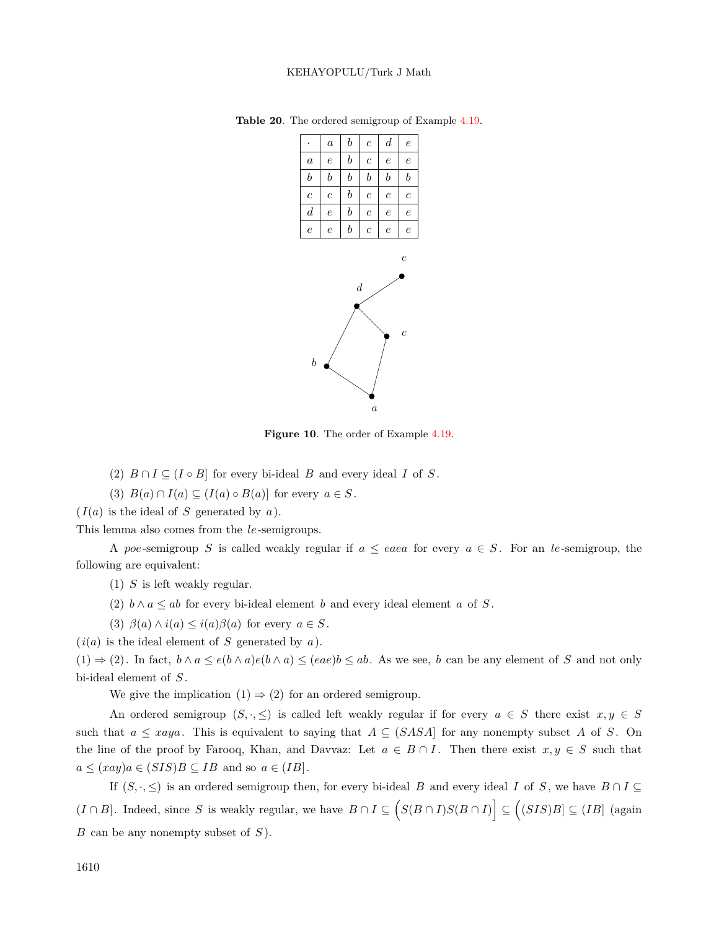<span id="page-31-0"></span>

**Table 20**. The ordered semigroup of Example [4.19](#page-30-1).

<span id="page-31-1"></span>

(2)  $B \cap I \subseteq (I \circ B]$  for every bi-ideal *B* and every ideal *I* of *S*.

(3)  $B(a) \cap I(a) \subseteq (I(a) \circ B(a)]$  for every  $a \in S$ .

 $(I(a)$  is the ideal of *S* generated by *a*).

This lemma also comes from the *le*-semigroups.

A *poe*-semigroup *S* is called weakly regular if  $a \leq eaea$  for every  $a \in S$ . For an *le*-semigroup, the following are equivalent:

(1) *S* is left weakly regular.

- (2)  $b \wedge a \leq ab$  for every bi-ideal element *b* and every ideal element *a* of *S*.
- (3)  $\beta(a) \land i(a) \leq i(a)\beta(a)$  for every  $a \in S$ .

 $(i(a)$  is the ideal element of *S* generated by *a*).

 $(1) \Rightarrow (2)$ . In fact,  $b \wedge a \leq e(b \wedge a)e(b \wedge a) \leq (eae)b \leq ab$ . As we see, b can be any element of S and not only bi-ideal element of *S* .

We give the implication  $(1) \Rightarrow (2)$  for an ordered semigroup.

An ordered semigroup  $(S, \cdot, \leq)$  is called left weakly regular if for every  $a \in S$  there exist  $x, y \in S$ such that  $a \leq xaya$ . This is equivalent to saying that  $A \subseteq (SASA)$  for any nonempty subset A of *S*. On the line of the proof by Farooq, Khan, and Davvaz: Let  $a \in B \cap I$ . Then there exist  $x, y \in S$  such that  $a \leq (xay)a \in (SIS)B \subseteq IB$  and so  $a \in (IB]$ .

If  $(S, \cdot, \leq)$  is an ordered semigroup then, for every bi-ideal *B* and every ideal *I* of *S*, we have  $B \cap I \subseteq$  $(I \cap B]$ . Indeed, since S is weakly regular, we have  $B \cap I \subseteq (S(B \cap I)S(B \cap I)] \subseteq ((SIS)B] \subseteq (IB)$  (again *B* can be any nonempty subset of *S* ).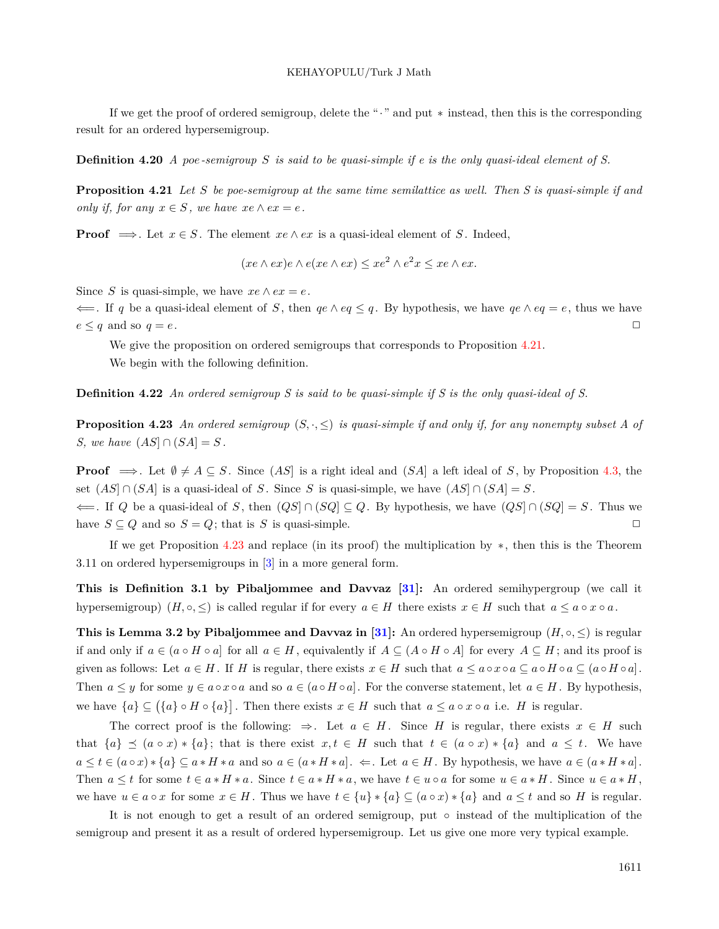If we get the proof of ordered semigroup, delete the "*·*" and put *∗* instead, then this is the corresponding result for an ordered hypersemigroup.

**Definition 4.20** *A poe-semigroup S is said to be quasi-simple if e is the only quasi-ideal element of S.*

<span id="page-32-0"></span>**Proposition 4.21** *Let S be poe-semigroup at the same time semilattice as well. Then S is quasi-simple if and only if, for any*  $x \in S$ *, we have*  $xe \wedge ex = e$ *.* 

**Proof**  $\implies$  Let  $x \in S$ . The element  $xe \wedge ex$  is a quasi-ideal element of *S*. Indeed,

 $(xe \wedge ex)e \wedge e(xe \wedge ex) \leq xe^2 \wedge e^2x \leq xe \wedge ex.$ 

Since *S* is quasi-simple, we have  $xe \wedge ex = e$ .

*⇐*=. If *q* be a quasi-ideal element of *S* , then *qe ∧ eq ≤ q* . By hypothesis, we have *qe ∧ eq* = *e*, thus we have  $e \leq q$  and so  $q = e$ .

We give the proposition on ordered semigroups that corresponds to Proposition [4.21.](#page-32-0) We begin with the following definition.

**Definition 4.22** *An ordered semigroup S is said to be quasi-simple if S is the only quasi-ideal of S.*

<span id="page-32-1"></span>**Proposition 4.23** An ordered semigroup  $(S, \cdot, \leq)$  is quasi-simple if and only if, for any nonempty subset A of *S, we have*  $(AS ∩ (SA) = S$ *.* 

**Proof**  $\implies$  Let  $\emptyset \neq A \subseteq S$ . Since  $(AS)$  is a right ideal and  $(SA)$  a left ideal of *S*, by Proposition [4.3,](#page-21-1) the set (*AS*] *∩* (*SA*] is a quasi-ideal of *S* . Since *S* is quasi-simple, we have (*AS*] *∩* (*SA*] = *S* . *⇐*=. If *Q* be a quasi-ideal of *S* , then (*QS*] *∩* (*SQ*] *⊆ Q*. By hypothesis, we have (*QS*] *∩* (*SQ*] = *S* . Thus we have  $S \subseteq Q$  and so  $S = Q$ ; that is *S* is quasi-simple.  $\Box$ 

If we get Proposition [4.23](#page-32-1) and replace (in its proof) the multiplication by *∗*, then this is the Theorem 3.11 on ordered hypersemigroups in [\[3](#page-37-7)] in a more general form.

**This is Definition 3.1 by Pibaljommee and Davvaz [\[31\]](#page-38-9):** An ordered semihypergroup (we call it hypersemigroup)  $(H, \circ, \leq)$  is called regular if for every  $a \in H$  there exists  $x \in H$  such that  $a \leq a \circ x \circ a$ .

**This is Lemma 3.2 by Pibaljommee and Davvaz in [\[31\]](#page-38-9):** An ordered hypersemigroup  $(H, \circ, \leq)$  is regular if and only if  $a \in (a \circ H \circ a]$  for all  $a \in H$ , equivalently if  $A \subseteq (A \circ H \circ A]$  for every  $A \subseteq H$ ; and its proof is given as follows: Let  $a \in H$ . If H is regular, there exists  $x \in H$  such that  $a \le a \circ x \circ a \subseteq a \circ H \circ a \subseteq (a \circ H \circ a)$ . Then  $a \leq y$  for some  $y \in a \circ x \circ a$  and so  $a \in (a \circ H \circ a]$ . For the converse statement, let  $a \in H$ . By hypothesis, we have  $\{a\} \subseteq (\{a\} \circ H \circ \{a\})$ . Then there exists  $x \in H$  such that  $a \le a \circ x \circ a$  i.e. H is regular.

The correct proof is the following:  $\Rightarrow$ . Let  $a \in H$ . Since *H* is regular, there exists  $x \in H$  such that  $\{a\} \preceq (a \circ x) * \{a\}$ ; that is there exist  $x, t \in H$  such that  $t \in (a \circ x) * \{a\}$  and  $a \leq t$ . We have  $a \le t \in (a \circ x) * \{a\} \subseteq a * H * a$  and so  $a \in (a * H * a]$ .  $\Leftarrow$ . Let  $a \in H$ . By hypothesis, we have  $a \in (a * H * a]$ . Then  $a \leq t$  for some  $t \in a * H * a$ . Since  $t \in a * H * a$ , we have  $t \in u \circ a$  for some  $u \in a * H$ . Since  $u \in a * H$ , we have  $u \in a \circ x$  for some  $x \in H$ . Thus we have  $t \in \{u\} * \{a\} \subseteq (a \circ x) * \{a\}$  and  $a \leq t$  and so H is regular.

It is not enough to get a result of an ordered semigroup, put *◦* instead of the multiplication of the semigroup and present it as a result of ordered hypersemigroup. Let us give one more very typical example.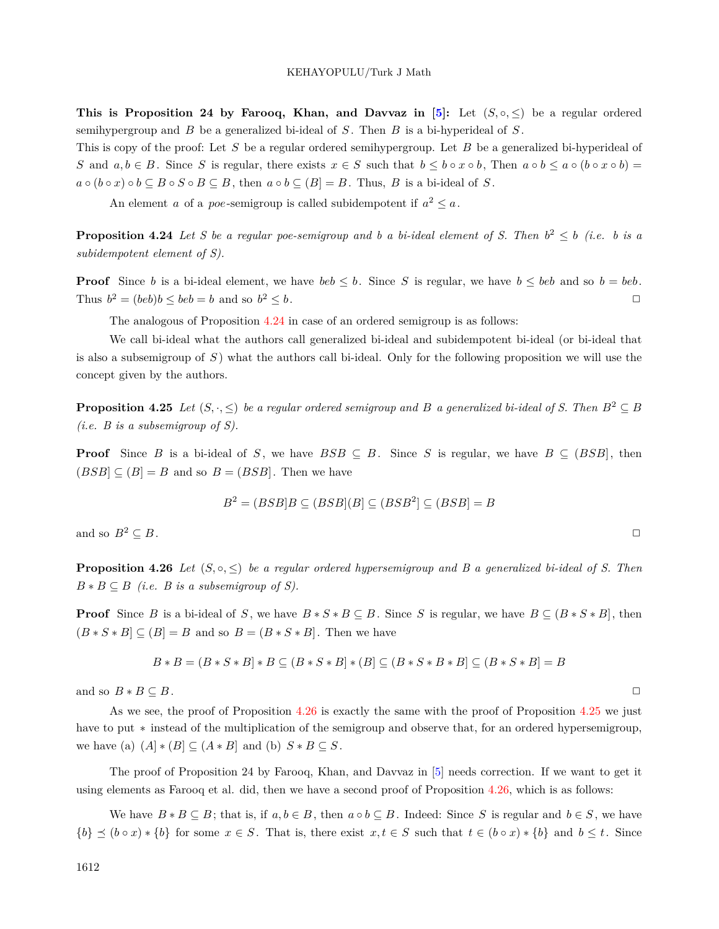**This is Proposition 24 by Farooq, Khan, and Davvaz in**  $[5]$ **:** Let  $(S, \circ, \leq)$  be a regular ordered semihypergroup and *B* be a generalized bi-ideal of *S* . Then *B* is a bi-hyperideal of *S* .

This is copy of the proof: Let *S* be a regular ordered semihypergroup. Let *B* be a generalized bi-hyperideal of S and  $a, b \in B$ . Since S is regular, there exists  $x \in S$  such that  $b \leq b \circ x \circ b$ , Then  $a \circ b \leq a \circ (b \circ x \circ b) =$  $a \circ (b \circ x) \circ b \subseteq B \circ S \circ B \subseteq B$ , then  $a \circ b \subseteq (B) = B$ . Thus, B is a bi-ideal of S.

An element *a* of a *poe*-semigroup is called subidempotent if  $a^2 \leq a$ .

<span id="page-33-0"></span>**Proposition 4.24** *Let* S be a regular poe-semigroup and b a bi-ideal element of S. Then  $b^2 \leq b$  (i.e. b is a *subidempotent element of S).*

**Proof** Since *b* is a bi-ideal element, we have *beb*  $\leq b$ . Since *S* is regular, we have  $b \leq beb$  and so  $b = beb$ . Thus  $b^2 = (beb)b \leq beb = b$  and so *b*  $2 \leq b$ .

<span id="page-33-2"></span>The analogous of Proposition [4.24](#page-33-0) in case of an ordered semigroup is as follows:

We call bi-ideal what the authors call generalized bi-ideal and subidempotent bi-ideal (or bi-ideal that is also a subsemigroup of *S* ) what the authors call bi-ideal. Only for the following proposition we will use the concept given by the authors.

**Proposition 4.25** *Let*  $(S, \cdot, \leq)$  *be a regular ordered semigroup and B a generalized bi-ideal of S.* Then  $B^2 \subset B$ *(i.e. B is a subsemigroup of S).*

**Proof** Since *B* is a bi-ideal of *S*, we have  $BSB \subseteq B$ . Since *S* is regular, we have  $B \subseteq (BSB]$ , then  $(BSB] \subseteq (B] = B$  and so  $B = (BSB]$ . Then we have

$$
B^2 = (BSB|B \subseteq (BSB|(B) \subseteq (BSB^2] \subseteq (BSB) = B
$$

<span id="page-33-1"></span>and so  $B^2 \subseteq B$ .

**Proposition 4.26** *Let*  $(S, \circ, \leq)$  *be a regular ordered hypersemigroup and B a generalized bi-ideal of S. Then*  $B * B \subseteq B$  *(i.e. B is a subsemigroup of S).* 

**Proof** Since B is a bi-ideal of S, we have  $B * S * B \subseteq B$ . Since S is regular, we have  $B \subseteq (B * S * B]$ , then  $(B * S * B] \subseteq (B] = B$  and so  $B = (B * S * B]$ . Then we have

$$
B * B = (B * S * B) * B \subseteq (B * S * B) * (B) \subseteq (B * S * B * B) \subseteq (B * S * B) = B
$$

and so  $B * B \subseteq B$ .

As we see, the proof of Proposition [4.26](#page-33-1) is exactly the same with the proof of Proposition [4.25](#page-33-2) we just have to put *∗* instead of the multiplication of the semigroup and observe that, for an ordered hypersemigroup, we have (a)  $(A] * (B] \subseteq (A * B]$  and (b)  $S * B \subseteq S$ .

The proof of Proposition 24 by Farooq, Khan, and Davvaz in [[5\]](#page-37-6) needs correction. If we want to get it using elements as Farooq et al. did, then we have a second proof of Proposition [4.26,](#page-33-1) which is as follows:

We have  $B * B \subseteq B$ ; that is, if  $a, b \in B$ , then  $a \circ b \subseteq B$ . Indeed: Since *S* is regular and  $b \in S$ , we have  $\{b\} \preceq (b \circ x) * \{b\}$  for some  $x \in S$ . That is, there exist  $x, t \in S$  such that  $t \in (b \circ x) * \{b\}$  and  $b \leq t$ . Since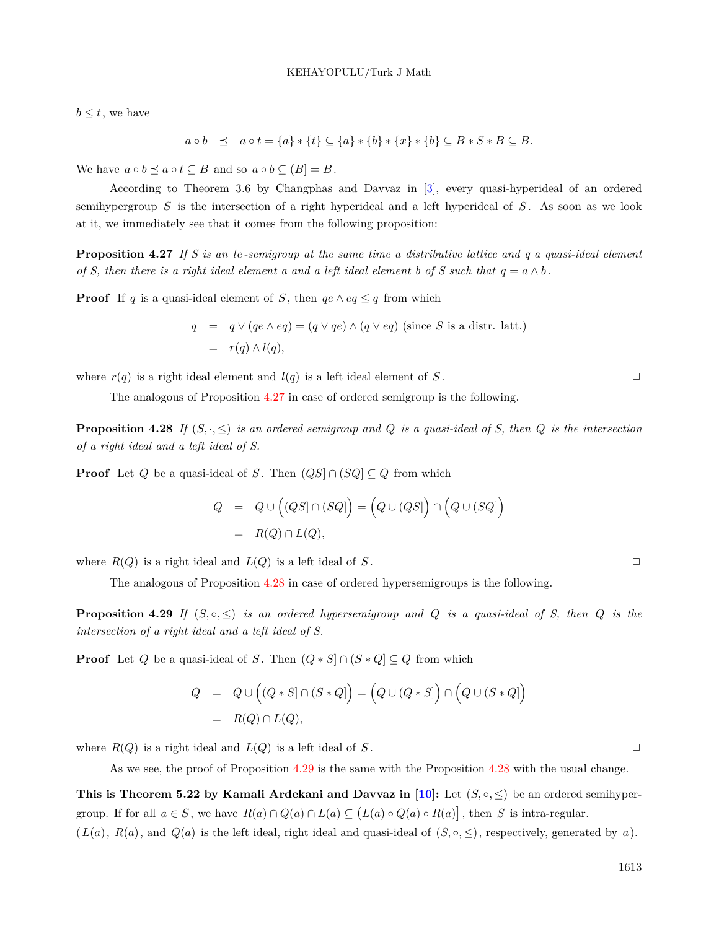$b \leq t$ , we have

$$
a \circ b \preceq a \circ t = \{a\} * \{t\} \subseteq \{a\} * \{b\} * \{x\} * \{b\} \subseteq B * S * B \subseteq B.
$$

We have  $a \circ b \leq a \circ t \subseteq B$  and so  $a \circ b \subseteq (B] = B$ .

According to Theorem 3.6 by Changphas and Davvaz in [[3\]](#page-37-7), every quasi-hyperideal of an ordered semihypergroup *S* is the intersection of a right hyperideal and a left hyperideal of *S* . As soon as we look at it, we immediately see that it comes from the following proposition:

<span id="page-34-0"></span>**Proposition 4.27** *If S is an le-semigroup at the same time a distributive lattice and q a quasi-ideal element of S, then there is a right ideal element a and a left ideal element b of S such that*  $q = a \wedge b$ .

**Proof** If *q* is a quasi-ideal element of *S*, then  $qe \land eq \leq q$  from which

$$
q = q \lor (qe \land eq) = (q \lor qe) \land (q \lor eq) \text{ (since } S \text{ is a distr. latt.)}
$$

$$
= r(q) \land l(q),
$$

where  $r(q)$  is a right ideal element and  $l(q)$  is a left ideal element of *S*.

The analogous of Proposition [4.27](#page-34-0) in case of ordered semigroup is the following.

**Proposition 4.28** If  $(S, \cdot, \leq)$  *is an ordered semigroup and Q is a quasi-ideal of S, then Q is the intersection of a right ideal and a left ideal of S.*

**Proof** Let *Q* be a quasi-ideal of *S*. Then  $(QS] \cap (SQ] \subseteq Q$  from which

$$
Q = Q \cup ( (QS] \cap (SQ)] = (Q \cup (QS]) \cap (Q \cup (SQ])
$$
  
=  $R(Q) \cap L(Q),$ 

where  $R(Q)$  is a right ideal and  $L(Q)$  is a left ideal of *S*.

The analogous of Proposition [4.28](#page-34-1) in case of ordered hypersemigroups is the following.

<span id="page-34-2"></span>**Proposition 4.29** If  $(S, \circ, \leq)$  *is an ordered hypersemigroup and Q is a quasi-ideal of S, then Q is the intersection of a right ideal and a left ideal of S.*

**Proof** Let *Q* be a quasi-ideal of *S*. Then  $(Q * S] \cap (S * Q] \subseteq Q$  from which

$$
Q = Q \cup ((Q * S] \cap (S * Q]) = (Q \cup (Q * S]) \cap (Q \cup (S * Q])
$$
  
= R(Q) \cap L(Q),

where  $R(Q)$  is a right ideal and  $L(Q)$  is a left ideal of *S*.

As we see, the proof of Proposition [4.29](#page-34-2) is the same with the Proposition [4.28](#page-34-1) with the usual change.

**This is Theorem 5.22 by Kamali Ardekani and Davvaz in [[10\]](#page-38-12):** Let  $(S, \circ, \leq)$  be an ordered semihypergroup. If for all  $a \in S$ , we have  $R(a) \cap Q(a) \cap L(a) \subseteq (L(a) \circ Q(a) \circ R(a))$ , then S is intra-regular.

 $(L(a), R(a), \text{ and } Q(a)$  is the left ideal, right ideal and quasi-ideal of  $(S, \circ, \leq)$ , respectively, generated by *a*).

<span id="page-34-1"></span>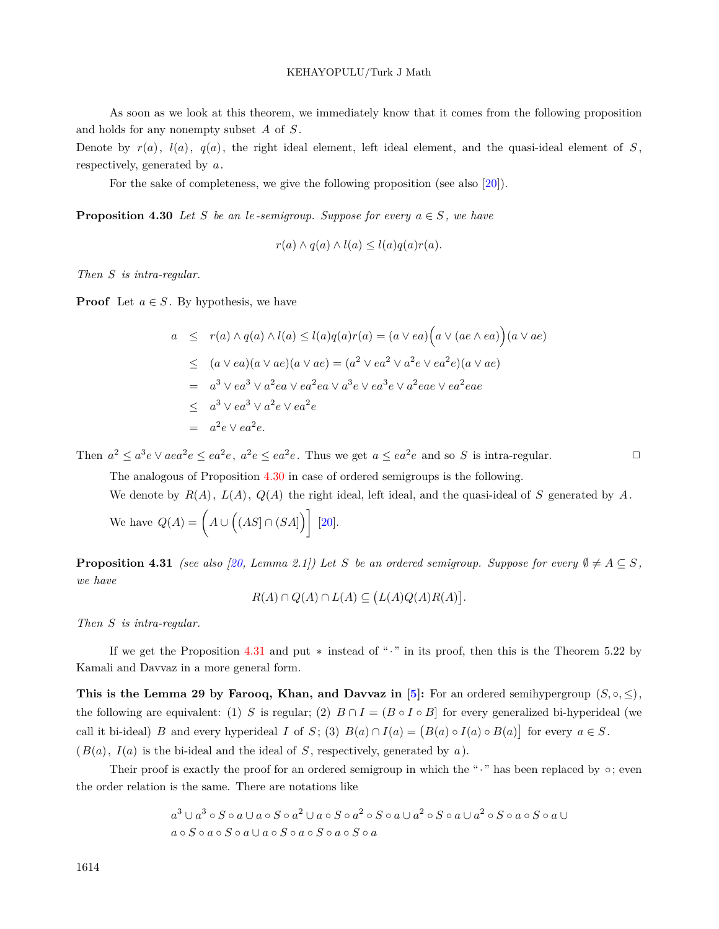As soon as we look at this theorem, we immediately know that it comes from the following proposition and holds for any nonempty subset *A* of *S* .

Denote by  $r(a)$ ,  $l(a)$ ,  $q(a)$ , the right ideal element, left ideal element, and the quasi-ideal element of *S*, respectively, generated by *a*.

For the sake of completeness, we give the following proposition (see also [\[20](#page-38-20)]).

**Proposition 4.30** *Let S be an le-semigroup. Suppose for every*  $a \in S$ , *we have* 

<span id="page-35-0"></span>
$$
r(a) \wedge q(a) \wedge l(a) \le l(a)q(a)r(a).
$$

*Then S is intra-regular.*

**Proof** Let  $a \in S$ . By hypothesis, we have

$$
a \leq r(a) \wedge q(a) \wedge l(a) \leq l(a)q(a)r(a) = (a \vee ea)\Big(a \vee (ae \wedge ea)\Big)(a \vee ae)
$$
  
\n
$$
\leq (a \vee ea)(a \vee ae)(a \vee ae) = (a^2 \vee ea^2 \vee a^2e \vee ea^2e)(a \vee ae)
$$
  
\n
$$
= a^3 \vee ea^3 \vee a^2ea \vee ea^2ea \vee a^3e \vee ea^3e \vee a^2eae
$$
  
\n
$$
\leq a^3 \vee ea^3 \vee a^2e \vee ea^2e
$$
  
\n
$$
= a^2e \vee ea^2e.
$$

Then  $a^2 \le a^3 e \vee a e a^2 e \le e a^2 e$ ,  $a^2 e \le e a^2 e$ . Thus we get  $a \le e a^2 e$  and so S is intra-regular.

The analogous of Proposition [4.30](#page-35-0) in case of ordered semigroups is the following.

We denote by  $R(A)$ ,  $L(A)$ ,  $Q(A)$  the right ideal, left ideal, and the quasi-ideal of *S* generated by *A*. We have  $Q(A) = \left(A \cup \left((AS) \cap (SA)\right)\right]$ [[20](#page-38-20)].

<span id="page-35-1"></span>**Proposition 4.31** *(see also [\[20](#page-38-20), Lemma 2.1]) Let S be an ordered semigroup. Suppose for every*  $\emptyset \neq A \subseteq S$ , *we have*

$$
R(A) \cap Q(A) \cap L(A) \subseteq (L(A)Q(A)R(A)).
$$

*Then S is intra-regular.*

If we get the Proposition [4.31](#page-35-1) and put *∗* instead of "*·*" in its proof, then this is the Theorem 5.22 by Kamali and Davvaz in a more general form.

**This is the Lemma 29 by Farooq, Khan, and Davvaz in [[5](#page-37-6)]:** For an ordered semihypergroup  $(S, \circ, \leq)$ , the following are equivalent: (1) *S* is regular; (2)  $B \cap I = (B \circ I \circ B]$  for every generalized bi-hyperideal (we call it bi-ideal) B and every hyperideal I of S; (3)  $B(a) \cap I(a) = (B(a) \circ I(a) \circ B(a))$  for every  $a \in S$ .  $(B(a), I(a)$  is the bi-ideal and the ideal of *S*, respectively, generated by *a*).

Their proof is exactly the proof for an ordered semigroup in which the "*·*" has been replaced by *◦*; even the order relation is the same. There are notations like

$$
a^3 \cup a^3 \circ S \circ a \cup a \circ S \circ a^2 \cup a \circ S \circ a^2 \circ S \circ a \cup a^2 \circ S \circ a \cup a^2 \circ S \circ a \circ S \circ a \cup a
$$
  

$$
a \circ S \circ a \circ S \circ a \cup a \circ S \circ a \circ S \circ a \circ S \circ a
$$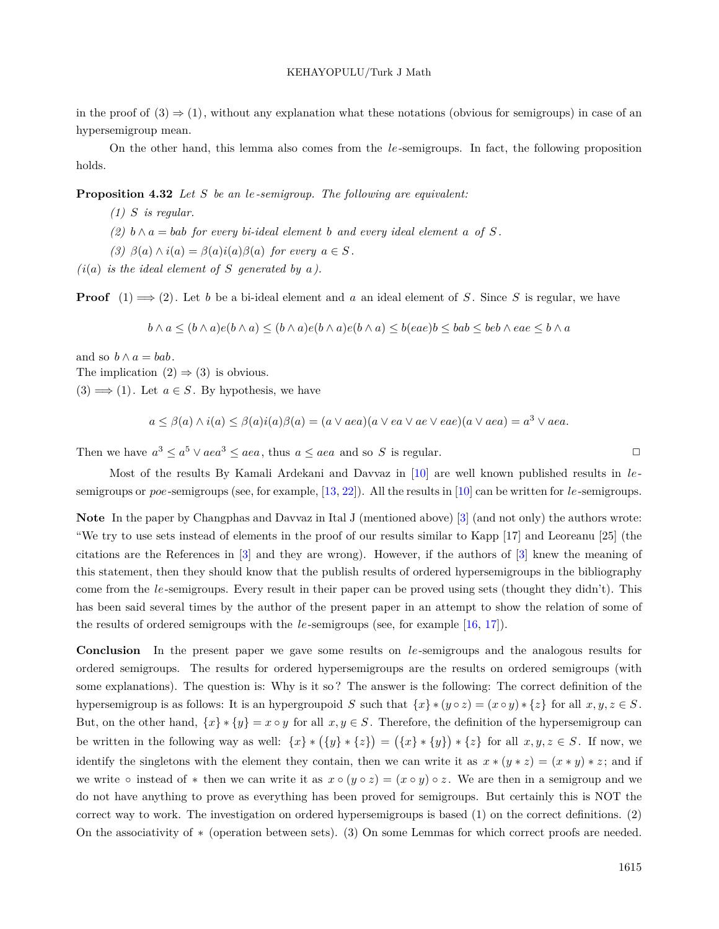in the proof of  $(3) \Rightarrow (1)$ , without any explanation what these notations (obvious for semigroups) in case of an hypersemigroup mean.

On the other hand, this lemma also comes from the *le*-semigroups. In fact, the following proposition holds.

**Proposition 4.32** *Let S be an le-semigroup. The following are equivalent:*

- *(1) S is regular.*
- $(2)$  *b*  $\land$  *a* = *bab for every bi-ideal element b and every ideal element a of S*.

*(3)*  $\beta(a) \land i(a) = \beta(a)i(a)\beta(a)$  *for every*  $a \in S$ .

 $(i(a)$  *is the ideal element of S generated by a)*.

**Proof**  $(1) \implies (2)$ . Let *b* be a bi-ideal element and *a* an ideal element of *S*. Since *S* is regular, we have

 $b \wedge a \le (b \wedge a) e (b \wedge a) \le (b \wedge a) e (b \wedge a) e (b \wedge a) \le b (e a e) b \le bab \le b e b \wedge e a e \le b \wedge a$ 

and so  $b \wedge a = bab$ .

The implication  $(2) \Rightarrow (3)$  is obvious.

 $(3) \Longrightarrow (1)$ . Let  $a \in S$ . By hypothesis, we have

$$
a \leq \beta(a) \wedge i(a) \leq \beta(a)i(a)\beta(a) = (a \vee ae)(a \vee ea \vee ae \vee eae)(a \vee ae) = a^3 \vee aea.
$$

Then we have  $a^3 \le a^5 \vee aea^3 \le aea$ , thus  $a \le aea$  and so *S* is regular.

Most of the results By Kamali Ardekani and Davvaz in [[10\]](#page-38-12) are well known published results in *le*semigroups or *poe*-semigroups (see, for example, [[13](#page-38-16), [22](#page-38-21)]). All the results in [\[10](#page-38-12)] can be written for *le*-semigroups.

**Note** In the paper by Changphas and Davvaz in Ital J (mentioned above) [[3\]](#page-37-7) (and not only) the authors wrote: "We try to use sets instead of elements in the proof of our results similar to Kapp [17] and Leoreanu [25] (the citations are the References in [\[3](#page-37-7)] and they are wrong). However, if the authors of [\[3\]](#page-37-7) knew the meaning of this statement, then they should know that the publish results of ordered hypersemigroups in the bibliography come from the *le*-semigroups. Every result in their paper can be proved using sets (thought they didn't). This has been said several times by the author of the present paper in an attempt to show the relation of some of the results of ordered semigroups with the *le*-semigroups (see, for example [\[16](#page-38-0), [17](#page-38-22)]).

**Conclusion** In the present paper we gave some results on *le*-semigroups and the analogous results for ordered semigroups. The results for ordered hypersemigroups are the results on ordered semigroups (with some explanations). The question is: Why is it so ? The answer is the following: The correct definition of the hypersemigroup is as follows: It is an hypergroupoid S such that  $\{x\} * (y \circ z) = (x \circ y) * \{z\}$  for all  $x, y, z \in S$ . But, on the other hand,  $\{x\} * \{y\} = x \circ y$  for all  $x, y \in S$ . Therefore, the definition of the hypersemigroup can be written in the following way as well:  $\{x\} * (\{y\} * \{z\}) = (\{x\} * \{y\}) * \{z\}$  for all  $x, y, z \in S$ . If now, we identify the singletons with the element they contain, then we can write it as  $x * (y * z) = (x * y) * z$ ; and if we write  $\circ$  instead of  $*$  then we can write it as  $x \circ (y \circ z) = (x \circ y) \circ z$ . We are then in a semigroup and we do not have anything to prove as everything has been proved for semigroups. But certainly this is NOT the correct way to work. The investigation on ordered hypersemigroups is based (1) on the correct definitions. (2) On the associativity of *∗* (operation between sets). (3) On some Lemmas for which correct proofs are needed.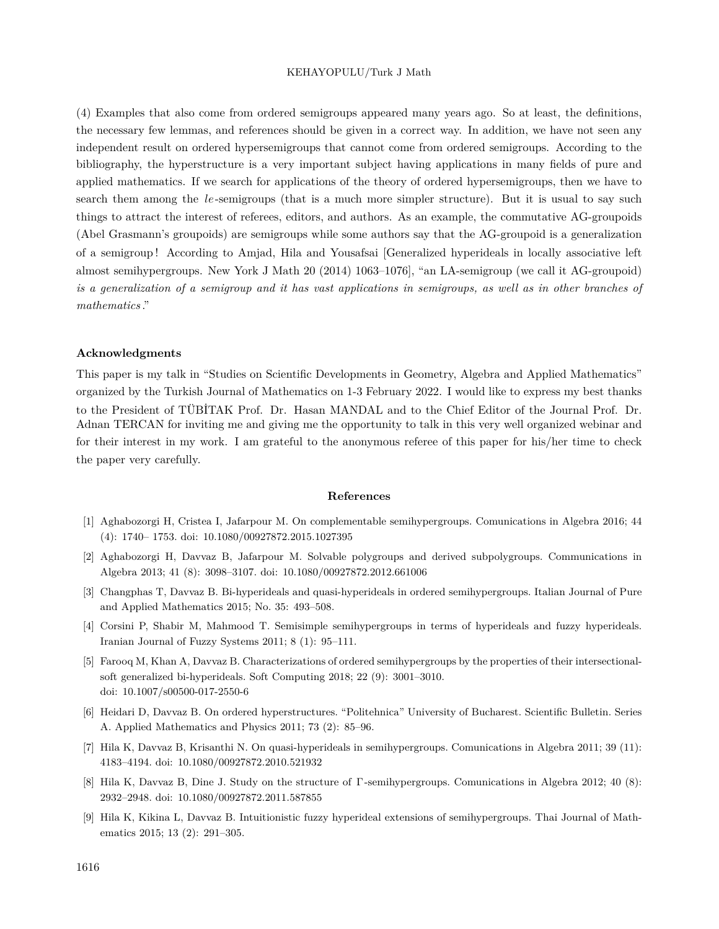(4) Examples that also come from ordered semigroups appeared many years ago. So at least, the definitions, the necessary few lemmas, and references should be given in a correct way. In addition, we have not seen any independent result on ordered hypersemigroups that cannot come from ordered semigroups. According to the bibliography, the hyperstructure is a very important subject having applications in many fields of pure and applied mathematics. If we search for applications of the theory of ordered hypersemigroups, then we have to search them among the *le*-semigroups (that is a much more simpler structure). But it is usual to say such things to attract the interest of referees, editors, and authors. As an example, the commutative AG-groupoids (Abel Grasmann's groupoids) are semigroups while some authors say that the AG-groupoid is a generalization of a semigroup ! According to Amjad, Hila and Yousafsai [Generalized hyperideals in locally associative left almost semihypergroups. New York J Math 20 (2014) 1063–1076], "an LA-semigroup (we call it AG-groupoid) *is a generalization of a semigroup and it has vast applications in semigroups, as well as in other branches of mathematics* ."

## **Acknowledgments**

This paper is my talk in "Studies on Scientific Developments in Geometry, Algebra and Applied Mathematics" organized by the Turkish Journal of Mathematics on 1-3 February 2022. I would like to express my best thanks to the President of TÜBİTAK Prof. Dr. Hasan MANDAL and to the Chief Editor of the Journal Prof. Dr. Adnan TERCAN for inviting me and giving me the opportunity to talk in this very well organized webinar and for their interest in my work. I am grateful to the anonymous referee of this paper for his/her time to check the paper very carefully.

#### **References**

- <span id="page-37-0"></span>[1] Aghabozorgi H, Cristea I, Jafarpour M. On complementable semihypergroups. Comunications in Algebra 2016; 44 (4): 1740– 1753. doi: 10.1080/00927872.2015.1027395
- <span id="page-37-1"></span>[2] Aghabozorgi H, Davvaz B, Jafarpour M. Solvable polygroups and derived subpolygroups. Communications in Algebra 2013; 41 (8): 3098–3107. doi: 10.1080/00927872.2012.661006
- <span id="page-37-7"></span>[3] Changphas T, Davvaz B. Bi-hyperideals and quasi-hyperideals in ordered semihypergroups. Italian Journal of Pure and Applied Mathematics 2015; No. 35: 493–508.
- <span id="page-37-5"></span>[4] Corsini P, Shabir M, Mahmood T. Semisimple semihypergroups in terms of hyperideals and fuzzy hyperideals. Iranian Journal of Fuzzy Systems 2011; 8 (1): 95–111.
- <span id="page-37-6"></span>[5] Farooq M, Khan A, Davvaz B. Characterizations of ordered semihypergroups by the properties of their intersectionalsoft generalized bi-hyperideals. Soft Computing 2018; 22 (9): 3001–3010. doi: 10.1007/s00500-017-2550-6
- <span id="page-37-4"></span>[6] Heidari D, Davvaz B. On ordered hyperstructures. "Politehnica" University of Bucharest. Scientific Bulletin. Series A. Applied Mathematics and Physics 2011; 73 (2): 85–96.
- <span id="page-37-2"></span>[7] Hila K, Davvaz B, Krisanthi N. On quasi-hyperideals in semihypergroups. Comunications in Algebra 2011; 39 (11): 4183–4194. doi: 10.1080/00927872.2010.521932
- [8] Hila K, Davvaz B, Dine J. Study on the structure of Γ-semihypergroups. Comunications in Algebra 2012; 40 (8): 2932–2948. doi: 10.1080/00927872.2011.587855
- <span id="page-37-3"></span>[9] Hila K, Kikina L, Davvaz B. Intuitionistic fuzzy hyperideal extensions of semihypergroups. Thai Journal of Mathematics 2015; 13 (2): 291–305.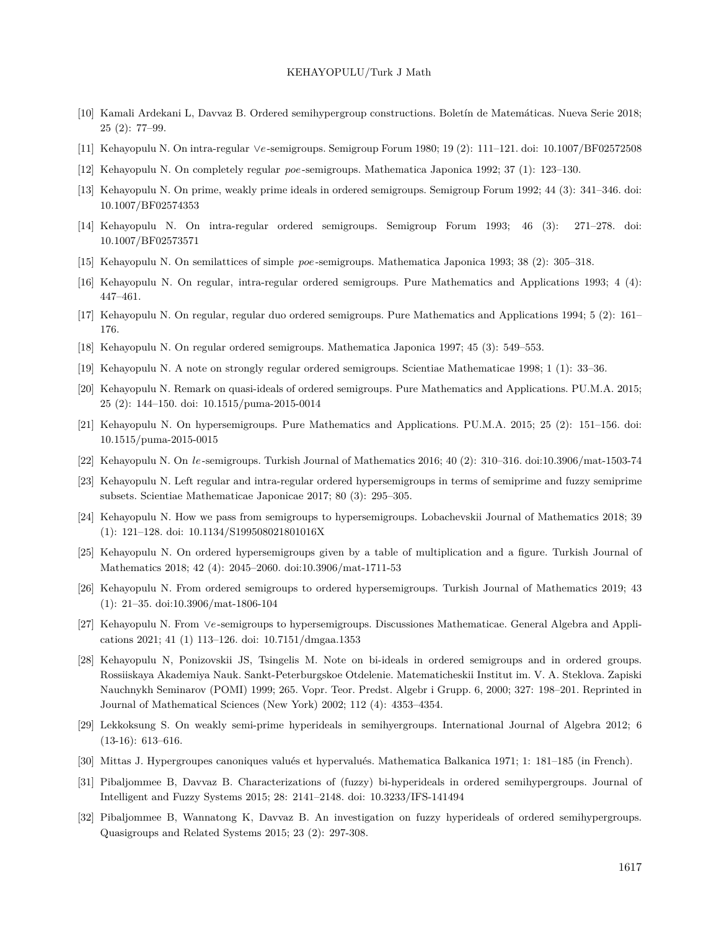- <span id="page-38-12"></span>[10] Kamali Ardekani L, Davvaz B. Ordered semihypergroup constructions. Boletín de Matemáticas. Nueva Serie 2018; 25 (2): 77–99.
- <span id="page-38-18"></span>[11] Kehayopulu N. On intra-regular *∨e*-semigroups. Semigroup Forum 1980; 19 (2): 111–121. doi: 10.1007/BF02572508
- <span id="page-38-8"></span>[12] Kehayopulu N. On completely regular *poe*-semigroups. Mathematica Japonica 1992; 37 (1): 123–130.
- <span id="page-38-16"></span>[13] Kehayopulu N. On prime, weakly prime ideals in ordered semigroups. Semigroup Forum 1992; 44 (3): 341–346. doi: 10.1007/BF02574353
- <span id="page-38-17"></span>[14] Kehayopulu N. On intra-regular ordered semigroups. Semigroup Forum 1993; 46 (3): 271–278. doi: 10.1007/BF02573571
- <span id="page-38-11"></span>[15] Kehayopulu N. On semilattices of simple *poe*-semigroups. Mathematica Japonica 1993; 38 (2): 305–318.
- <span id="page-38-0"></span>[16] Kehayopulu N. On regular, intra-regular ordered semigroups. Pure Mathematics and Applications 1993; 4 (4): 447–461.
- <span id="page-38-22"></span>[17] Kehayopulu N. On regular, regular duo ordered semigroups. Pure Mathematics and Applications 1994; 5 (2): 161– 176.
- <span id="page-38-13"></span>[18] Kehayopulu N. On regular ordered semigroups. Mathematica Japonica 1997; 45 (3): 549–553.
- <span id="page-38-14"></span>[19] Kehayopulu N. A note on strongly regular ordered semigroups. Scientiae Mathematicae 1998; 1 (1): 33–36.
- <span id="page-38-20"></span>[20] Kehayopulu N. Remark on quasi-ideals of ordered semigroups. Pure Mathematics and Applications. PU.M.A. 2015; 25 (2): 144–150. doi: 10.1515/puma-2015-0014
- <span id="page-38-4"></span>[21] Kehayopulu N. On hypersemigroups. Pure Mathematics and Applications. PU.M.A. 2015; 25 (2): 151–156. doi: 10.1515/puma-2015-0015
- <span id="page-38-21"></span>[22] Kehayopulu N. On *le*-semigroups. Turkish Journal of Mathematics 2016; 40 (2): 310–316. doi:10.3906/mat-1503-74
- <span id="page-38-5"></span>[23] Kehayopulu N. Left regular and intra-regular ordered hypersemigroups in terms of semiprime and fuzzy semiprime subsets. Scientiae Mathematicae Japonicae 2017; 80 (3): 295–305.
- <span id="page-38-6"></span>[24] Kehayopulu N. How we pass from semigroups to hypersemigroups. Lobachevskii Journal of Mathematics 2018; 39 (1): 121–128. doi: 10.1134/S199508021801016X
- <span id="page-38-7"></span>[25] Kehayopulu N. On ordered hypersemigroups given by a table of multiplication and a figure. Turkish Journal of Mathematics 2018; 42 (4): 2045–2060. doi:10.3906/mat-1711-53
- <span id="page-38-15"></span>[26] Kehayopulu N. From ordered semigroups to ordered hypersemigroups. Turkish Journal of Mathematics 2019; 43 (1): 21–35. doi:10.3906/mat-1806-104
- <span id="page-38-1"></span>[27] Kehayopulu N. From *∨e*-semigroups to hypersemigroups. Discussiones Mathematicae. General Algebra and Applications 2021; 41 (1) 113–126. doi: 10.7151/dmgaa.1353
- <span id="page-38-19"></span>[28] Kehayopulu N, Ponizovskii JS, Tsingelis M. Note on bi-ideals in ordered semigroups and in ordered groups. Rossiiskaya Akademiya Nauk. Sankt-Peterburgskoe Otdelenie. Matematicheskii Institut im. V. A. Steklova. Zapiski Nauchnykh Seminarov (POMI) 1999; 265. Vopr. Teor. Predst. Algebr i Grupp. 6, 2000; 327: 198–201. Reprinted in Journal of Mathematical Sciences (New York) 2002; 112 (4): 4353–4354.
- <span id="page-38-3"></span>[29] Lekkoksung S. On weakly semi-prime hyperideals in semihyergroups. International Journal of Algebra 2012; 6 (13-16): 613–616.
- <span id="page-38-2"></span>[30] Mittas J. Hypergroupes canoniques valués et hypervalués. Mathematica Balkanica 1971; 1: 181–185 (in French).
- <span id="page-38-9"></span>[31] Pibaljommee B, Davvaz B. Characterizations of (fuzzy) bi-hyperideals in ordered semihypergroups. Journal of Intelligent and Fuzzy Systems 2015; 28: 2141–2148. doi: 10.3233/IFS-141494
- <span id="page-38-10"></span>[32] Pibaljommee B, Wannatong K, Davvaz B. An investigation on fuzzy hyperideals of ordered semihypergroups. Quasigroups and Related Systems 2015; 23 (2): 297-308.